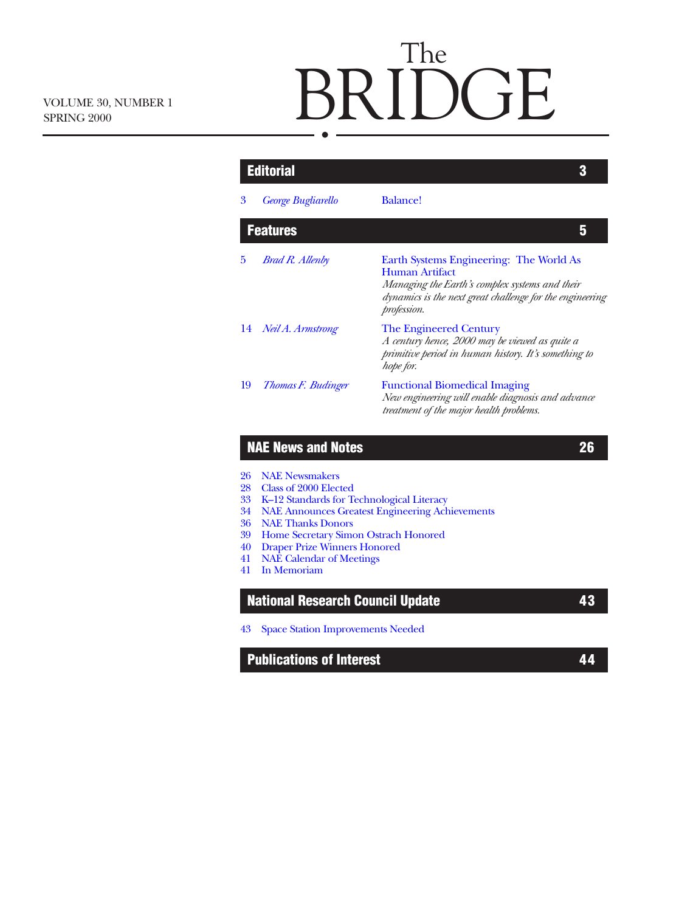# The BRIDGE

| 3        | <b>George Bugliarello</b>                                                   | <b>Balance!</b>                                                                                                                                                                               |  |
|----------|-----------------------------------------------------------------------------|-----------------------------------------------------------------------------------------------------------------------------------------------------------------------------------------------|--|
|          | <b>Features</b>                                                             | 5                                                                                                                                                                                             |  |
| 5        | <b>Brad R. Allenby</b>                                                      | Earth Systems Engineering: The World As<br><b>Human Artifact</b><br>Managing the Earth's complex systems and their<br>dynamics is the next great challenge for the engineering<br>profession. |  |
| 14       | Neil A. Armstrong                                                           | <b>The Engineered Century</b><br>A century hence, 2000 may be viewed as quite a<br>primitive period in human history. It's something to<br>hope for.                                          |  |
| 19       | Thomas F. Budinger                                                          | <b>Functional Biomedical Imaging</b><br>New engineering will enable diagnosis and advance<br>treatment of the major health problems.                                                          |  |
|          | <b>NAE News and Notes</b>                                                   | 26                                                                                                                                                                                            |  |
|          |                                                                             |                                                                                                                                                                                               |  |
| 26       | <b>NAE Newsmakers</b>                                                       |                                                                                                                                                                                               |  |
| 28       | Class of 2000 Elected                                                       |                                                                                                                                                                                               |  |
| 33       | K-12 Standards for Technological Literacy                                   |                                                                                                                                                                                               |  |
| 34<br>36 | <b>NAE Announces Greatest Engineering Achievements</b>                      |                                                                                                                                                                                               |  |
| 39       | <b>NAE Thanks Donors</b>                                                    |                                                                                                                                                                                               |  |
| 40       | Home Secretary Simon Ostrach Honored<br><b>Draper Prize Winners Honored</b> |                                                                                                                                                                                               |  |
| 41       | <b>NAE Calendar of Meetings</b>                                             |                                                                                                                                                                                               |  |
|          | In Memoriam                                                                 |                                                                                                                                                                                               |  |
| 41       |                                                                             |                                                                                                                                                                                               |  |

**Publications of Interest 44**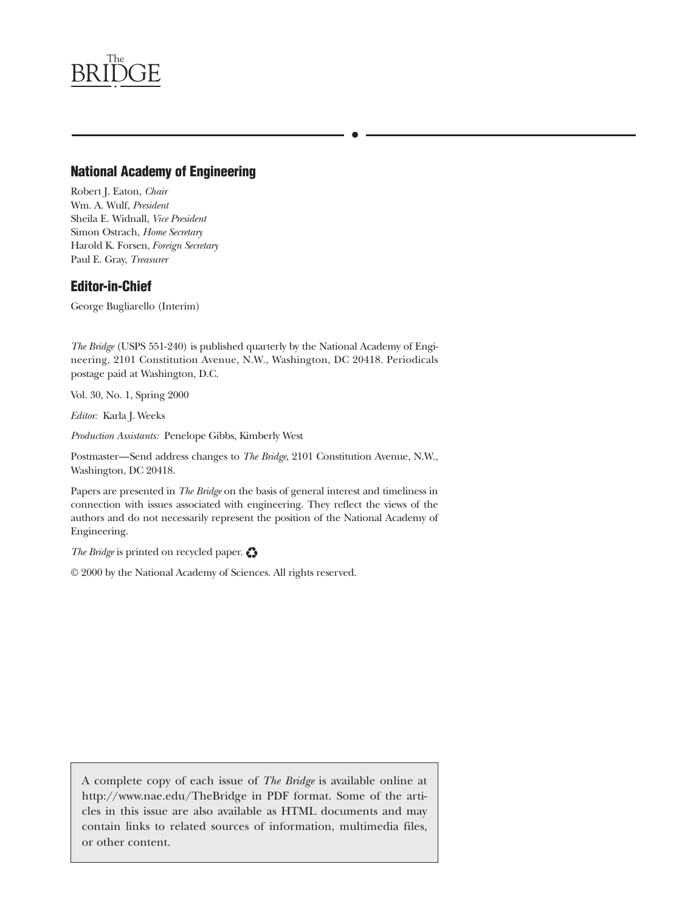

### **National Academy of Engineering**

Robert J. Eaton, *Chair* Wm. A. Wulf, *President* Sheila E. Widnall, *Vice President* Simon Ostrach, *Home Secretary* Harold K. Forsen, *Foreign Secretary* Paul E. Gray, *Treasurer*

### **Editor-in-Chief**

George Bugliarello (Interim)

*The Bridge* (USPS 551-240) is published quarterly by the National Academy of Engineering, 2101 Constitution Avenue, N.W., Washington, DC 20418. Periodicals postage paid at Washington, D.C.

Vol. 30, No. 1, Spring 2000

*Editor:* Karla J. Weeks

*Production Assistants:* Penelope Gibbs, Kimberly West

Postmaster—Send address changes to *The Bridge*, 2101 Constitution Avenue, N.W., Washington, DC 20418.

Papers are presented in *The Bridge* on the basis of general interest and timeliness in connection with issues associated with engineering. They reflect the views of the authors and do not necessarily represent the position of the National Academy of Engineering.

The Bridge is printed on recycled paper.

© 2000 by the National Academy of Sciences. All rights reserved.

A complete copy of each issue of *The Bridge* is available online at http://www.nae.edu/TheBridge in PDF format. Some of the articles in this issue are also available as HTML documents and may contain links to related sources of information, multimedia files, or other content.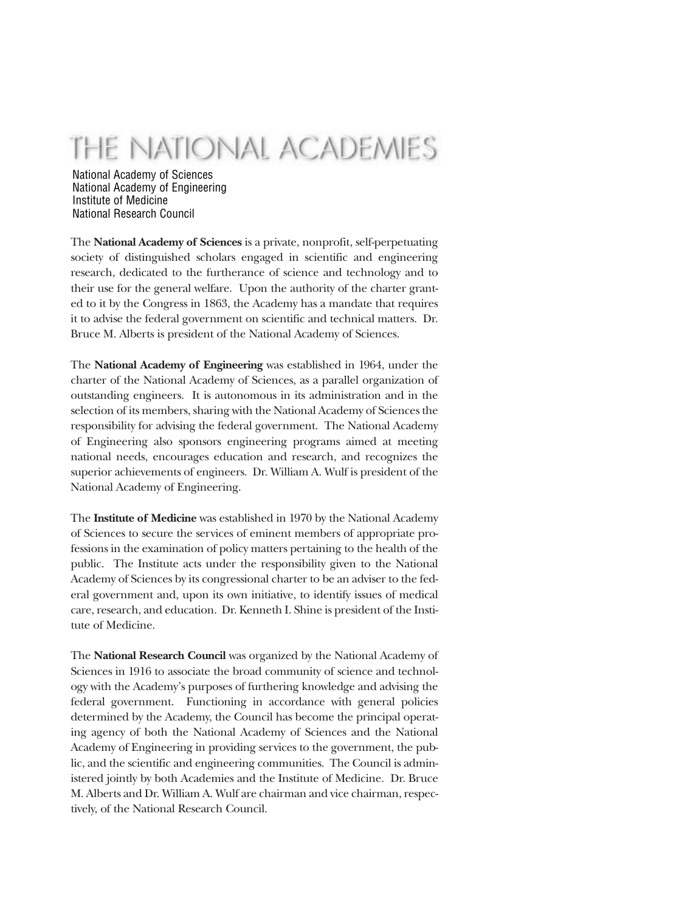## THE NATIONAL ACADEMIES

National Academy of Sciences National Academy of Engineering Institute of Medicine National Research Council

The **National Academy of Sciences** is a private, nonprofit, self-perpetuating society of distinguished scholars engaged in scientific and engineering research, dedicated to the furtherance of science and technology and to their use for the general welfare. Upon the authority of the charter granted to it by the Congress in 1863, the Academy has a mandate that requires it to advise the federal government on scientific and technical matters. Dr. Bruce M. Alberts is president of the National Academy of Sciences.

The **National Academy of Engineering** was established in 1964, under the charter of the National Academy of Sciences, as a parallel organization of outstanding engineers. It is autonomous in its administration and in the selection of its members, sharing with the National Academy of Sciences the responsibility for advising the federal government. The National Academy of Engineering also sponsors engineering programs aimed at meeting national needs, encourages education and research, and recognizes the superior achievements of engineers. Dr. William A. Wulf is president of the National Academy of Engineering.

The **Institute of Medicine** was established in 1970 by the National Academy of Sciences to secure the services of eminent members of appropriate professions in the examination of policy matters pertaining to the health of the public. The Institute acts under the responsibility given to the National Academy of Sciences by its congressional charter to be an adviser to the federal government and, upon its own initiative, to identify issues of medical care, research, and education. Dr. Kenneth I. Shine is president of the Institute of Medicine.

The **National Research Council** was organized by the National Academy of Sciences in 1916 to associate the broad community of science and technology with the Academy's purposes of furthering knowledge and advising the federal government. Functioning in accordance with general policies determined by the Academy, the Council has become the principal operating agency of both the National Academy of Sciences and the National Academy of Engineering in providing services to the government, the public, and the scientific and engineering communities. The Council is administered jointly by both Academies and the Institute of Medicine. Dr. Bruce M. Alberts and Dr. William A. Wulf are chairman and vice chairman, respectively, of the National Research Council.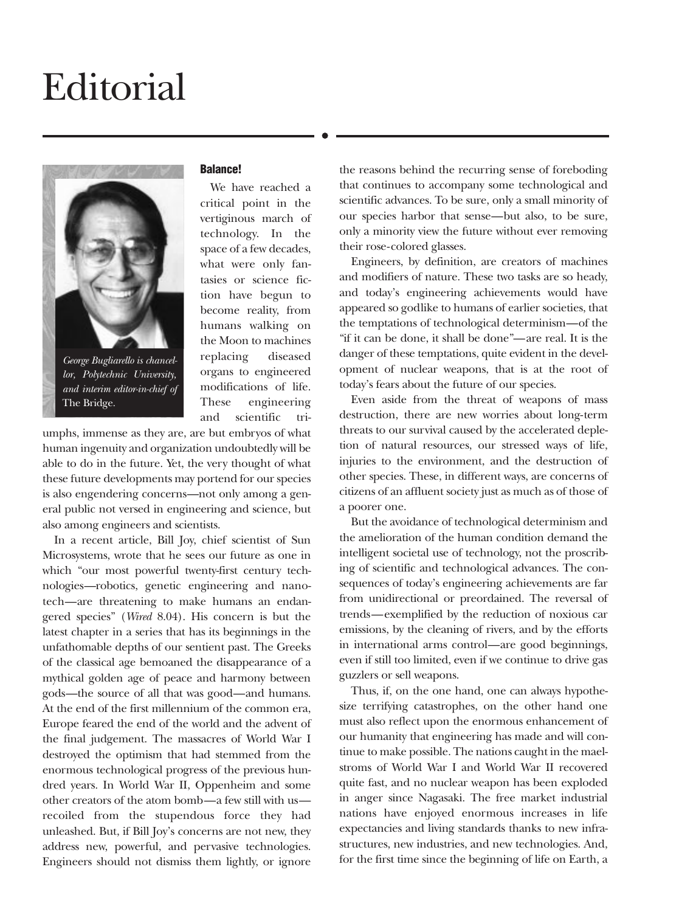## <span id="page-3-0"></span>Editorial



*George Bugliarello is chancellor, Polytechnic University, and interim editor-in-chief of* The Bridge.

### **Balance!**

We have reached a critical point in the vertiginous march of technology. In the space of a few decades, what were only fantasies or science fiction have begun to become reality, from humans walking on the Moon to machines replacing diseased organs to engineered modifications of life. These engineering and scientific tri-

umphs, immense as they are, are but embryos of what human ingenuity and organization undoubtedly will be able to do in the future. Yet, the very thought of what these future developments may portend for our species is also engendering concerns—not only among a general public not versed in engineering and science, but also among engineers and scientists.

In a recent article, Bill Joy, chief scientist of Sun Microsystems, wrote that he sees our future as one in which "our most powerful twenty-first century technologies—robotics, genetic engineering and nanotech—are threatening to make humans an endangered species" (*Wired* 8.04). His concern is but the latest chapter in a series that has its beginnings in the unfathomable depths of our sentient past. The Greeks of the classical age bemoaned the disappearance of a mythical golden age of peace and harmony between gods—the source of all that was good—and humans. At the end of the first millennium of the common era, Europe feared the end of the world and the advent of the final judgement. The massacres of World War I destroyed the optimism that had stemmed from the enormous technological progress of the previous hundred years. In World War II, Oppenheim and some other creators of the atom bomb—a few still with us recoiled from the stupendous force they had unleashed. But, if Bill Joy's concerns are not new, they address new, powerful, and pervasive technologies. Engineers should not dismiss them lightly, or ignore

the reasons behind the recurring sense of foreboding that continues to accompany some technological and scientific advances. To be sure, only a small minority of our species harbor that sense—but also, to be sure, only a minority view the future without ever removing their rose-colored glasses.

Engineers, by definition, are creators of machines and modifiers of nature. These two tasks are so heady, and today's engineering achievements would have appeared so godlike to humans of earlier societies, that the temptations of technological determinism—of the "if it can be done, it shall be done"—are real. It is the danger of these temptations, quite evident in the development of nuclear weapons, that is at the root of today's fears about the future of our species.

Even aside from the threat of weapons of mass destruction, there are new worries about long-term threats to our survival caused by the accelerated depletion of natural resources, our stressed ways of life, injuries to the environment, and the destruction of other species. These, in different ways, are concerns of citizens of an affluent society just as much as of those of a poorer one.

But the avoidance of technological determinism and the amelioration of the human condition demand the intelligent societal use of technology, not the proscribing of scientific and technological advances. The consequences of today's engineering achievements are far from unidirectional or preordained. The reversal of trends—exemplified by the reduction of noxious car emissions, by the cleaning of rivers, and by the efforts in international arms control—are good beginnings, even if still too limited, even if we continue to drive gas guzzlers or sell weapons.

Thus, if, on the one hand, one can always hypothesize terrifying catastrophes, on the other hand one must also reflect upon the enormous enhancement of our humanity that engineering has made and will continue to make possible. The nations caught in the maelstroms of World War I and World War II recovered quite fast, and no nuclear weapon has been exploded in anger since Nagasaki. The free market industrial nations have enjoyed enormous increases in life expectancies and living standards thanks to new infrastructures, new industries, and new technologies. And, for the first time since the beginning of life on Earth, a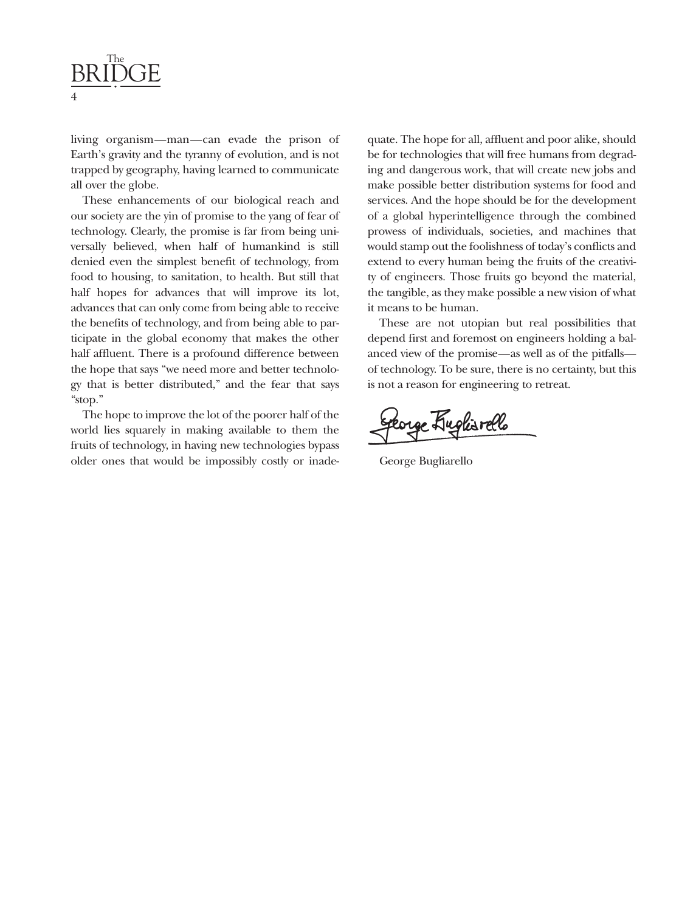

living organism—man—can evade the prison of Earth's gravity and the tyranny of evolution, and is not trapped by geography, having learned to communicate all over the globe.

These enhancements of our biological reach and our society are the yin of promise to the yang of fear of technology. Clearly, the promise is far from being universally believed, when half of humankind is still denied even the simplest benefit of technology, from food to housing, to sanitation, to health. But still that half hopes for advances that will improve its lot, advances that can only come from being able to receive the benefits of technology, and from being able to participate in the global economy that makes the other half affluent. There is a profound difference between the hope that says "we need more and better technology that is better distributed," and the fear that says "stop."

The hope to improve the lot of the poorer half of the world lies squarely in making available to them the fruits of technology, in having new technologies bypass older ones that would be impossibly costly or inadequate. The hope for all, affluent and poor alike, should be for technologies that will free humans from degrading and dangerous work, that will create new jobs and make possible better distribution systems for food and services. And the hope should be for the development of a global hyperintelligence through the combined prowess of individuals, societies, and machines that would stamp out the foolishness of today's conflicts and extend to every human being the fruits of the creativity of engineers. Those fruits go beyond the material, the tangible, as they make possible a new vision of what it means to be human.

These are not utopian but real possibilities that depend first and foremost on engineers holding a balanced view of the promise—as well as of the pitfalls of technology. To be sure, there is no certainty, but this is not a reason for engineering to retreat.

Corge Kuglisrallo

George Bugliarello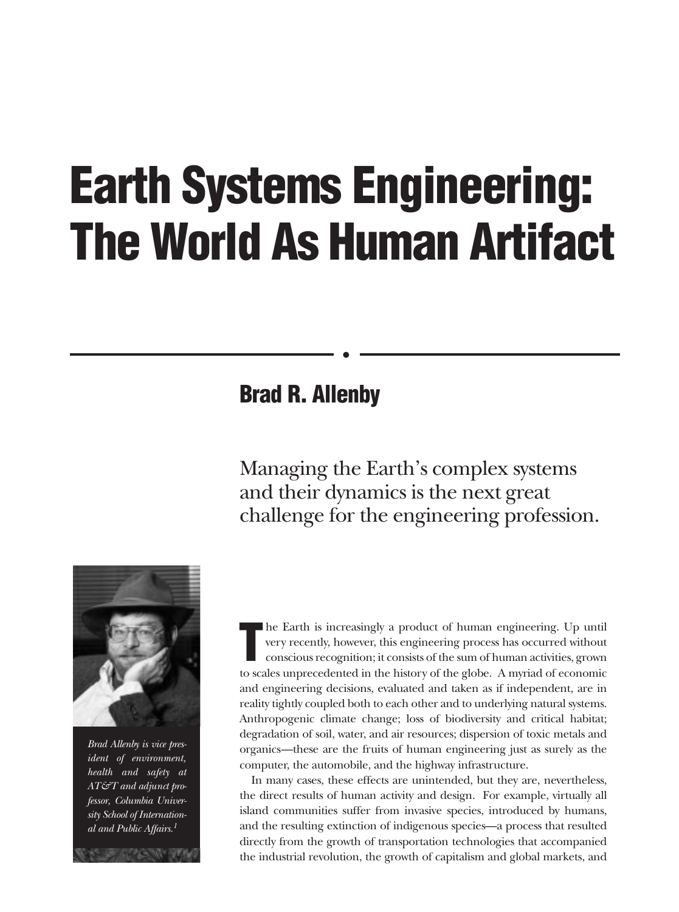# <span id="page-5-0"></span>**Earth Systems Engineering: The World As Human Artifact**

### **Brad R. Allenby**

Managing the Earth's complex systems and their dynamics is the next great challenge for the engineering profession.



*Brad Allenby is vice president of environment, health and safety at AT&T and adjunct professor, Columbia University School of International and Public Affairs.1*

**T** he Earth is increasingly a product of human engineering. Up until very recently, however, this engineering process has occurred without conscious recognition; it consists of the sum of human activities, grown to scales unprecedented in the history of the globe. A myriad of economic and engineering decisions, evaluated and taken as if independent, are in reality tightly coupled both to each other and to underlying natural systems. Anthropogenic climate change; loss of biodiversity and critical habitat; degradation of soil, water, and air resources; dispersion of toxic metals and organics—these are the fruits of human engineering just as surely as the computer, the automobile, and the highway infrastructure.

In many cases, these effects are unintended, but they are, nevertheless, the direct results of human activity and design. For example, virtually all island communities suffer from invasive species, introduced by humans, and the resulting extinction of indigenous species—a process that resulted directly from the growth of transportation technologies that accompanied the industrial revolution, the growth of capitalism and global markets, and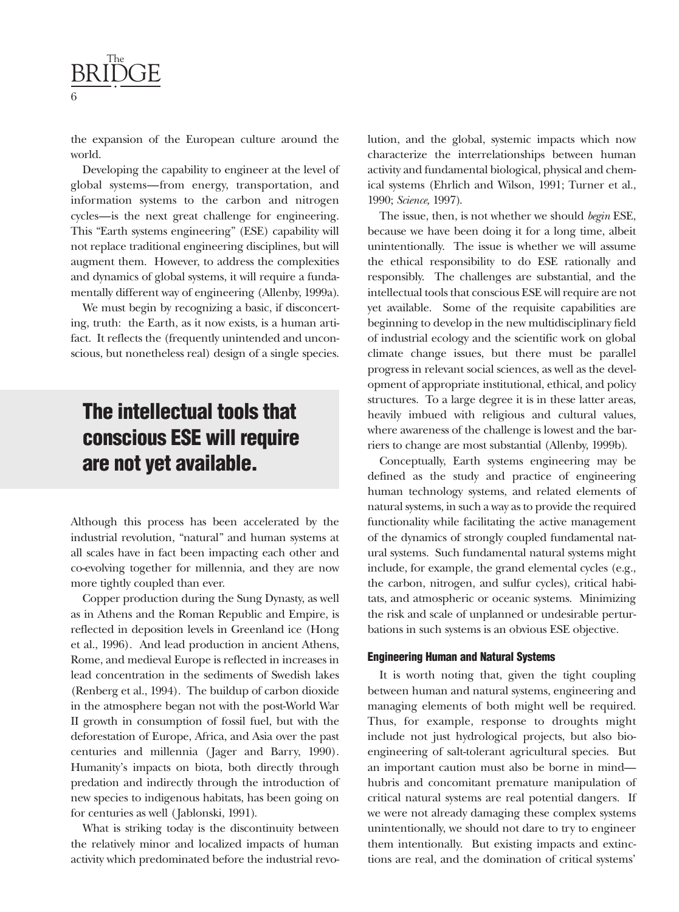

the expansion of the European culture around the world.

Developing the capability to engineer at the level of global systems—from energy, transportation, and information systems to the carbon and nitrogen cycles—is the next great challenge for engineering. This "Earth systems engineering" (ESE) capability will not replace traditional engineering disciplines, but will augment them. However, to address the complexities and dynamics of global systems, it will require a fundamentally different way of engineering (Allenby, 1999a).

We must begin by recognizing a basic, if disconcerting, truth: the Earth, as it now exists, is a human artifact. It reflects the (frequently unintended and unconscious, but nonetheless real) design of a single species.

### **The intellectual tools that conscious ESE will require are not yet available.**

Although this process has been accelerated by the industrial revolution, "natural" and human systems at all scales have in fact been impacting each other and co-evolving together for millennia, and they are now more tightly coupled than ever.

Copper production during the Sung Dynasty, as well as in Athens and the Roman Republic and Empire, is reflected in deposition levels in Greenland ice (Hong et al., 1996). And lead production in ancient Athens, Rome, and medieval Europe is reflected in increases in lead concentration in the sediments of Swedish lakes (Renberg et al., 1994). The buildup of carbon dioxide in the atmosphere began not with the post-World War II growth in consumption of fossil fuel, but with the deforestation of Europe, Africa, and Asia over the past centuries and millennia (Jager and Barry, 1990). Humanity's impacts on biota, both directly through predation and indirectly through the introduction of new species to indigenous habitats, has been going on for centuries as well (Jablonski, 1991).

What is striking today is the discontinuity between the relatively minor and localized impacts of human activity which predominated before the industrial revolution, and the global, systemic impacts which now characterize the interrelationships between human activity and fundamental biological, physical and chemical systems (Ehrlich and Wilson, 1991; Turner et al., 1990; *Science,* 1997).

The issue, then, is not whether we should *begin* ESE, because we have been doing it for a long time, albeit unintentionally. The issue is whether we will assume the ethical responsibility to do ESE rationally and responsibly. The challenges are substantial, and the intellectual tools that conscious ESE will require are not yet available. Some of the requisite capabilities are beginning to develop in the new multidisciplinary field of industrial ecology and the scientific work on global climate change issues, but there must be parallel progress in relevant social sciences, as well as the development of appropriate institutional, ethical, and policy structures. To a large degree it is in these latter areas, heavily imbued with religious and cultural values, where awareness of the challenge is lowest and the barriers to change are most substantial (Allenby, 1999b).

Conceptually, Earth systems engineering may be defined as the study and practice of engineering human technology systems, and related elements of natural systems, in such a way as to provide the required functionality while facilitating the active management of the dynamics of strongly coupled fundamental natural systems. Such fundamental natural systems might include, for example, the grand elemental cycles (e.g., the carbon, nitrogen, and sulfur cycles), critical habitats, and atmospheric or oceanic systems. Minimizing the risk and scale of unplanned or undesirable perturbations in such systems is an obvious ESE objective.

#### **Engineering Human and Natural Systems**

It is worth noting that, given the tight coupling between human and natural systems, engineering and managing elements of both might well be required. Thus, for example, response to droughts might include not just hydrological projects, but also bioengineering of salt-tolerant agricultural species. But an important caution must also be borne in mind hubris and concomitant premature manipulation of critical natural systems are real potential dangers. If we were not already damaging these complex systems unintentionally, we should not dare to try to engineer them intentionally. But existing impacts and extinctions are real, and the domination of critical systems'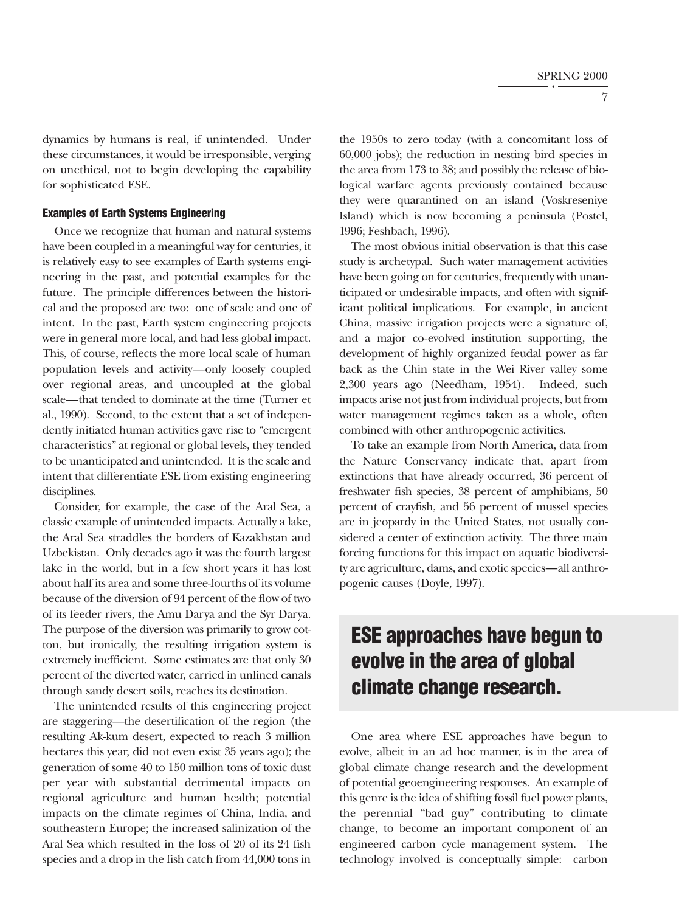dynamics by humans is real, if unintended. Under these circumstances, it would be irresponsible, verging on unethical, not to begin developing the capability for sophisticated ESE.

#### **Examples of Earth Systems Engineering**

Once we recognize that human and natural systems have been coupled in a meaningful way for centuries, it is relatively easy to see examples of Earth systems engineering in the past, and potential examples for the future. The principle differences between the historical and the proposed are two: one of scale and one of intent. In the past, Earth system engineering projects were in general more local, and had less global impact. This, of course, reflects the more local scale of human population levels and activity—only loosely coupled over regional areas, and uncoupled at the global scale—that tended to dominate at the time (Turner et al., 1990). Second, to the extent that a set of independently initiated human activities gave rise to "emergent characteristics" at regional or global levels, they tended to be unanticipated and unintended. It is the scale and intent that differentiate ESE from existing engineering disciplines.

Consider, for example, the case of the Aral Sea, a classic example of unintended impacts. Actually a lake, the Aral Sea straddles the borders of Kazakhstan and Uzbekistan. Only decades ago it was the fourth largest lake in the world, but in a few short years it has lost about half its area and some three-fourths of its volume because of the diversion of 94 percent of the flow of two of its feeder rivers, the Amu Darya and the Syr Darya. The purpose of the diversion was primarily to grow cotton, but ironically, the resulting irrigation system is extremely inefficient. Some estimates are that only 30 percent of the diverted water, carried in unlined canals through sandy desert soils, reaches its destination.

The unintended results of this engineering project are staggering—the desertification of the region (the resulting Ak-kum desert, expected to reach 3 million hectares this year, did not even exist 35 years ago); the generation of some 40 to 150 million tons of toxic dust per year with substantial detrimental impacts on regional agriculture and human health; potential impacts on the climate regimes of China, India, and southeastern Europe; the increased salinization of the Aral Sea which resulted in the loss of 20 of its 24 fish species and a drop in the fish catch from 44,000 tons in the 1950s to zero today (with a concomitant loss of 60,000 jobs); the reduction in nesting bird species in the area from 173 to 38; and possibly the release of biological warfare agents previously contained because they were quarantined on an island (Voskreseniye Island) which is now becoming a peninsula (Postel, 1996; Feshbach, 1996).

The most obvious initial observation is that this case study is archetypal. Such water management activities have been going on for centuries, frequently with unanticipated or undesirable impacts, and often with significant political implications. For example, in ancient China, massive irrigation projects were a signature of, and a major co-evolved institution supporting, the development of highly organized feudal power as far back as the Chin state in the Wei River valley some 2,300 years ago (Needham, 1954). Indeed, such impacts arise not just from individual projects, but from water management regimes taken as a whole, often combined with other anthropogenic activities.

To take an example from North America, data from the Nature Conservancy indicate that, apart from extinctions that have already occurred, 36 percent of freshwater fish species, 38 percent of amphibians, 50 percent of crayfish, and 56 percent of mussel species are in jeopardy in the United States, not usually considered a center of extinction activity. The three main forcing functions for this impact on aquatic biodiversity are agriculture, dams, and exotic species—all anthropogenic causes (Doyle, 1997).

### **ESE approaches have begun to evolve in the area of global climate change research.**

One area where ESE approaches have begun to evolve, albeit in an ad hoc manner, is in the area of global climate change research and the development of potential geoengineering responses. An example of this genre is the idea of shifting fossil fuel power plants, the perennial "bad guy" contributing to climate change, to become an important component of an engineered carbon cycle management system. The technology involved is conceptually simple: carbon

7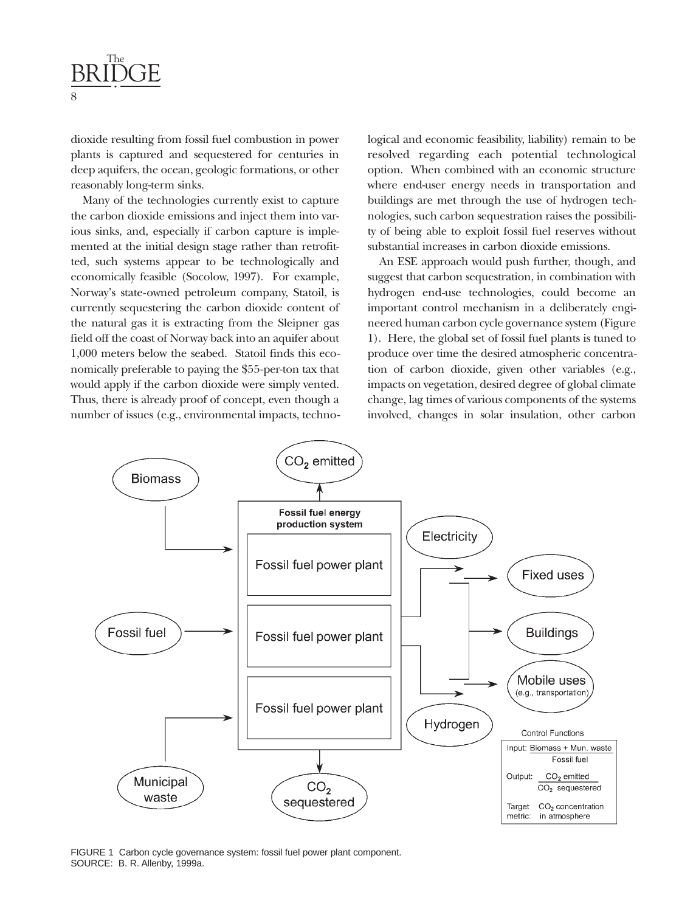

dioxide resulting from fossil fuel combustion in power plants is captured and sequestered for centuries in deep aquifers, the ocean, geologic formations, or other reasonably long-term sinks.

Many of the technologies currently exist to capture the carbon dioxide emissions and inject them into various sinks, and, especially if carbon capture is implemented at the initial design stage rather than retrofitted, such systems appear to be technologically and economically feasible (Socolow, 1997). For example, Norway's state-owned petroleum company, Statoil, is currently sequestering the carbon dioxide content of the natural gas it is extracting from the Sleipner gas field off the coast of Norway back into an aquifer about 1,000 meters below the seabed. Statoil finds this economically preferable to paying the \$55-per-ton tax that would apply if the carbon dioxide were simply vented. Thus, there is already proof of concept, even though a number of issues (e.g., environmental impacts, technological and economic feasibility, liability) remain to be resolved regarding each potential technological option. When combined with an economic structure where end-user energy needs in transportation and buildings are met through the use of hydrogen technologies, such carbon sequestration raises the possibility of being able to exploit fossil fuel reserves without substantial increases in carbon dioxide emissions.

An ESE approach would push further, though, and suggest that carbon sequestration, in combination with hydrogen end-use technologies, could become an important control mechanism in a deliberately engineered human carbon cycle governance system (Figure 1). Here, the global set of fossil fuel plants is tuned to produce over time the desired atmospheric concentration of carbon dioxide, given other variables (e.g., impacts on vegetation, desired degree of global climate change, lag times of various components of the systems involved, changes in solar insulation, other carbon



FIGURE 1 Carbon cycle governance system: fossil fuel power plant component. SOURCE: B. R. Allenby, 1999a.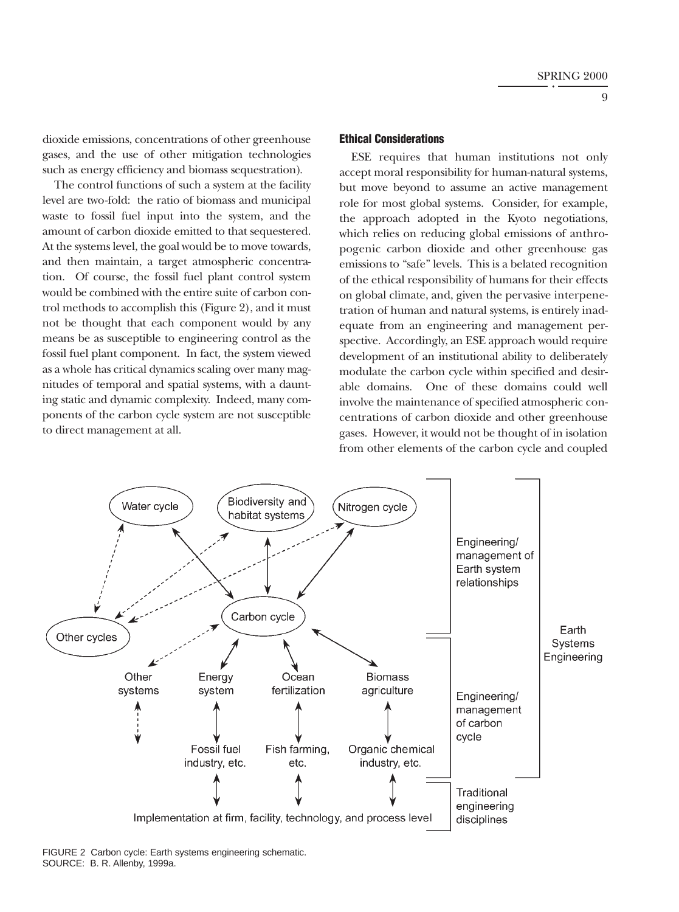dioxide emissions, concentrations of other greenhouse gases, and the use of other mitigation technologies such as energy efficiency and biomass sequestration).

The control functions of such a system at the facility level are two-fold: the ratio of biomass and municipal waste to fossil fuel input into the system, and the amount of carbon dioxide emitted to that sequestered. At the systems level, the goal would be to move towards, and then maintain, a target atmospheric concentration. Of course, the fossil fuel plant control system would be combined with the entire suite of carbon control methods to accomplish this (Figure 2), and it must not be thought that each component would by any means be as susceptible to engineering control as the fossil fuel plant component. In fact, the system viewed as a whole has critical dynamics scaling over many magnitudes of temporal and spatial systems, with a daunting static and dynamic complexity. Indeed, many components of the carbon cycle system are not susceptible to direct management at all.

#### **Ethical Considerations**

ESE requires that human institutions not only accept moral responsibility for human-natural systems, but move beyond to assume an active management role for most global systems. Consider, for example, the approach adopted in the Kyoto negotiations, which relies on reducing global emissions of anthropogenic carbon dioxide and other greenhouse gas emissions to "safe" levels. This is a belated recognition of the ethical responsibility of humans for their effects on global climate, and, given the pervasive interpenetration of human and natural systems, is entirely inadequate from an engineering and management perspective. Accordingly, an ESE approach would require development of an institutional ability to deliberately modulate the carbon cycle within specified and desirable domains. One of these domains could well involve the maintenance of specified atmospheric concentrations of carbon dioxide and other greenhouse gases. However, it would not be thought of in isolation from other elements of the carbon cycle and coupled



FIGURE 2 Carbon cycle: Earth systems engineering schematic. SOURCE: B. R. Allenby, 1999a.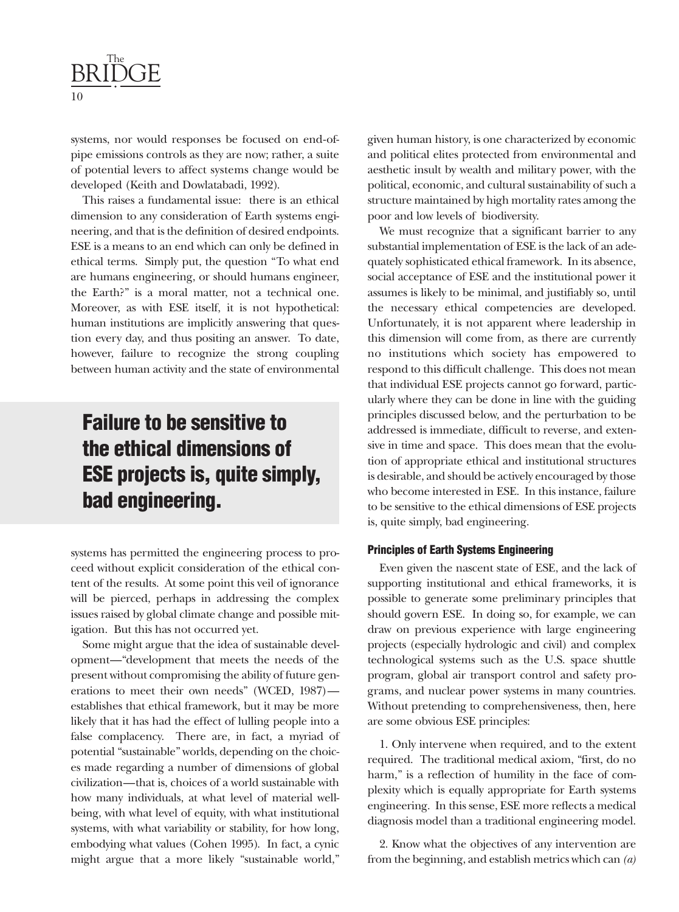

systems, nor would responses be focused on end-ofpipe emissions controls as they are now; rather, a suite of potential levers to affect systems change would be developed (Keith and Dowlatabadi, 1992).

This raises a fundamental issue: there is an ethical dimension to any consideration of Earth systems engineering, and that is the definition of desired endpoints. ESE is a means to an end which can only be defined in ethical terms. Simply put, the question "To what end are humans engineering, or should humans engineer, the Earth?" is a moral matter, not a technical one. Moreover, as with ESE itself, it is not hypothetical: human institutions are implicitly answering that question every day, and thus positing an answer. To date, however, failure to recognize the strong coupling between human activity and the state of environmental

### **Failure to be sensitive to the ethical dimensions of ESE projects is, quite simply, bad engineering.**

systems has permitted the engineering process to proceed without explicit consideration of the ethical content of the results. At some point this veil of ignorance will be pierced, perhaps in addressing the complex issues raised by global climate change and possible mitigation. But this has not occurred yet.

Some might argue that the idea of sustainable development—"development that meets the needs of the present without compromising the ability of future generations to meet their own needs" (WCED, 1987) establishes that ethical framework, but it may be more likely that it has had the effect of lulling people into a false complacency. There are, in fact, a myriad of potential "sustainable" worlds, depending on the choices made regarding a number of dimensions of global civilization—that is, choices of a world sustainable with how many individuals, at what level of material wellbeing, with what level of equity, with what institutional systems, with what variability or stability, for how long, embodying what values (Cohen 1995). In fact, a cynic might argue that a more likely "sustainable world,"

given human history, is one characterized by economic and political elites protected from environmental and aesthetic insult by wealth and military power, with the political, economic, and cultural sustainability of such a structure maintained by high mortality rates among the poor and low levels of biodiversity.

We must recognize that a significant barrier to any substantial implementation of ESE is the lack of an adequately sophisticated ethical framework. In its absence, social acceptance of ESE and the institutional power it assumes is likely to be minimal, and justifiably so, until the necessary ethical competencies are developed. Unfortunately, it is not apparent where leadership in this dimension will come from, as there are currently no institutions which society has empowered to respond to this difficult challenge. This does not mean that individual ESE projects cannot go forward, particularly where they can be done in line with the guiding principles discussed below, and the perturbation to be addressed is immediate, difficult to reverse, and extensive in time and space. This does mean that the evolution of appropriate ethical and institutional structures is desirable, and should be actively encouraged by those who become interested in ESE. In this instance, failure to be sensitive to the ethical dimensions of ESE projects is, quite simply, bad engineering.

### **Principles of Earth Systems Engineering**

Even given the nascent state of ESE, and the lack of supporting institutional and ethical frameworks, it is possible to generate some preliminary principles that should govern ESE. In doing so, for example, we can draw on previous experience with large engineering projects (especially hydrologic and civil) and complex technological systems such as the U.S. space shuttle program, global air transport control and safety programs, and nuclear power systems in many countries. Without pretending to comprehensiveness, then, here are some obvious ESE principles:

1. Only intervene when required, and to the extent required. The traditional medical axiom, "first, do no harm," is a reflection of humility in the face of complexity which is equally appropriate for Earth systems engineering. In this sense, ESE more reflects a medical diagnosis model than a traditional engineering model.

2. Know what the objectives of any intervention are from the beginning, and establish metrics which can *(a)*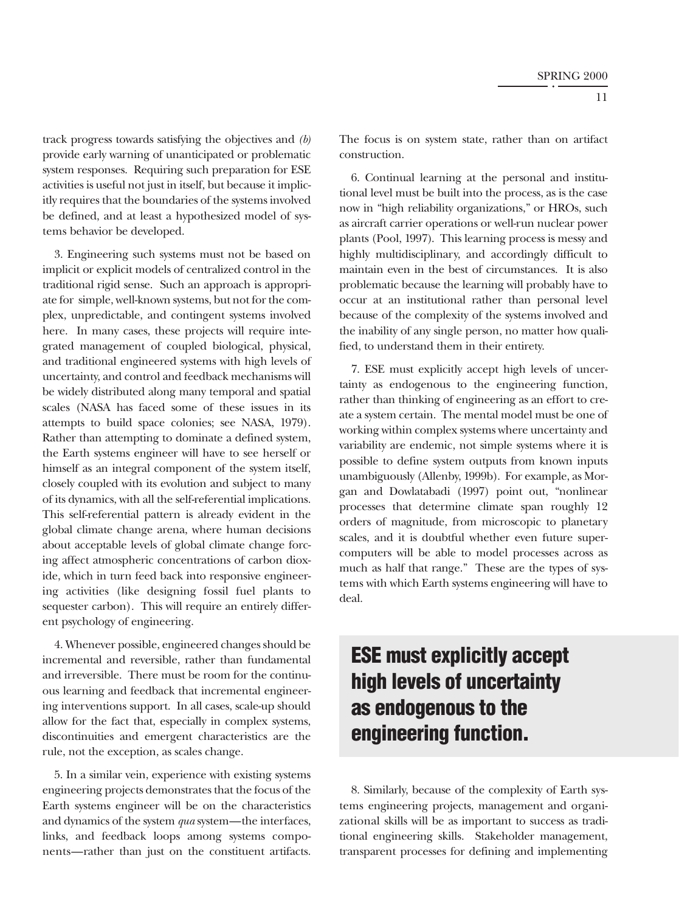track progress towards satisfying the objectives and *(b)* provide early warning of unanticipated or problematic system responses. Requiring such preparation for ESE activities is useful not just in itself, but because it implicitly requires that the boundaries of the systems involved be defined, and at least a hypothesized model of systems behavior be developed.

3. Engineering such systems must not be based on implicit or explicit models of centralized control in the traditional rigid sense. Such an approach is appropriate for simple, well-known systems, but not for the complex, unpredictable, and contingent systems involved here. In many cases, these projects will require integrated management of coupled biological, physical, and traditional engineered systems with high levels of uncertainty, and control and feedback mechanisms will be widely distributed along many temporal and spatial scales (NASA has faced some of these issues in its attempts to build space colonies; see NASA, 1979). Rather than attempting to dominate a defined system, the Earth systems engineer will have to see herself or himself as an integral component of the system itself, closely coupled with its evolution and subject to many of its dynamics, with all the self-referential implications. This self-referential pattern is already evident in the global climate change arena, where human decisions about acceptable levels of global climate change forcing affect atmospheric concentrations of carbon dioxide, which in turn feed back into responsive engineering activities (like designing fossil fuel plants to sequester carbon). This will require an entirely different psychology of engineering.

4. Whenever possible, engineered changes should be incremental and reversible, rather than fundamental and irreversible. There must be room for the continuous learning and feedback that incremental engineering interventions support. In all cases, scale-up should allow for the fact that, especially in complex systems, discontinuities and emergent characteristics are the rule, not the exception, as scales change.

5. In a similar vein, experience with existing systems engineering projects demonstrates that the focus of the Earth systems engineer will be on the characteristics and dynamics of the system *qua* system—the interfaces, links, and feedback loops among systems components—rather than just on the constituent artifacts. The focus is on system state, rather than on artifact construction.

6. Continual learning at the personal and institutional level must be built into the process, as is the case now in "high reliability organizations," or HROs, such as aircraft carrier operations or well-run nuclear power plants (Pool, 1997). This learning process is messy and highly multidisciplinary, and accordingly difficult to maintain even in the best of circumstances. It is also problematic because the learning will probably have to occur at an institutional rather than personal level because of the complexity of the systems involved and the inability of any single person, no matter how qualified, to understand them in their entirety.

7. ESE must explicitly accept high levels of uncertainty as endogenous to the engineering function, rather than thinking of engineering as an effort to create a system certain. The mental model must be one of working within complex systems where uncertainty and variability are endemic, not simple systems where it is possible to define system outputs from known inputs unambiguously (Allenby, 1999b). For example, as Morgan and Dowlatabadi (1997) point out, "nonlinear processes that determine climate span roughly 12 orders of magnitude, from microscopic to planetary scales, and it is doubtful whether even future supercomputers will be able to model processes across as much as half that range." These are the types of systems with which Earth systems engineering will have to deal.

### **ESE must explicitly accept high levels of uncertainty as endogenous to the engineering function.**

8. Similarly, because of the complexity of Earth systems engineering projects, management and organizational skills will be as important to success as traditional engineering skills. Stakeholder management, transparent processes for defining and implementing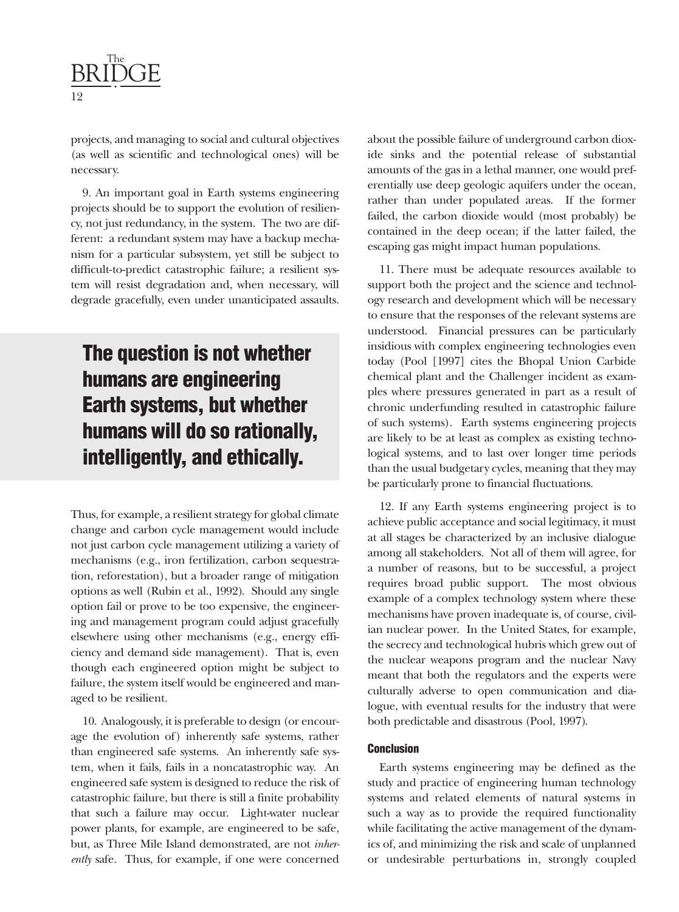

projects, and managing to social and cultural objectives (as well as scientific and technological ones) will be necessary.

9. An important goal in Earth systems engineering projects should be to support the evolution of resiliency, not just redundancy, in the system. The two are different: a redundant system may have a backup mechanism for a particular subsystem, yet still be subject to difficult-to-predict catastrophic failure; a resilient system will resist degradation and, when necessary, will degrade gracefully, even under unanticipated assaults.

### **The question is not whether humans are engineering Earth systems, but whether humans will do so rationally, intelligently, and ethically.**

Thus, for example, a resilient strategy for global climate change and carbon cycle management would include not just carbon cycle management utilizing a variety of mechanisms (e.g., iron fertilization, carbon sequestration, reforestation), but a broader range of mitigation options as well (Rubin et al., 1992). Should any single option fail or prove to be too expensive, the engineering and management program could adjust gracefully elsewhere using other mechanisms (e.g., energy efficiency and demand side management). That is, even though each engineered option might be subject to failure, the system itself would be engineered and managed to be resilient.

10. Analogously, it is preferable to design (or encourage the evolution of) inherently safe systems, rather than engineered safe systems. An inherently safe system, when it fails, fails in a noncatastrophic way. An engineered safe system is designed to reduce the risk of catastrophic failure, but there is still a finite probability that such a failure may occur. Light-water nuclear power plants, for example, are engineered to be safe, but, as Three Mile Island demonstrated, are not *inherently* safe. Thus, for example, if one were concerned

about the possible failure of underground carbon dioxide sinks and the potential release of substantial amounts of the gas in a lethal manner, one would preferentially use deep geologic aquifers under the ocean, rather than under populated areas. If the former failed, the carbon dioxide would (most probably) be contained in the deep ocean; if the latter failed, the escaping gas might impact human populations.

11. There must be adequate resources available to support both the project and the science and technology research and development which will be necessary to ensure that the responses of the relevant systems are understood. Financial pressures can be particularly insidious with complex engineering technologies even today (Pool [1997] cites the Bhopal Union Carbide chemical plant and the Challenger incident as examples where pressures generated in part as a result of chronic underfunding resulted in catastrophic failure of such systems). Earth systems engineering projects are likely to be at least as complex as existing technological systems, and to last over longer time periods than the usual budgetary cycles, meaning that they may be particularly prone to financial fluctuations.

12. If any Earth systems engineering project is to achieve public acceptance and social legitimacy, it must at all stages be characterized by an inclusive dialogue among all stakeholders. Not all of them will agree, for a number of reasons, but to be successful, a project requires broad public support. The most obvious example of a complex technology system where these mechanisms have proven inadequate is, of course, civilian nuclear power. In the United States, for example, the secrecy and technological hubris which grew out of the nuclear weapons program and the nuclear Navy meant that both the regulators and the experts were culturally adverse to open communication and dialogue, with eventual results for the industry that were both predictable and disastrous (Pool, 1997).

#### **Conclusion**

Earth systems engineering may be defined as the study and practice of engineering human technology systems and related elements of natural systems in such a way as to provide the required functionality while facilitating the active management of the dynamics of, and minimizing the risk and scale of unplanned or undesirable perturbations in, strongly coupled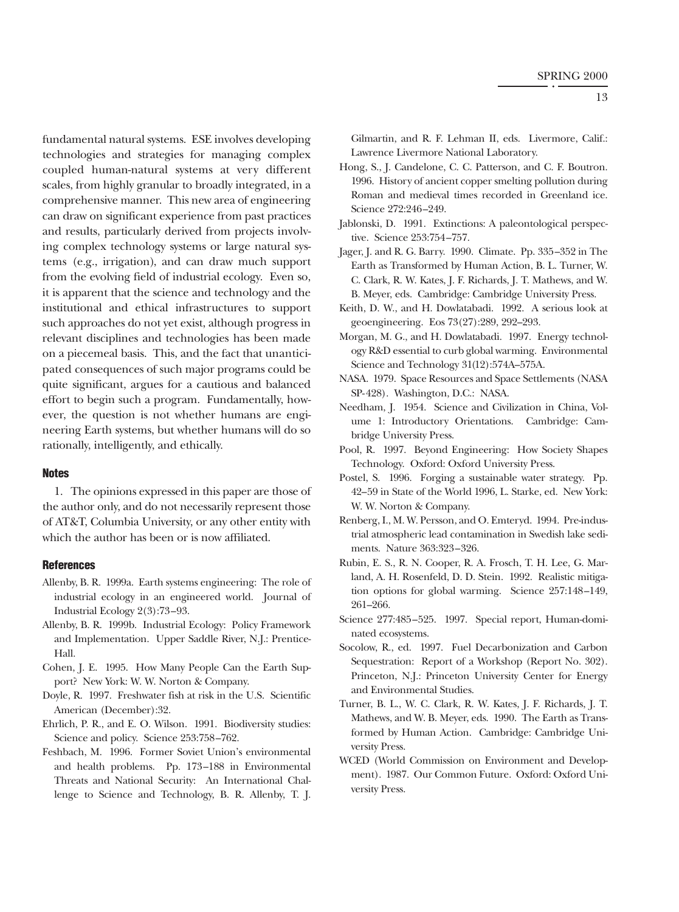fundamental natural systems. ESE involves developing technologies and strategies for managing complex coupled human-natural systems at very different scales, from highly granular to broadly integrated, in a comprehensive manner. This new area of engineering can draw on significant experience from past practices and results, particularly derived from projects involving complex technology systems or large natural systems (e.g., irrigation), and can draw much support from the evolving field of industrial ecology. Even so, it is apparent that the science and technology and the institutional and ethical infrastructures to support such approaches do not yet exist, although progress in relevant disciplines and technologies has been made on a piecemeal basis. This, and the fact that unanticipated consequences of such major programs could be quite significant, argues for a cautious and balanced effort to begin such a program. Fundamentally, however, the question is not whether humans are engineering Earth systems, but whether humans will do so rationally, intelligently, and ethically.

### **Notes**

1. The opinions expressed in this paper are those of the author only, and do not necessarily represent those of AT&T, Columbia University, or any other entity with which the author has been or is now affiliated.

#### **References**

- Allenby, B. R. 1999a. Earth systems engineering: The role of industrial ecology in an engineered world. Journal of Industrial Ecology 2(3):73–93.
- Allenby, B. R. 1999b. Industrial Ecology: Policy Framework and Implementation. Upper Saddle River, N.J.: Prentice-Hall.
- Cohen, J. E. 1995. How Many People Can the Earth Support? New York: W. W. Norton & Company.
- Doyle, R. 1997. Freshwater fish at risk in the U.S. Scientific American (December):32.
- Ehrlich, P. R., and E. O. Wilson. 1991. Biodiversity studies: Science and policy. Science 253:758–762.
- Feshbach, M. 1996. Former Soviet Union's environmental and health problems. Pp. 173–188 in Environmental Threats and National Security: An International Challenge to Science and Technology, B. R. Allenby, T. J.

Gilmartin, and R. F. Lehman II, eds. Livermore, Calif.: Lawrence Livermore National Laboratory.

- Hong, S., J. Candelone, C. C. Patterson, and C. F. Boutron. 1996. History of ancient copper smelting pollution during Roman and medieval times recorded in Greenland ice. Science 272:246–249.
- Jablonski, D. 1991. Extinctions: A paleontological perspective. Science 253:754–757.
- Jager, J. and R. G. Barry. 1990. Climate. Pp. 335–352 in The Earth as Transformed by Human Action, B. L. Turner, W. C. Clark, R. W. Kates, J. F. Richards, J. T. Mathews, and W. B. Meyer, eds. Cambridge: Cambridge University Press.
- Keith, D. W., and H. Dowlatabadi. 1992. A serious look at geoengineering. Eos 73(27):289, 292–293.
- Morgan, M. G., and H. Dowlatabadi. 1997. Energy technology R&D essential to curb global warming. Environmental Science and Technology 31(12):574A–575A.
- NASA. 1979. Space Resources and Space Settlements (NASA SP-428). Washington, D.C.: NASA.
- Needham, J. 1954. Science and Civilization in China, Volume 1: Introductory Orientations. Cambridge: Cambridge University Press.
- Pool, R. 1997. Beyond Engineering: How Society Shapes Technology. Oxford: Oxford University Press.
- Postel, S. 1996. Forging a sustainable water strategy. Pp. 42–59 in State of the World 1996, L. Starke, ed. New York: W. W. Norton & Company.
- Renberg, I., M. W. Persson, and O. Emteryd. 1994. Pre-industrial atmospheric lead contamination in Swedish lake sediments. Nature 363:323–326.
- Rubin, E. S., R. N. Cooper, R. A. Frosch, T. H. Lee, G. Marland, A. H. Rosenfeld, D. D. Stein. 1992. Realistic mitigation options for global warming. Science 257:148–149, 261–266.
- Science 277:485–525. 1997. Special report, Human-dominated ecosystems.
- Socolow, R., ed. 1997. Fuel Decarbonization and Carbon Sequestration: Report of a Workshop (Report No. 302). Princeton, N.J.: Princeton University Center for Energy and Environmental Studies.
- Turner, B. L., W. C. Clark, R. W. Kates, J. F. Richards, J. T. Mathews, and W. B. Meyer, eds. 1990. The Earth as Transformed by Human Action. Cambridge: Cambridge University Press.
- WCED (World Commission on Environment and Development). 1987. Our Common Future. Oxford: Oxford University Press.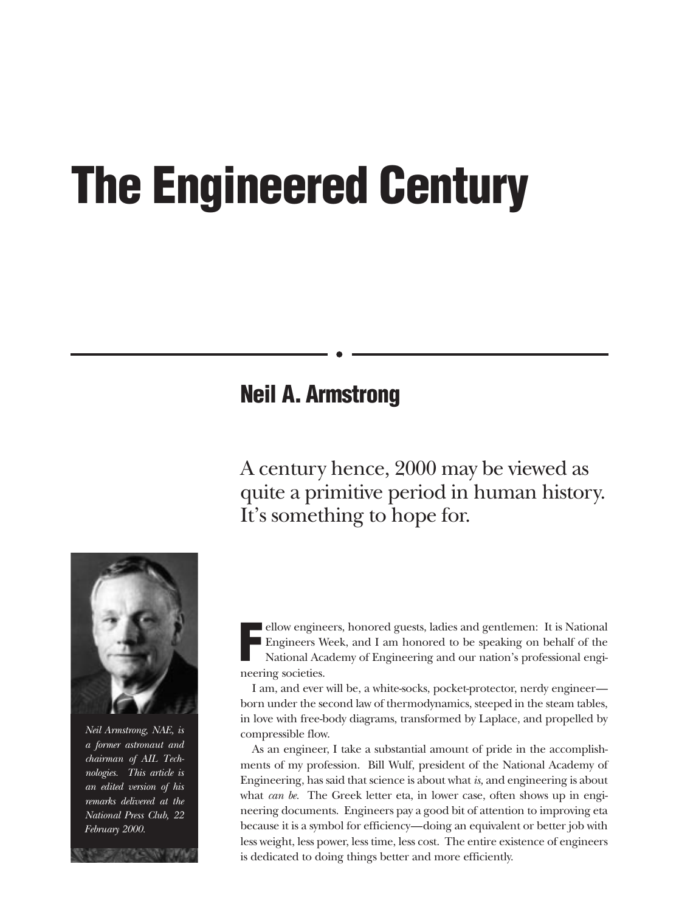# <span id="page-14-0"></span>**The Engineered Century**

### **Neil A. Armstrong**

A century hence, 2000 may be viewed as quite a primitive period in human history. It's something to hope for.



*Neil Armstrong, NAE, is a former astronaut and chairman of AIL Technologies. This article is an edited version of his remarks delivered at the National Press Club, 22 February 2000.*

**F** ellow engineers, honored guests, ladies and gentlemen: It is National Engineers Week, and I am honored to be speaking on behalf of the National Academy of Engineering and our nation's professional engineering societies.

I am, and ever will be, a white-socks, pocket-protector, nerdy engineer born under the second law of thermodynamics, steeped in the steam tables, in love with free-body diagrams, transformed by Laplace, and propelled by compressible flow.

As an engineer, I take a substantial amount of pride in the accomplishments of my profession. Bill Wulf, president of the National Academy of Engineering, has said that science is about what *is,* and engineering is about what *can be*. The Greek letter eta, in lower case, often shows up in engineering documents. Engineers pay a good bit of attention to improving eta because it is a symbol for efficiency—doing an equivalent or better job with less weight, less power, less time, less cost. The entire existence of engineers is dedicated to doing things better and more efficiently.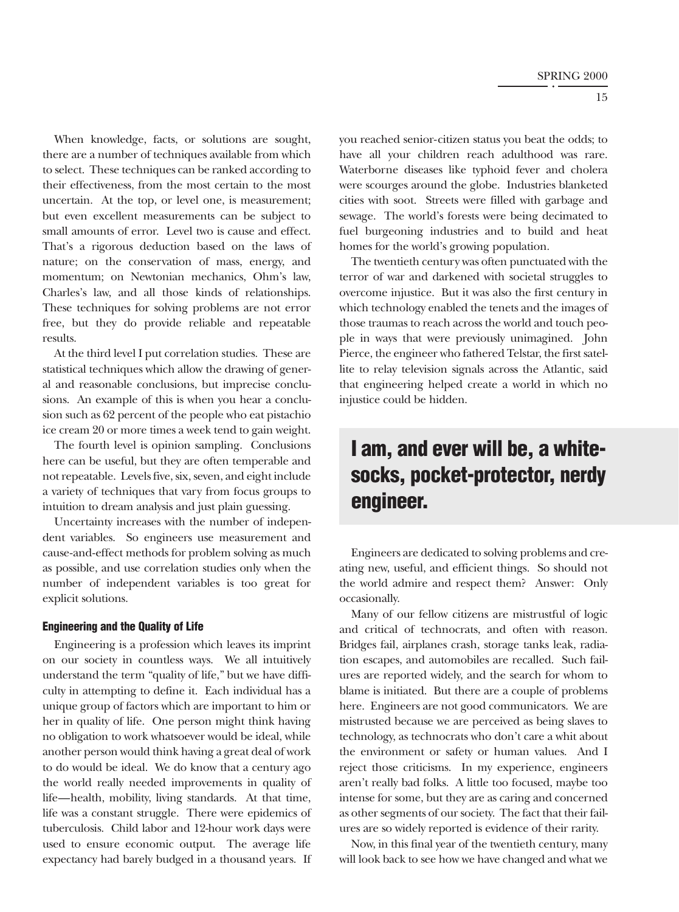When knowledge, facts, or solutions are sought, there are a number of techniques available from which to select. These techniques can be ranked according to their effectiveness, from the most certain to the most uncertain. At the top, or level one, is measurement; but even excellent measurements can be subject to small amounts of error. Level two is cause and effect. That's a rigorous deduction based on the laws of nature; on the conservation of mass, energy, and momentum; on Newtonian mechanics, Ohm's law, Charles's law, and all those kinds of relationships. These techniques for solving problems are not error free, but they do provide reliable and repeatable results.

At the third level I put correlation studies. These are statistical techniques which allow the drawing of general and reasonable conclusions, but imprecise conclusions. An example of this is when you hear a conclusion such as 62 percent of the people who eat pistachio ice cream 20 or more times a week tend to gain weight.

The fourth level is opinion sampling. Conclusions here can be useful, but they are often temperable and not repeatable. Levels five, six, seven, and eight include a variety of techniques that vary from focus groups to intuition to dream analysis and just plain guessing.

Uncertainty increases with the number of independent variables. So engineers use measurement and cause-and-effect methods for problem solving as much as possible, and use correlation studies only when the number of independent variables is too great for explicit solutions.

#### **Engineering and the Quality of Life**

Engineering is a profession which leaves its imprint on our society in countless ways. We all intuitively understand the term "quality of life," but we have difficulty in attempting to define it. Each individual has a unique group of factors which are important to him or her in quality of life. One person might think having no obligation to work whatsoever would be ideal, while another person would think having a great deal of work to do would be ideal. We do know that a century ago the world really needed improvements in quality of life—health, mobility, living standards. At that time, life was a constant struggle. There were epidemics of tuberculosis. Child labor and 12-hour work days were used to ensure economic output. The average life expectancy had barely budged in a thousand years. If you reached senior-citizen status you beat the odds; to have all your children reach adulthood was rare. Waterborne diseases like typhoid fever and cholera were scourges around the globe. Industries blanketed cities with soot. Streets were filled with garbage and sewage. The world's forests were being decimated to fuel burgeoning industries and to build and heat homes for the world's growing population.

The twentieth century was often punctuated with the terror of war and darkened with societal struggles to overcome injustice. But it was also the first century in which technology enabled the tenets and the images of those traumas to reach across the world and touch people in ways that were previously unimagined. John Pierce, the engineer who fathered Telstar, the first satellite to relay television signals across the Atlantic, said that engineering helped create a world in which no injustice could be hidden.

### **I am, and ever will be, a whitesocks, pocket-protector, nerdy engineer.**

Engineers are dedicated to solving problems and creating new, useful, and efficient things. So should not the world admire and respect them? Answer: Only occasionally.

Many of our fellow citizens are mistrustful of logic and critical of technocrats, and often with reason. Bridges fail, airplanes crash, storage tanks leak, radiation escapes, and automobiles are recalled. Such failures are reported widely, and the search for whom to blame is initiated. But there are a couple of problems here. Engineers are not good communicators. We are mistrusted because we are perceived as being slaves to technology, as technocrats who don't care a whit about the environment or safety or human values. And I reject those criticisms. In my experience, engineers aren't really bad folks. A little too focused, maybe too intense for some, but they are as caring and concerned as other segments of our society. The fact that their failures are so widely reported is evidence of their rarity.

Now, in this final year of the twentieth century, many will look back to see how we have changed and what we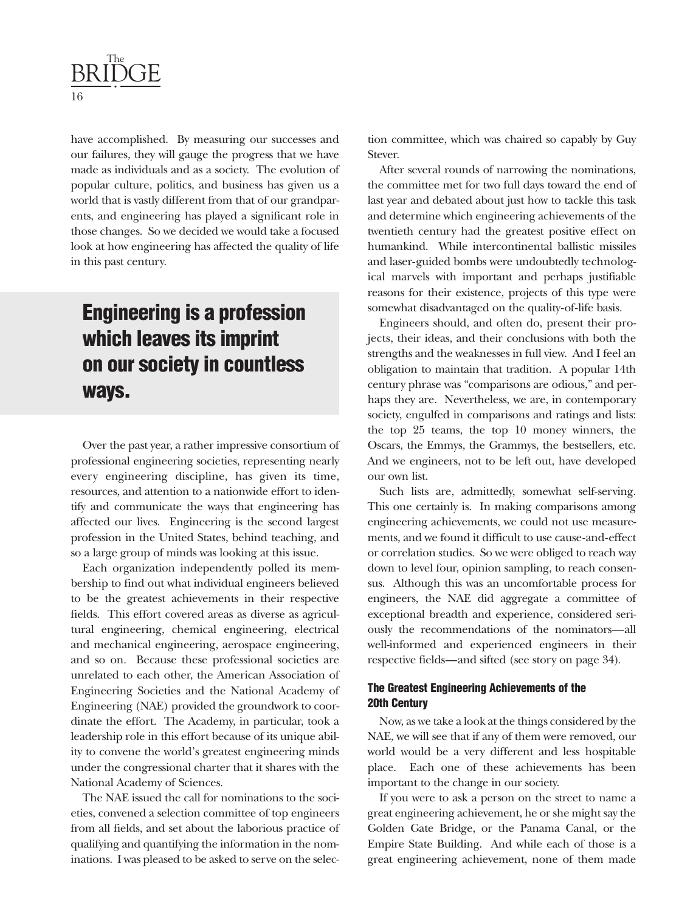

have accomplished. By measuring our successes and our failures, they will gauge the progress that we have made as individuals and as a society. The evolution of popular culture, politics, and business has given us a world that is vastly different from that of our grandparents, and engineering has played a significant role in those changes. So we decided we would take a focused look at how engineering has affected the quality of life in this past century.

### **Engineering is a profession which leaves its imprint on our society in countless ways.**

Over the past year, a rather impressive consortium of professional engineering societies, representing nearly every engineering discipline, has given its time, resources, and attention to a nationwide effort to identify and communicate the ways that engineering has affected our lives. Engineering is the second largest profession in the United States, behind teaching, and so a large group of minds was looking at this issue.

Each organization independently polled its membership to find out what individual engineers believed to be the greatest achievements in their respective fields. This effort covered areas as diverse as agricultural engineering, chemical engineering, electrical and mechanical engineering, aerospace engineering, and so on. Because these professional societies are unrelated to each other, the American Association of Engineering Societies and the National Academy of Engineering (NAE) provided the groundwork to coordinate the effort. The Academy, in particular, took a leadership role in this effort because of its unique ability to convene the world's greatest engineering minds under the congressional charter that it shares with the National Academy of Sciences.

The NAE issued the call for nominations to the societies, convened a selection committee of top engineers from all fields, and set about the laborious practice of qualifying and quantifying the information in the nominations. I was pleased to be asked to serve on the selection committee, which was chaired so capably by Guy Stever.

After several rounds of narrowing the nominations, the committee met for two full days toward the end of last year and debated about just how to tackle this task and determine which engineering achievements of the twentieth century had the greatest positive effect on humankind. While intercontinental ballistic missiles and laser-guided bombs were undoubtedly technological marvels with important and perhaps justifiable reasons for their existence, projects of this type were somewhat disadvantaged on the quality-of-life basis.

Engineers should, and often do, present their projects, their ideas, and their conclusions with both the strengths and the weaknesses in full view. And I feel an obligation to maintain that tradition. A popular 14th century phrase was "comparisons are odious," and perhaps they are. Nevertheless, we are, in contemporary society, engulfed in comparisons and ratings and lists: the top 25 teams, the top 10 money winners, the Oscars, the Emmys, the Grammys, the bestsellers, etc. And we engineers, not to be left out, have developed our own list.

Such lists are, admittedly, somewhat self-serving. This one certainly is. In making comparisons among engineering achievements, we could not use measurements, and we found it difficult to use cause-and-effect or correlation studies. So we were obliged to reach way down to level four, opinion sampling, to reach consensus. Although this was an uncomfortable process for engineers, the NAE did aggregate a committee of exceptional breadth and experience, considered seriously the recommendations of the nominators—all well-informed and experienced engineers in their respective fields—and sifted (see story on page 34).

### **The Greatest Engineering Achievements of the 20th Century**

Now, as we take a look at the things considered by the NAE, we will see that if any of them were removed, our world would be a very different and less hospitable place. Each one of these achievements has been important to the change in our society.

If you were to ask a person on the street to name a great engineering achievement, he or she might say the Golden Gate Bridge, or the Panama Canal, or the Empire State Building. And while each of those is a great engineering achievement, none of them made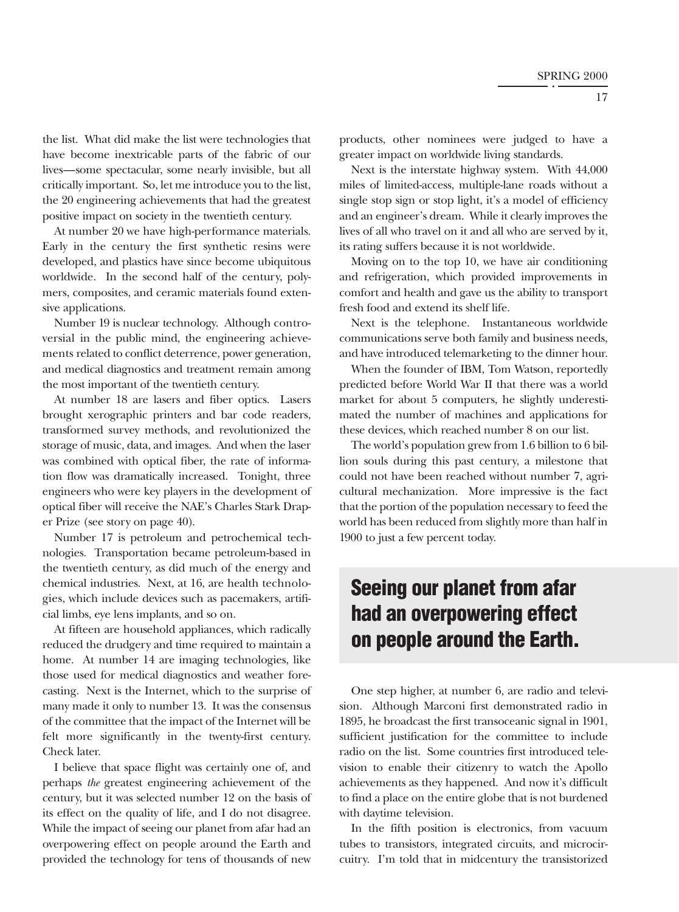the list. What did make the list were technologies that have become inextricable parts of the fabric of our lives—some spectacular, some nearly invisible, but all critically important. So, let me introduce you to the list, the 20 engineering achievements that had the greatest positive impact on society in the twentieth century.

At number 20 we have high-performance materials. Early in the century the first synthetic resins were developed, and plastics have since become ubiquitous worldwide. In the second half of the century, polymers, composites, and ceramic materials found extensive applications.

Number 19 is nuclear technology. Although controversial in the public mind, the engineering achievements related to conflict deterrence, power generation, and medical diagnostics and treatment remain among the most important of the twentieth century.

At number 18 are lasers and fiber optics. Lasers brought xerographic printers and bar code readers, transformed survey methods, and revolutionized the storage of music, data, and images. And when the laser was combined with optical fiber, the rate of information flow was dramatically increased. Tonight, three engineers who were key players in the development of optical fiber will receive the NAE's Charles Stark Draper Prize (see story on page 40).

Number 17 is petroleum and petrochemical technologies. Transportation became petroleum-based in the twentieth century, as did much of the energy and chemical industries. Next, at 16, are health technologies, which include devices such as pacemakers, artificial limbs, eye lens implants, and so on.

At fifteen are household appliances, which radically reduced the drudgery and time required to maintain a home. At number 14 are imaging technologies, like those used for medical diagnostics and weather forecasting. Next is the Internet, which to the surprise of many made it only to number 13. It was the consensus of the committee that the impact of the Internet will be felt more significantly in the twenty-first century. Check later.

I believe that space flight was certainly one of, and perhaps *the* greatest engineering achievement of the century, but it was selected number 12 on the basis of its effect on the quality of life, and I do not disagree. While the impact of seeing our planet from afar had an overpowering effect on people around the Earth and provided the technology for tens of thousands of new

products, other nominees were judged to have a greater impact on worldwide living standards.

Next is the interstate highway system. With 44,000 miles of limited-access, multiple-lane roads without a single stop sign or stop light, it's a model of efficiency and an engineer's dream. While it clearly improves the lives of all who travel on it and all who are served by it, its rating suffers because it is not worldwide.

Moving on to the top 10, we have air conditioning and refrigeration, which provided improvements in comfort and health and gave us the ability to transport fresh food and extend its shelf life.

Next is the telephone. Instantaneous worldwide communications serve both family and business needs, and have introduced telemarketing to the dinner hour.

When the founder of IBM, Tom Watson, reportedly predicted before World War II that there was a world market for about 5 computers, he slightly underestimated the number of machines and applications for these devices, which reached number 8 on our list.

The world's population grew from 1.6 billion to 6 billion souls during this past century, a milestone that could not have been reached without number 7, agricultural mechanization. More impressive is the fact that the portion of the population necessary to feed the world has been reduced from slightly more than half in 1900 to just a few percent today.

### **Seeing our planet from afar had an overpowering effect on people around the Earth.**

One step higher, at number 6, are radio and television. Although Marconi first demonstrated radio in 1895, he broadcast the first transoceanic signal in 1901, sufficient justification for the committee to include radio on the list. Some countries first introduced television to enable their citizenry to watch the Apollo achievements as they happened. And now it's difficult to find a place on the entire globe that is not burdened with daytime television.

In the fifth position is electronics, from vacuum tubes to transistors, integrated circuits, and microcircuitry. I'm told that in midcentury the transistorized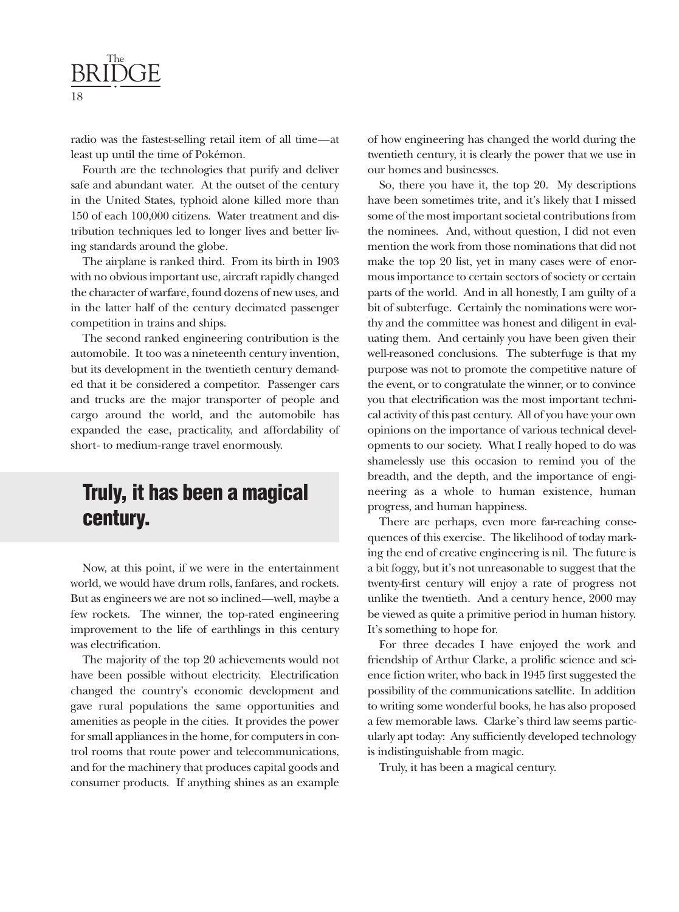

radio was the fastest-selling retail item of all time—at least up until the time of Pokémon.

Fourth are the technologies that purify and deliver safe and abundant water. At the outset of the century in the United States, typhoid alone killed more than 150 of each 100,000 citizens. Water treatment and distribution techniques led to longer lives and better living standards around the globe.

The airplane is ranked third. From its birth in 1903 with no obvious important use, aircraft rapidly changed the character of warfare, found dozens of new uses, and in the latter half of the century decimated passenger competition in trains and ships.

The second ranked engineering contribution is the automobile. It too was a nineteenth century invention, but its development in the twentieth century demanded that it be considered a competitor. Passenger cars and trucks are the major transporter of people and cargo around the world, and the automobile has expanded the ease, practicality, and affordability of short- to medium-range travel enormously.

### **Truly, it has been a magical century.**

Now, at this point, if we were in the entertainment world, we would have drum rolls, fanfares, and rockets. But as engineers we are not so inclined—well, maybe a few rockets. The winner, the top-rated engineering improvement to the life of earthlings in this century was electrification.

The majority of the top 20 achievements would not have been possible without electricity. Electrification changed the country's economic development and gave rural populations the same opportunities and amenities as people in the cities. It provides the power for small appliances in the home, for computers in control rooms that route power and telecommunications, and for the machinery that produces capital goods and consumer products. If anything shines as an example of how engineering has changed the world during the twentieth century, it is clearly the power that we use in our homes and businesses.

So, there you have it, the top 20. My descriptions have been sometimes trite, and it's likely that I missed some of the most important societal contributions from the nominees. And, without question, I did not even mention the work from those nominations that did not make the top 20 list, yet in many cases were of enormous importance to certain sectors of society or certain parts of the world. And in all honestly, I am guilty of a bit of subterfuge. Certainly the nominations were worthy and the committee was honest and diligent in evaluating them. And certainly you have been given their well-reasoned conclusions. The subterfuge is that my purpose was not to promote the competitive nature of the event, or to congratulate the winner, or to convince you that electrification was the most important technical activity of this past century. All of you have your own opinions on the importance of various technical developments to our society. What I really hoped to do was shamelessly use this occasion to remind you of the breadth, and the depth, and the importance of engineering as a whole to human existence, human progress, and human happiness.

There are perhaps, even more far-reaching consequences of this exercise. The likelihood of today marking the end of creative engineering is nil. The future is a bit foggy, but it's not unreasonable to suggest that the twenty-first century will enjoy a rate of progress not unlike the twentieth. And a century hence, 2000 may be viewed as quite a primitive period in human history. It's something to hope for.

For three decades I have enjoyed the work and friendship of Arthur Clarke, a prolific science and science fiction writer, who back in 1945 first suggested the possibility of the communications satellite. In addition to writing some wonderful books, he has also proposed a few memorable laws. Clarke's third law seems particularly apt today: Any sufficiently developed technology is indistinguishable from magic.

Truly, it has been a magical century.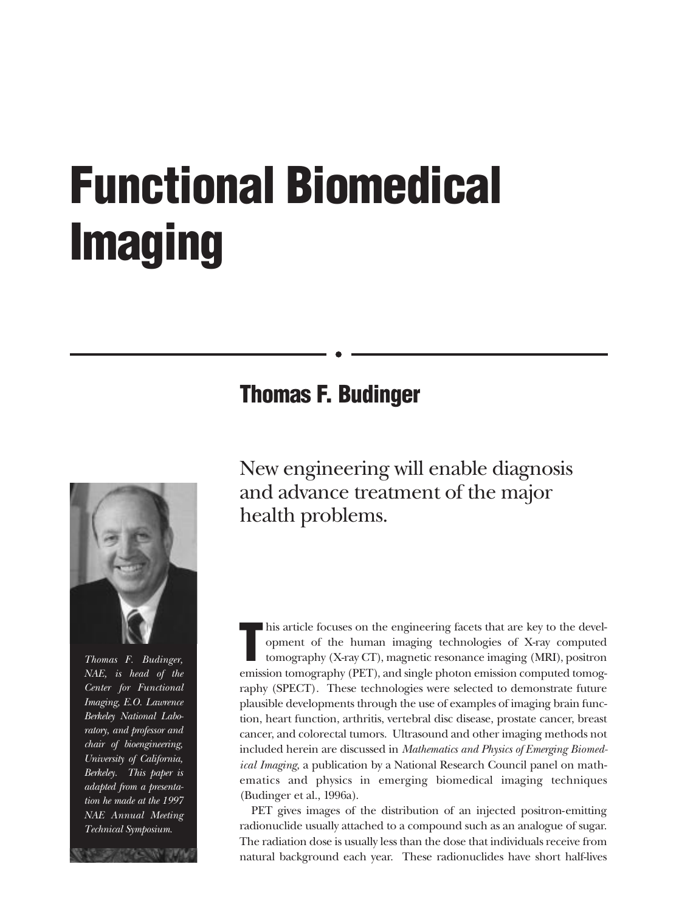# <span id="page-19-0"></span>**Functional Biomedical Imaging**

### **Thomas F. Budinger**



*Thomas F. Budinger, NAE, is head of the Center for Functional Imaging, E.O. Lawrence Berkeley National Laboratory, and professor and chair of bioengineering, University of California, Berkeley. This paper is adapted from a presentation he made at the 1997 NAE Annual Meeting Technical Symposium.*

New engineering will enable diagnosis and advance treatment of the major health problems.

**T** his article focuses on the engineering facets that are key to the development of the human imaging technologies of X-ray computed tomography (X-ray CT), magnetic resonance imaging (MRI), positron emission tomography (PET), and single photon emission computed tomography (SPECT). These technologies were selected to demonstrate future plausible developments through the use of examples of imaging brain function, heart function, arthritis, vertebral disc disease, prostate cancer, breast cancer, and colorectal tumors. Ultrasound and other imaging methods not included herein are discussed in *Mathematics and Physics of Emerging Biomedical Imaging,* a publication by a National Research Council panel on mathematics and physics in emerging biomedical imaging techniques (Budinger et al., 1996a).

PET gives images of the distribution of an injected positron-emitting radionuclide usually attached to a compound such as an analogue of sugar. The radiation dose is usually less than the dose that individuals receive from natural background each year. These radionuclides have short half-lives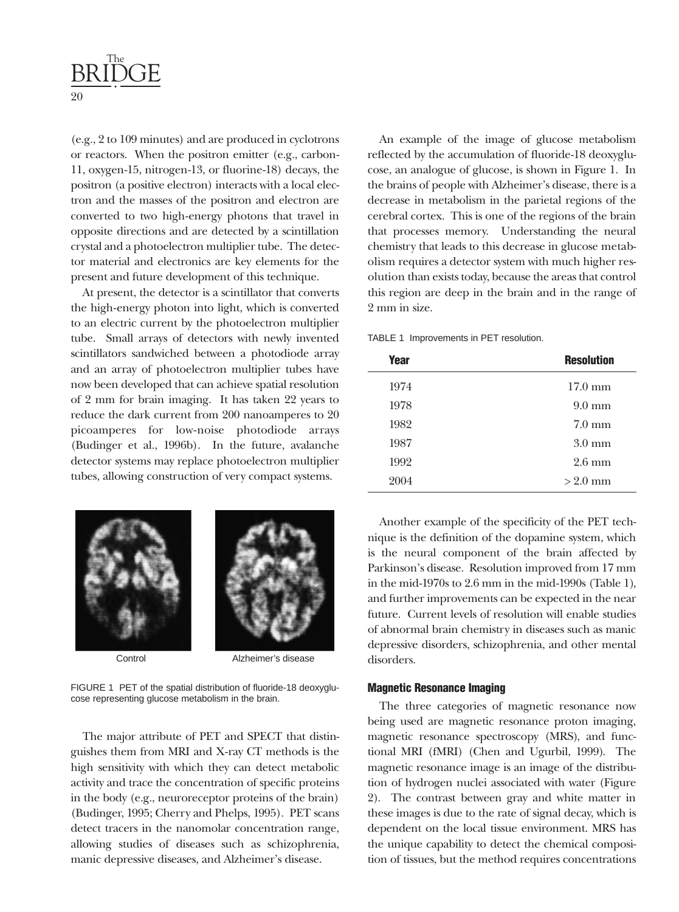

(e.g., 2 to 109 minutes) and are produced in cyclotrons or reactors. When the positron emitter (e.g., carbon-11, oxygen-15, nitrogen-13, or fluorine-18) decays, the positron (a positive electron) interacts with a local electron and the masses of the positron and electron are converted to two high-energy photons that travel in opposite directions and are detected by a scintillation crystal and a photoelectron multiplier tube. The detector material and electronics are key elements for the present and future development of this technique.

At present, the detector is a scintillator that converts the high-energy photon into light, which is converted to an electric current by the photoelectron multiplier tube. Small arrays of detectors with newly invented scintillators sandwiched between a photodiode array and an array of photoelectron multiplier tubes have now been developed that can achieve spatial resolution of 2 mm for brain imaging. It has taken 22 years to reduce the dark current from 200 nanoamperes to 20 picoamperes for low-noise photodiode arrays (Budinger et al., 1996b). In the future, avalanche detector systems may replace photoelectron multiplier tubes, allowing construction of very compact systems.





Control Alzheimer's disease

FIGURE 1 PET of the spatial distribution of fluoride-18 deoxyglucose representing glucose metabolism in the brain.

The major attribute of PET and SPECT that distinguishes them from MRI and X-ray CT methods is the high sensitivity with which they can detect metabolic activity and trace the concentration of specific proteins in the body (e.g., neuroreceptor proteins of the brain) (Budinger, 1995; Cherry and Phelps, 1995). PET scans detect tracers in the nanomolar concentration range, allowing studies of diseases such as schizophrenia, manic depressive diseases, and Alzheimer's disease.

An example of the image of glucose metabolism reflected by the accumulation of fluoride-18 deoxyglucose, an analogue of glucose, is shown in Figure 1. In the brains of people with Alzheimer's disease, there is a decrease in metabolism in the parietal regions of the cerebral cortex. This is one of the regions of the brain that processes memory. Understanding the neural chemistry that leads to this decrease in glucose metabolism requires a detector system with much higher resolution than exists today, because the areas that control this region are deep in the brain and in the range of 2 mm in size.

TABLE 1 Improvements in PET resolution.

| <b>Year</b> | <b>Resolution</b> |
|-------------|-------------------|
| 1974        | $17.0 \text{ mm}$ |
| 1978        | $9.0 \text{ mm}$  |
| 1982        | $7.0 \text{ mm}$  |
| 1987        | $3.0 \text{ mm}$  |
| 1992        | $2.6 \text{ mm}$  |
| 2004        | $>2.0$ mm         |

Another example of the specificity of the PET technique is the definition of the dopamine system, which is the neural component of the brain affected by Parkinson's disease. Resolution improved from 17 mm in the mid-1970s to 2.6 mm in the mid-1990s (Table 1), and further improvements can be expected in the near future. Current levels of resolution will enable studies of abnormal brain chemistry in diseases such as manic depressive disorders, schizophrenia, and other mental disorders.

#### **Magnetic Resonance Imaging**

The three categories of magnetic resonance now being used are magnetic resonance proton imaging, magnetic resonance spectroscopy (MRS), and functional MRI (fMRI) (Chen and Ugurbil, 1999). The magnetic resonance image is an image of the distribution of hydrogen nuclei associated with water (Figure 2). The contrast between gray and white matter in these images is due to the rate of signal decay, which is dependent on the local tissue environment. MRS has the unique capability to detect the chemical composition of tissues, but the method requires concentrations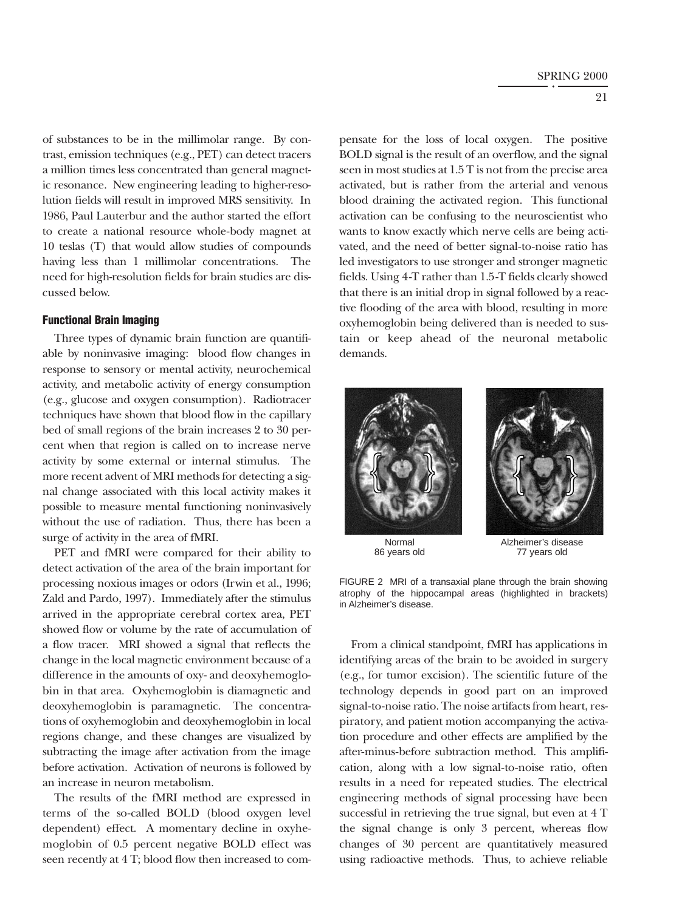of substances to be in the millimolar range. By contrast, emission techniques (e.g., PET) can detect tracers a million times less concentrated than general magnetic resonance. New engineering leading to higher-resolution fields will result in improved MRS sensitivity. In 1986, Paul Lauterbur and the author started the effort to create a national resource whole-body magnet at 10 teslas (T) that would allow studies of compounds having less than 1 millimolar concentrations. The need for high-resolution fields for brain studies are discussed below.

#### **Functional Brain Imaging**

Three types of dynamic brain function are quantifiable by noninvasive imaging: blood flow changes in response to sensory or mental activity, neurochemical activity, and metabolic activity of energy consumption (e.g., glucose and oxygen consumption). Radiotracer techniques have shown that blood flow in the capillary bed of small regions of the brain increases 2 to 30 percent when that region is called on to increase nerve activity by some external or internal stimulus. The more recent advent of MRI methods for detecting a signal change associated with this local activity makes it possible to measure mental functioning noninvasively without the use of radiation. Thus, there has been a surge of activity in the area of fMRI.

PET and fMRI were compared for their ability to detect activation of the area of the brain important for processing noxious images or odors (Irwin et al., 1996; Zald and Pardo, 1997). Immediately after the stimulus arrived in the appropriate cerebral cortex area, PET showed flow or volume by the rate of accumulation of a flow tracer. MRI showed a signal that reflects the change in the local magnetic environment because of a difference in the amounts of oxy- and deoxyhemoglobin in that area. Oxyhemoglobin is diamagnetic and deoxyhemoglobin is paramagnetic. The concentrations of oxyhemoglobin and deoxyhemoglobin in local regions change, and these changes are visualized by subtracting the image after activation from the image before activation. Activation of neurons is followed by an increase in neuron metabolism.

The results of the fMRI method are expressed in terms of the so-called BOLD (blood oxygen level dependent) effect. A momentary decline in oxyhemoglobin of 0.5 percent negative BOLD effect was seen recently at 4 T; blood flow then increased to compensate for the loss of local oxygen. The positive BOLD signal is the result of an overflow, and the signal seen in most studies at 1.5 T is not from the precise area activated, but is rather from the arterial and venous blood draining the activated region. This functional activation can be confusing to the neuroscientist who wants to know exactly which nerve cells are being activated, and the need of better signal-to-noise ratio has led investigators to use stronger and stronger magnetic fields. Using 4-T rather than 1.5-T fields clearly showed that there is an initial drop in signal followed by a reactive flooding of the area with blood, resulting in more oxyhemoglobin being delivered than is needed to sustain or keep ahead of the neuronal metabolic demands.





86 years old

Normal Alzheimer's disease<br>
i vears old a a 77 vears old

FIGURE 2 MRI of a transaxial plane through the brain showing atrophy of the hippocampal areas (highlighted in brackets) in Alzheimer's disease.

From a clinical standpoint, fMRI has applications in identifying areas of the brain to be avoided in surgery (e.g., for tumor excision). The scientific future of the technology depends in good part on an improved signal-to-noise ratio. The noise artifacts from heart, respiratory, and patient motion accompanying the activation procedure and other effects are amplified by the after-minus-before subtraction method. This amplification, along with a low signal-to-noise ratio, often results in a need for repeated studies. The electrical engineering methods of signal processing have been successful in retrieving the true signal, but even at 4 T the signal change is only 3 percent, whereas flow changes of 30 percent are quantitatively measured using radioactive methods. Thus, to achieve reliable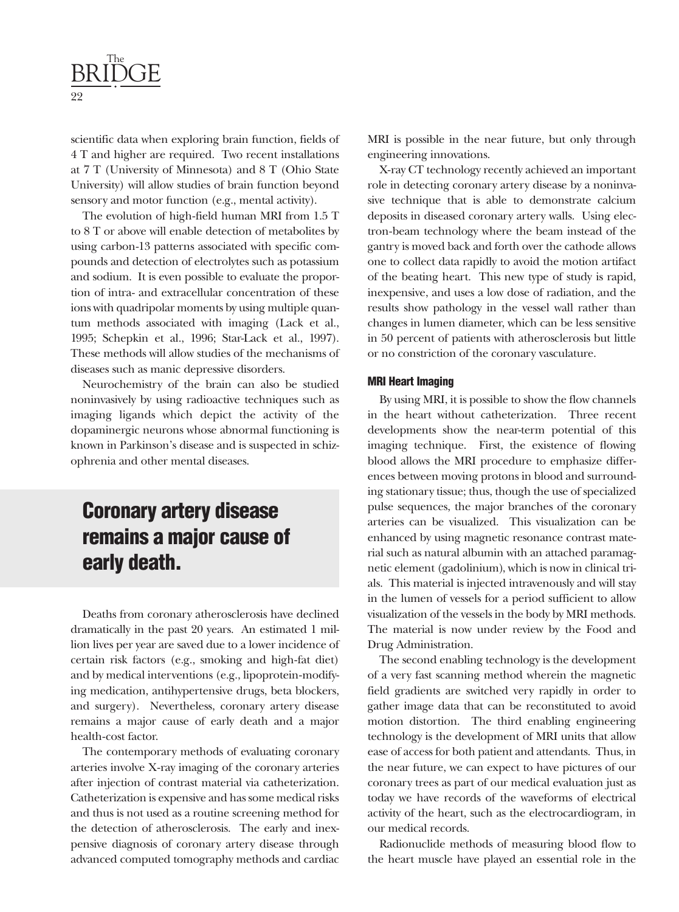

scientific data when exploring brain function, fields of 4 T and higher are required. Two recent installations at 7 T (University of Minnesota) and 8 T (Ohio State University) will allow studies of brain function beyond sensory and motor function (e.g., mental activity).

The evolution of high-field human MRI from 1.5 T to 8 T or above will enable detection of metabolites by using carbon-13 patterns associated with specific compounds and detection of electrolytes such as potassium and sodium. It is even possible to evaluate the proportion of intra- and extracellular concentration of these ions with quadripolar moments by using multiple quantum methods associated with imaging (Lack et al., 1995; Schepkin et al., 1996; Star-Lack et al., 1997). These methods will allow studies of the mechanisms of diseases such as manic depressive disorders.

Neurochemistry of the brain can also be studied noninvasively by using radioactive techniques such as imaging ligands which depict the activity of the dopaminergic neurons whose abnormal functioning is known in Parkinson's disease and is suspected in schizophrenia and other mental diseases.

### **Coronary artery disease remains a major cause of early death.**

Deaths from coronary atherosclerosis have declined dramatically in the past 20 years. An estimated 1 million lives per year are saved due to a lower incidence of certain risk factors (e.g., smoking and high-fat diet) and by medical interventions (e.g., lipoprotein-modifying medication, antihypertensive drugs, beta blockers, and surgery). Nevertheless, coronary artery disease remains a major cause of early death and a major health-cost factor.

The contemporary methods of evaluating coronary arteries involve X-ray imaging of the coronary arteries after injection of contrast material via catheterization. Catheterization is expensive and has some medical risks and thus is not used as a routine screening method for the detection of atherosclerosis. The early and inexpensive diagnosis of coronary artery disease through advanced computed tomography methods and cardiac

MRI is possible in the near future, but only through engineering innovations.

X-ray CT technology recently achieved an important role in detecting coronary artery disease by a noninvasive technique that is able to demonstrate calcium deposits in diseased coronary artery walls. Using electron-beam technology where the beam instead of the gantry is moved back and forth over the cathode allows one to collect data rapidly to avoid the motion artifact of the beating heart. This new type of study is rapid, inexpensive, and uses a low dose of radiation, and the results show pathology in the vessel wall rather than changes in lumen diameter, which can be less sensitive in 50 percent of patients with atherosclerosis but little or no constriction of the coronary vasculature.

#### **MRI Heart Imaging**

By using MRI, it is possible to show the flow channels in the heart without catheterization. Three recent developments show the near-term potential of this imaging technique. First, the existence of flowing blood allows the MRI procedure to emphasize differences between moving protons in blood and surrounding stationary tissue; thus, though the use of specialized pulse sequences, the major branches of the coronary arteries can be visualized. This visualization can be enhanced by using magnetic resonance contrast material such as natural albumin with an attached paramagnetic element (gadolinium), which is now in clinical trials. This material is injected intravenously and will stay in the lumen of vessels for a period sufficient to allow visualization of the vessels in the body by MRI methods. The material is now under review by the Food and Drug Administration.

The second enabling technology is the development of a very fast scanning method wherein the magnetic field gradients are switched very rapidly in order to gather image data that can be reconstituted to avoid motion distortion. The third enabling engineering technology is the development of MRI units that allow ease of access for both patient and attendants. Thus, in the near future, we can expect to have pictures of our coronary trees as part of our medical evaluation just as today we have records of the waveforms of electrical activity of the heart, such as the electrocardiogram, in our medical records.

Radionuclide methods of measuring blood flow to the heart muscle have played an essential role in the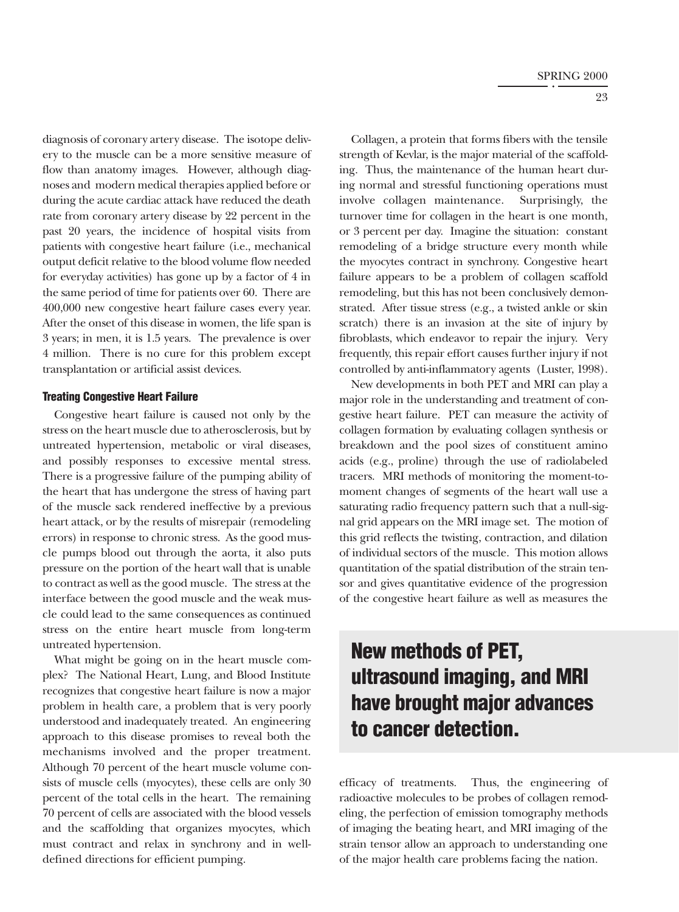diagnosis of coronary artery disease. The isotope delivery to the muscle can be a more sensitive measure of flow than anatomy images. However, although diagnoses and modern medical therapies applied before or during the acute cardiac attack have reduced the death rate from coronary artery disease by 22 percent in the past 20 years, the incidence of hospital visits from patients with congestive heart failure (i.e., mechanical output deficit relative to the blood volume flow needed for everyday activities) has gone up by a factor of 4 in the same period of time for patients over 60. There are 400,000 new congestive heart failure cases every year. After the onset of this disease in women, the life span is 3 years; in men, it is 1.5 years. The prevalence is over 4 million. There is no cure for this problem except transplantation or artificial assist devices.

#### **Treating Congestive Heart Failure**

Congestive heart failure is caused not only by the stress on the heart muscle due to atherosclerosis, but by untreated hypertension, metabolic or viral diseases, and possibly responses to excessive mental stress. There is a progressive failure of the pumping ability of the heart that has undergone the stress of having part of the muscle sack rendered ineffective by a previous heart attack, or by the results of misrepair (remodeling errors) in response to chronic stress. As the good muscle pumps blood out through the aorta, it also puts pressure on the portion of the heart wall that is unable to contract as well as the good muscle. The stress at the interface between the good muscle and the weak muscle could lead to the same consequences as continued stress on the entire heart muscle from long-term untreated hypertension.

What might be going on in the heart muscle complex? The National Heart, Lung, and Blood Institute recognizes that congestive heart failure is now a major problem in health care, a problem that is very poorly understood and inadequately treated. An engineering approach to this disease promises to reveal both the mechanisms involved and the proper treatment. Although 70 percent of the heart muscle volume consists of muscle cells (myocytes), these cells are only 30 percent of the total cells in the heart. The remaining 70 percent of cells are associated with the blood vessels and the scaffolding that organizes myocytes, which must contract and relax in synchrony and in welldefined directions for efficient pumping.

Collagen, a protein that forms fibers with the tensile strength of Kevlar, is the major material of the scaffolding. Thus, the maintenance of the human heart during normal and stressful functioning operations must involve collagen maintenance. Surprisingly, the turnover time for collagen in the heart is one month, or 3 percent per day. Imagine the situation: constant remodeling of a bridge structure every month while the myocytes contract in synchrony. Congestive heart failure appears to be a problem of collagen scaffold remodeling, but this has not been conclusively demonstrated. After tissue stress (e.g., a twisted ankle or skin scratch) there is an invasion at the site of injury by fibroblasts, which endeavor to repair the injury. Very frequently, this repair effort causes further injury if not controlled by anti-inflammatory agents (Luster, 1998).

New developments in both PET and MRI can play a major role in the understanding and treatment of congestive heart failure. PET can measure the activity of collagen formation by evaluating collagen synthesis or breakdown and the pool sizes of constituent amino acids (e.g., proline) through the use of radiolabeled tracers. MRI methods of monitoring the moment-tomoment changes of segments of the heart wall use a saturating radio frequency pattern such that a null-signal grid appears on the MRI image set. The motion of this grid reflects the twisting, contraction, and dilation of individual sectors of the muscle. This motion allows quantitation of the spatial distribution of the strain tensor and gives quantitative evidence of the progression of the congestive heart failure as well as measures the

### **New methods of PET, ultrasound imaging, and MRI have brought major advances to cancer detection.**

efficacy of treatments. Thus, the engineering of radioactive molecules to be probes of collagen remodeling, the perfection of emission tomography methods of imaging the beating heart, and MRI imaging of the strain tensor allow an approach to understanding one of the major health care problems facing the nation.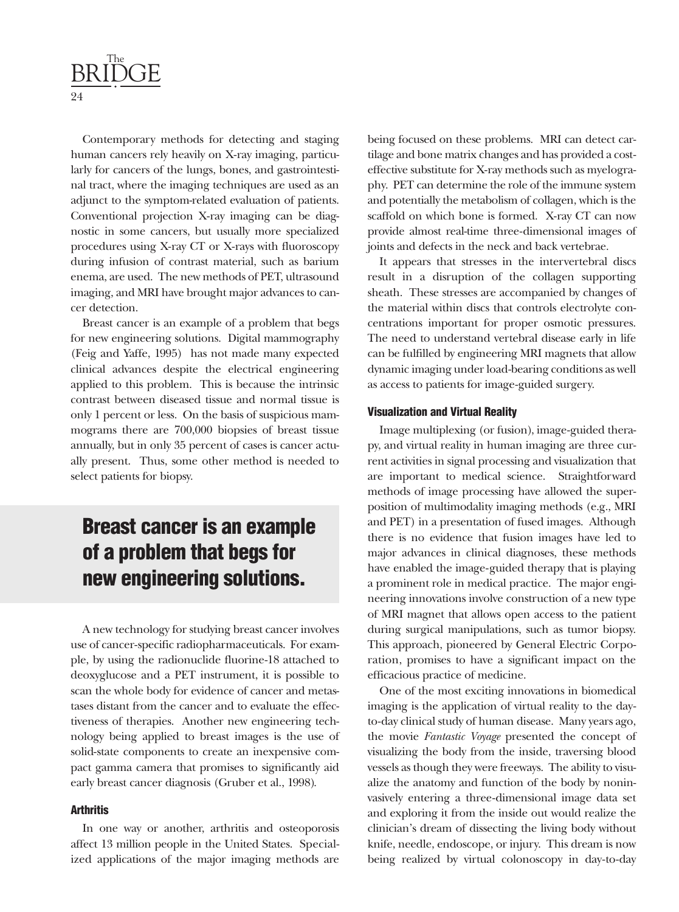

Contemporary methods for detecting and staging human cancers rely heavily on X-ray imaging, particularly for cancers of the lungs, bones, and gastrointestinal tract, where the imaging techniques are used as an adjunct to the symptom-related evaluation of patients. Conventional projection X-ray imaging can be diagnostic in some cancers, but usually more specialized procedures using X-ray CT or X-rays with fluoroscopy during infusion of contrast material, such as barium enema, are used. The new methods of PET, ultrasound imaging, and MRI have brought major advances to cancer detection.

Breast cancer is an example of a problem that begs for new engineering solutions. Digital mammography (Feig and Yaffe, 1995) has not made many expected clinical advances despite the electrical engineering applied to this problem. This is because the intrinsic contrast between diseased tissue and normal tissue is only 1 percent or less. On the basis of suspicious mammograms there are 700,000 biopsies of breast tissue annually, but in only 35 percent of cases is cancer actually present. Thus, some other method is needed to select patients for biopsy.

### **Breast cancer is an example of a problem that begs for new engineering solutions.**

A new technology for studying breast cancer involves use of cancer-specific radiopharmaceuticals. For example, by using the radionuclide fluorine-18 attached to deoxyglucose and a PET instrument, it is possible to scan the whole body for evidence of cancer and metastases distant from the cancer and to evaluate the effectiveness of therapies. Another new engineering technology being applied to breast images is the use of solid-state components to create an inexpensive compact gamma camera that promises to significantly aid early breast cancer diagnosis (Gruber et al., 1998).

#### **Arthritis**

In one way or another, arthritis and osteoporosis affect 13 million people in the United States. Specialized applications of the major imaging methods are

being focused on these problems. MRI can detect cartilage and bone matrix changes and has provided a costeffective substitute for X-ray methods such as myelography. PET can determine the role of the immune system and potentially the metabolism of collagen, which is the scaffold on which bone is formed. X-ray CT can now provide almost real-time three-dimensional images of joints and defects in the neck and back vertebrae.

It appears that stresses in the intervertebral discs result in a disruption of the collagen supporting sheath. These stresses are accompanied by changes of the material within discs that controls electrolyte concentrations important for proper osmotic pressures. The need to understand vertebral disease early in life can be fulfilled by engineering MRI magnets that allow dynamic imaging under load-bearing conditions as well as access to patients for image-guided surgery.

#### **Visualization and Virtual Reality**

Image multiplexing (or fusion), image-guided therapy, and virtual reality in human imaging are three current activities in signal processing and visualization that are important to medical science. Straightforward methods of image processing have allowed the superposition of multimodality imaging methods (e.g., MRI and PET) in a presentation of fused images. Although there is no evidence that fusion images have led to major advances in clinical diagnoses, these methods have enabled the image-guided therapy that is playing a prominent role in medical practice. The major engineering innovations involve construction of a new type of MRI magnet that allows open access to the patient during surgical manipulations, such as tumor biopsy. This approach, pioneered by General Electric Corporation, promises to have a significant impact on the efficacious practice of medicine.

One of the most exciting innovations in biomedical imaging is the application of virtual reality to the dayto-day clinical study of human disease. Many years ago, the movie *Fantastic Voyage* presented the concept of visualizing the body from the inside, traversing blood vessels as though they were freeways. The ability to visualize the anatomy and function of the body by noninvasively entering a three-dimensional image data set and exploring it from the inside out would realize the clinician's dream of dissecting the living body without knife, needle, endoscope, or injury. This dream is now being realized by virtual colonoscopy in day-to-day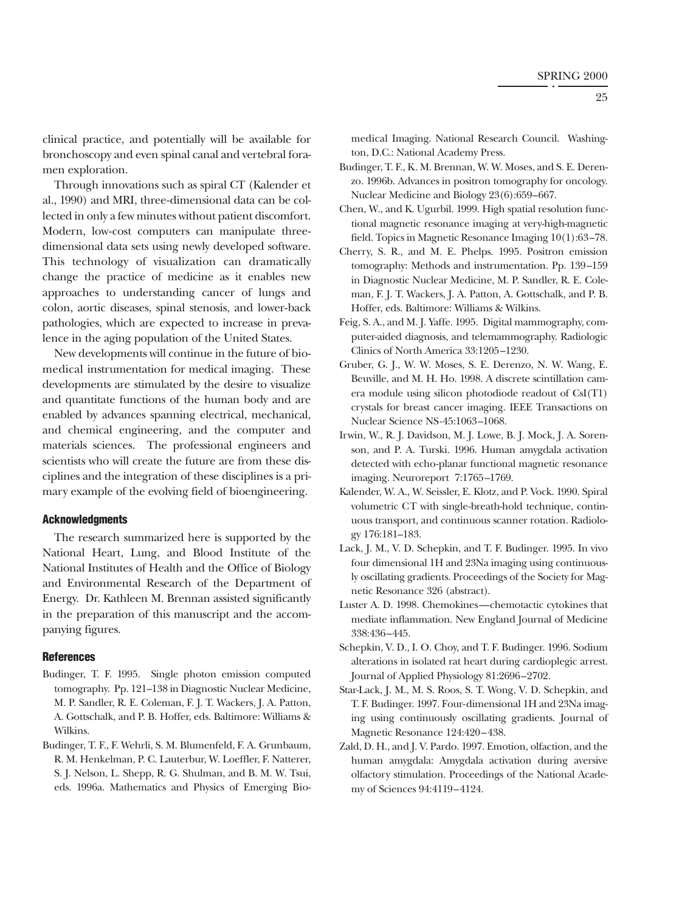clinical practice, and potentially will be available for bronchoscopy and even spinal canal and vertebral foramen exploration.

Through innovations such as spiral CT (Kalender et al., 1990) and MRI, three-dimensional data can be collected in only a few minutes without patient discomfort. Modern, low-cost computers can manipulate threedimensional data sets using newly developed software. This technology of visualization can dramatically change the practice of medicine as it enables new approaches to understanding cancer of lungs and colon, aortic diseases, spinal stenosis, and lower-back pathologies, which are expected to increase in prevalence in the aging population of the United States.

New developments will continue in the future of biomedical instrumentation for medical imaging. These developments are stimulated by the desire to visualize and quantitate functions of the human body and are enabled by advances spanning electrical, mechanical, and chemical engineering, and the computer and materials sciences. The professional engineers and scientists who will create the future are from these disciplines and the integration of these disciplines is a primary example of the evolving field of bioengineering.

#### **Acknowledgments**

The research summarized here is supported by the National Heart, Lung, and Blood Institute of the National Institutes of Health and the Office of Biology and Environmental Research of the Department of Energy. Dr. Kathleen M. Brennan assisted significantly in the preparation of this manuscript and the accompanying figures.

#### **References**

- Budinger, T. F. 1995. Single photon emission computed tomography. Pp. 121–138 in Diagnostic Nuclear Medicine, M. P. Sandler, R. E. Coleman, F. J. T. Wackers, J. A. Patton, A. Gottschalk, and P. B. Hoffer, eds. Baltimore: Williams & Wilkins.
- Budinger, T. F., F. Wehrli, S. M. Blumenfeld, F. A. Grunbaum, R. M. Henkelman, P. C. Lauterbur, W. Loeffler, F. Natterer, S. J. Nelson, L. Shepp, R. G. Shulman, and B. M. W. Tsui, eds. 1996a. Mathematics and Physics of Emerging Bio-

medical Imaging. National Research Council. Washington, D.C.: National Academy Press.

- Budinger, T. F., K. M. Brennan, W. W. Moses, and S. E. Derenzo. 1996b. Advances in positron tomography for oncology. Nuclear Medicine and Biology 23(6):659–667.
- Chen, W., and K. Ugurbil. 1999. High spatial resolution functional magnetic resonance imaging at very-high-magnetic field. Topics in Magnetic Resonance Imaging 10(1):63–78.
- Cherry, S. R., and M. E. Phelps. 1995. Positron emission tomography: Methods and instrumentation. Pp. 139–159 in Diagnostic Nuclear Medicine, M. P. Sandler, R. E. Coleman, F. J. T. Wackers, J. A. Patton, A. Gottschalk, and P. B. Hoffer, eds. Baltimore: Williams & Wilkins.
- Feig, S. A., and M. J. Yaffe. 1995. Digital mammography, computer-aided diagnosis, and telemammography. Radiologic Clinics of North America 33:1205–1230.
- Gruber, G. J., W. W. Moses, S. E. Derenzo, N. W. Wang, E. Beuville, and M. H. Ho. 1998. A discrete scintillation camera module using silicon photodiode readout of CsI(T1) crystals for breast cancer imaging. IEEE Transactions on Nuclear Science NS-45:1063–1068.
- Irwin, W., R. J. Davidson, M. J. Lowe, B. J. Mock, J. A. Sorenson, and P. A. Turski. 1996. Human amygdala activation detected with echo-planar functional magnetic resonance imaging. Neuroreport 7:1765–1769.
- Kalender, W. A., W. Seissler, E. Klotz, and P. Vock. 1990. Spiral volumetric CT with single-breath-hold technique, continuous transport, and continuous scanner rotation. Radiology 176:181–183.
- Lack, J. M., V. D. Schepkin, and T. F. Budinger. 1995. In vivo four dimensional 1H and 23Na imaging using continuously oscillating gradients. Proceedings of the Society for Magnetic Resonance 326 (abstract).
- Luster A. D. 1998. Chemokines—chemotactic cytokines that mediate inflammation. New England Journal of Medicine 338:436–445.
- Schepkin, V. D., I. O. Choy, and T. F. Budinger. 1996. Sodium alterations in isolated rat heart during cardioplegic arrest. Journal of Applied Physiology 81:2696–2702.
- Star-Lack, J. M., M. S. Roos, S. T. Wong, V. D. Schepkin, and T. F. Budinger. 1997. Four-dimensional 1H and 23Na imaging using continuously oscillating gradients. Journal of Magnetic Resonance 124:420–438.
- Zald, D. H., and J. V. Pardo. 1997. Emotion, olfaction, and the human amygdala: Amygdala activation during aversive olfactory stimulation. Proceedings of the National Academy of Sciences 94:4119–4124.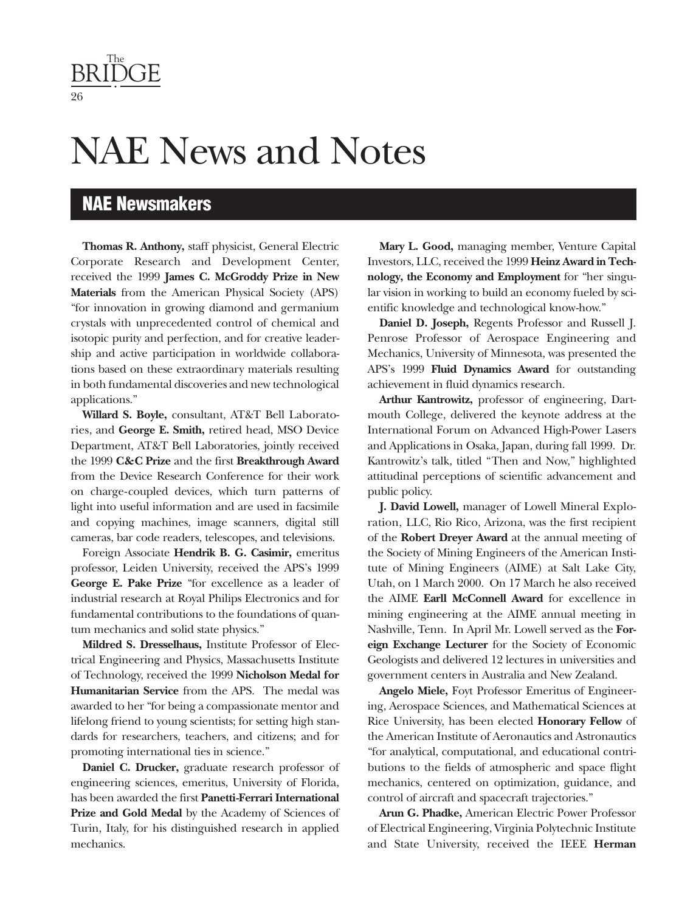NAE News and Notes

### **NAE Newsmakers**

**Thomas R. Anthony,** staff physicist, General Electric Corporate Research and Development Center, received the 1999 **James C. McGroddy Prize in New Materials** from the American Physical Society (APS) "for innovation in growing diamond and germanium crystals with unprecedented control of chemical and isotopic purity and perfection, and for creative leadership and active participation in worldwide collaborations based on these extraordinary materials resulting in both fundamental discoveries and new technological applications."

**Willard S. Boyle,** consultant, AT&T Bell Laboratories, and **George E. Smith,** retired head, MSO Device Department, AT&T Bell Laboratories, jointly received the 1999 **C&C Prize** and the first **Breakthrough Award** from the Device Research Conference for their work on charge-coupled devices, which turn patterns of light into useful information and are used in facsimile and copying machines, image scanners, digital still cameras, bar code readers, telescopes, and televisions.

Foreign Associate **Hendrik B. G. Casimir,** emeritus professor, Leiden University, received the APS's 1999 **George E. Pake Prize** "for excellence as a leader of industrial research at Royal Philips Electronics and for fundamental contributions to the foundations of quantum mechanics and solid state physics."

**Mildred S. Dresselhaus,** Institute Professor of Electrical Engineering and Physics, Massachusetts Institute of Technology, received the 1999 **Nicholson Medal for Humanitarian Service** from the APS. The medal was awarded to her "for being a compassionate mentor and lifelong friend to young scientists; for setting high standards for researchers, teachers, and citizens; and for promoting international ties in science."

**Daniel C. Drucker,** graduate research professor of engineering sciences, emeritus, University of Florida, has been awarded the first **Panetti-Ferrari International Prize and Gold Medal** by the Academy of Sciences of Turin, Italy, for his distinguished research in applied mechanics.

**Mary L. Good,** managing member, Venture Capital Investors, LLC, received the 1999 **Heinz Award in Technology, the Economy and Employment** for "her singular vision in working to build an economy fueled by scientific knowledge and technological know-how."

**Daniel D. Joseph,** Regents Professor and Russell J. Penrose Professor of Aerospace Engineering and Mechanics, University of Minnesota, was presented the APS's 1999 **Fluid Dynamics Award** for outstanding achievement in fluid dynamics research.

**Arthur Kantrowitz,** professor of engineering, Dartmouth College, delivered the keynote address at the International Forum on Advanced High-Power Lasers and Applications in Osaka, Japan, during fall 1999. Dr. Kantrowitz's talk, titled "Then and Now," highlighted attitudinal perceptions of scientific advancement and public policy.

**J. David Lowell,** manager of Lowell Mineral Exploration, LLC, Rio Rico, Arizona, was the first recipient of the **Robert Dreyer Award** at the annual meeting of the Society of Mining Engineers of the American Institute of Mining Engineers (AIME) at Salt Lake City, Utah, on 1 March 2000. On 17 March he also received the AIME **Earll McConnell Award** for excellence in mining engineering at the AIME annual meeting in Nashville, Tenn. In April Mr. Lowell served as the **Foreign Exchange Lecturer** for the Society of Economic Geologists and delivered 12 lectures in universities and government centers in Australia and New Zealand.

**Angelo Miele,** Foyt Professor Emeritus of Engineering, Aerospace Sciences, and Mathematical Sciences at Rice University, has been elected **Honorary Fellow** of the American Institute of Aeronautics and Astronautics "for analytical, computational, and educational contributions to the fields of atmospheric and space flight mechanics, centered on optimization, guidance, and control of aircraft and spacecraft trajectories."

**Arun G. Phadke,** American Electric Power Professor of Electrical Engineering, Virginia Polytechnic Institute and State University, received the IEEE **Herman**

<span id="page-26-0"></span>The BRIDGE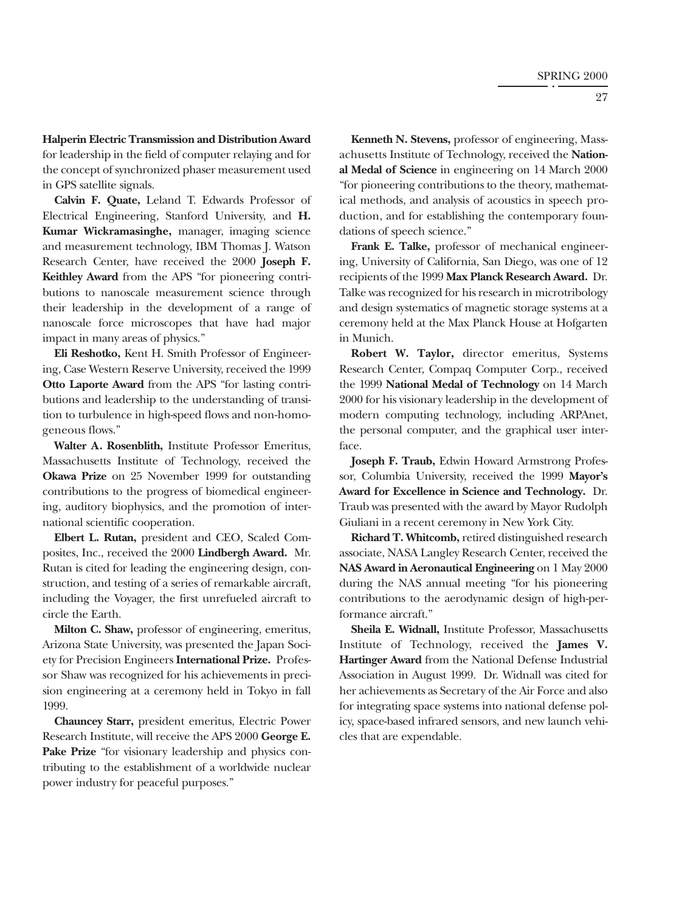**Halperin Electric Transmission and Distribution Award** for leadership in the field of computer relaying and for the concept of synchronized phaser measurement used in GPS satellite signals.

**Calvin F. Quate,** Leland T. Edwards Professor of Electrical Engineering, Stanford University, and **H. Kumar Wickramasinghe,** manager, imaging science and measurement technology, IBM Thomas J. Watson Research Center, have received the 2000 **Joseph F. Keithley Award** from the APS "for pioneering contributions to nanoscale measurement science through their leadership in the development of a range of nanoscale force microscopes that have had major impact in many areas of physics."

**Eli Reshotko,** Kent H. Smith Professor of Engineering, Case Western Reserve University, received the 1999 **Otto Laporte Award** from the APS "for lasting contributions and leadership to the understanding of transition to turbulence in high-speed flows and non-homogeneous flows."

**Walter A. Rosenblith,** Institute Professor Emeritus, Massachusetts Institute of Technology, received the **Okawa Prize** on 25 November 1999 for outstanding contributions to the progress of biomedical engineering, auditory biophysics, and the promotion of international scientific cooperation.

**Elbert L. Rutan,** president and CEO, Scaled Composites, Inc., received the 2000 **Lindbergh Award.** Mr. Rutan is cited for leading the engineering design, construction, and testing of a series of remarkable aircraft, including the Voyager, the first unrefueled aircraft to circle the Earth.

**Milton C. Shaw,** professor of engineering, emeritus, Arizona State University, was presented the Japan Society for Precision Engineers **International Prize.** Professor Shaw was recognized for his achievements in precision engineering at a ceremony held in Tokyo in fall 1999.

**Chauncey Starr,** president emeritus, Electric Power Research Institute, will receive the APS 2000 **George E. Pake Prize** "for visionary leadership and physics contributing to the establishment of a worldwide nuclear power industry for peaceful purposes."

**Kenneth N. Stevens,** professor of engineering, Massachusetts Institute of Technology, received the **National Medal of Science** in engineering on 14 March 2000 "for pioneering contributions to the theory, mathematical methods, and analysis of acoustics in speech production, and for establishing the contemporary foundations of speech science."

**Frank E. Talke,** professor of mechanical engineering, University of California, San Diego, was one of 12 recipients of the 1999 **Max Planck Research Award.** Dr. Talke was recognized for his research in microtribology and design systematics of magnetic storage systems at a ceremony held at the Max Planck House at Hofgarten in Munich.

**Robert W. Taylor,** director emeritus, Systems Research Center, Compaq Computer Corp., received the 1999 **National Medal of Technology** on 14 March 2000 for his visionary leadership in the development of modern computing technology, including ARPAnet, the personal computer, and the graphical user interface.

**Joseph F. Traub,** Edwin Howard Armstrong Professor, Columbia University, received the 1999 **Mayor's Award for Excellence in Science and Technology.** Dr. Traub was presented with the award by Mayor Rudolph Giuliani in a recent ceremony in New York City.

**Richard T. Whitcomb,** retired distinguished research associate, NASA Langley Research Center, received the **NAS Award in Aeronautical Engineering** on 1 May 2000 during the NAS annual meeting "for his pioneering contributions to the aerodynamic design of high-performance aircraft."

**Sheila E. Widnall,** Institute Professor, Massachusetts Institute of Technology, received the **James V. Hartinger Award** from the National Defense Industrial Association in August 1999. Dr. Widnall was cited for her achievements as Secretary of the Air Force and also for integrating space systems into national defense policy, space-based infrared sensors, and new launch vehicles that are expendable.

27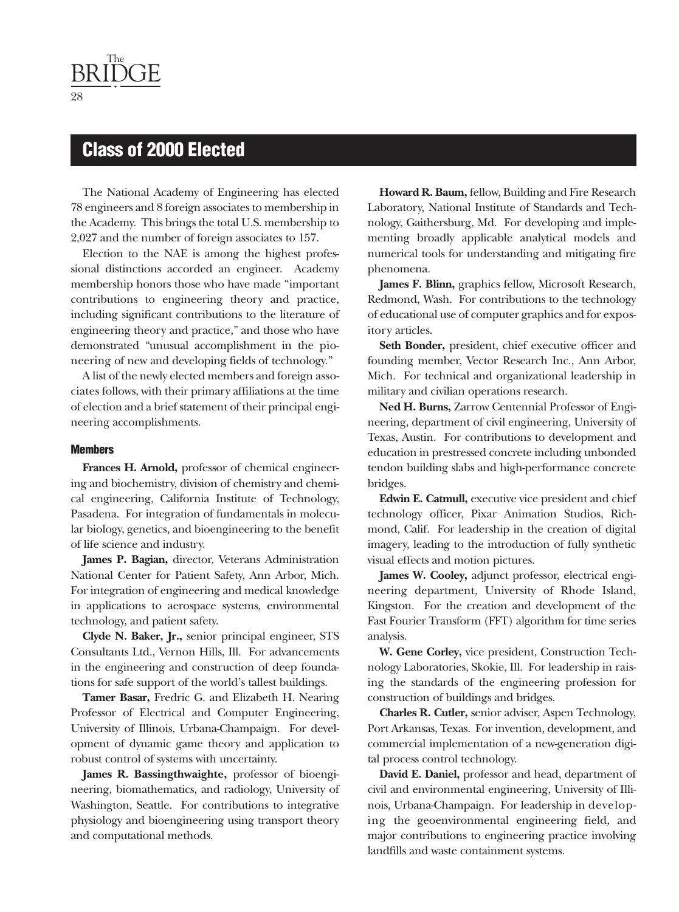### **Class of 2000 Elected**

The National Academy of Engineering has elected 78 engineers and 8 foreign associates to membership in the Academy. This brings the total U.S. membership to 2,027 and the number of foreign associates to 157.

Election to the NAE is among the highest professional distinctions accorded an engineer. Academy membership honors those who have made "important contributions to engineering theory and practice, including significant contributions to the literature of engineering theory and practice," and those who have demonstrated "unusual accomplishment in the pioneering of new and developing fields of technology."

A list of the newly elected members and foreign associates follows, with their primary affiliations at the time of election and a brief statement of their principal engineering accomplishments.

#### **Members**

**Frances H. Arnold,** professor of chemical engineering and biochemistry, division of chemistry and chemical engineering, California Institute of Technology, Pasadena. For integration of fundamentals in molecular biology, genetics, and bioengineering to the benefit of life science and industry.

**James P. Bagian,** director, Veterans Administration National Center for Patient Safety, Ann Arbor, Mich. For integration of engineering and medical knowledge in applications to aerospace systems, environmental technology, and patient safety.

**Clyde N. Baker, Jr.,** senior principal engineer, STS Consultants Ltd., Vernon Hills, Ill. For advancements in the engineering and construction of deep foundations for safe support of the world's tallest buildings.

**Tamer Basar,** Fredric G. and Elizabeth H. Nearing Professor of Electrical and Computer Engineering, University of Illinois, Urbana-Champaign. For development of dynamic game theory and application to robust control of systems with uncertainty.

**James R. Bassingthwaighte,** professor of bioengineering, biomathematics, and radiology, University of Washington, Seattle. For contributions to integrative physiology and bioengineering using transport theory and computational methods.

**Howard R. Baum,** fellow, Building and Fire Research Laboratory, National Institute of Standards and Technology, Gaithersburg, Md. For developing and implementing broadly applicable analytical models and numerical tools for understanding and mitigating fire phenomena.

**James F. Blinn,** graphics fellow, Microsoft Research, Redmond, Wash. For contributions to the technology of educational use of computer graphics and for expository articles.

**Seth Bonder,** president, chief executive officer and founding member, Vector Research Inc., Ann Arbor, Mich. For technical and organizational leadership in military and civilian operations research.

**Ned H. Burns,** Zarrow Centennial Professor of Engineering, department of civil engineering, University of Texas, Austin. For contributions to development and education in prestressed concrete including unbonded tendon building slabs and high-performance concrete bridges.

**Edwin E. Catmull,** executive vice president and chief technology officer, Pixar Animation Studios, Richmond, Calif. For leadership in the creation of digital imagery, leading to the introduction of fully synthetic visual effects and motion pictures.

**James W. Cooley,** adjunct professor, electrical engineering department, University of Rhode Island, Kingston. For the creation and development of the Fast Fourier Transform (FFT) algorithm for time series analysis.

**W. Gene Corley,** vice president, Construction Technology Laboratories, Skokie, Ill. For leadership in raising the standards of the engineering profession for construction of buildings and bridges.

**Charles R. Cutler,** senior adviser, Aspen Technology, Port Arkansas, Texas. For invention, development, and commercial implementation of a new-generation digital process control technology.

**David E. Daniel,** professor and head, department of civil and environmental engineering, University of Illinois, Urbana-Champaign. For leadership in developing the geoenvironmental engineering field, and major contributions to engineering practice involving landfills and waste containment systems.

28

<span id="page-28-0"></span>The BRIDGE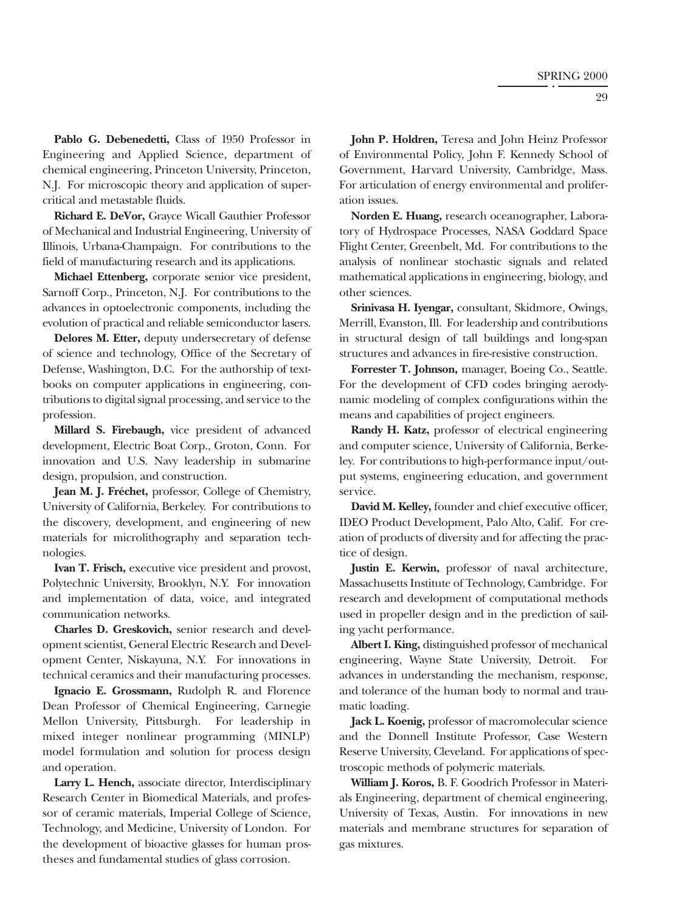Pablo G. Debenedetti, Class of 1950 Professor in Engineering and Applied Science, department of chemical engineering, Princeton University, Princeton, N.J. For microscopic theory and application of supercritical and metastable fluids.

**Richard E. DeVor,** Grayce Wicall Gauthier Professor of Mechanical and Industrial Engineering, University of Illinois, Urbana-Champaign. For contributions to the field of manufacturing research and its applications.

**Michael Ettenberg,** corporate senior vice president, Sarnoff Corp., Princeton, N.J. For contributions to the advances in optoelectronic components, including the evolution of practical and reliable semiconductor lasers.

**Delores M. Etter,** deputy undersecretary of defense of science and technology, Office of the Secretary of Defense, Washington, D.C. For the authorship of textbooks on computer applications in engineering, contributions to digital signal processing, and service to the profession.

**Millard S. Firebaugh,** vice president of advanced development, Electric Boat Corp., Groton, Conn. For innovation and U.S. Navy leadership in submarine design, propulsion, and construction.

**Jean M. J. Fréchet,** professor, College of Chemistry, University of California, Berkeley. For contributions to the discovery, development, and engineering of new materials for microlithography and separation technologies.

**Ivan T. Frisch,** executive vice president and provost, Polytechnic University, Brooklyn, N.Y. For innovation and implementation of data, voice, and integrated communication networks.

**Charles D. Greskovich,** senior research and development scientist, General Electric Research and Development Center, Niskayuna, N.Y. For innovations in technical ceramics and their manufacturing processes.

**Ignacio E. Grossmann,** Rudolph R. and Florence Dean Professor of Chemical Engineering, Carnegie Mellon University, Pittsburgh. For leadership in mixed integer nonlinear programming (MINLP) model formulation and solution for process design and operation.

**Larry L. Hench,** associate director, Interdisciplinary Research Center in Biomedical Materials, and professor of ceramic materials, Imperial College of Science, Technology, and Medicine, University of London. For the development of bioactive glasses for human prostheses and fundamental studies of glass corrosion.

**John P. Holdren,** Teresa and John Heinz Professor of Environmental Policy, John F. Kennedy School of Government, Harvard University, Cambridge, Mass. For articulation of energy environmental and proliferation issues.

**Norden E. Huang,** research oceanographer, Laboratory of Hydrospace Processes, NASA Goddard Space Flight Center, Greenbelt, Md. For contributions to the analysis of nonlinear stochastic signals and related mathematical applications in engineering, biology, and other sciences.

**Srinivasa H. Iyengar,** consultant, Skidmore, Owings, Merrill, Evanston, Ill. For leadership and contributions in structural design of tall buildings and long-span structures and advances in fire-resistive construction.

**Forrester T. Johnson,** manager, Boeing Co., Seattle. For the development of CFD codes bringing aerodynamic modeling of complex configurations within the means and capabilities of project engineers.

**Randy H. Katz,** professor of electrical engineering and computer science, University of California, Berkeley. For contributions to high-performance input/output systems, engineering education, and government service.

**David M. Kelley,** founder and chief executive officer, IDEO Product Development, Palo Alto, Calif. For creation of products of diversity and for affecting the practice of design.

**Justin E. Kerwin,** professor of naval architecture, Massachusetts Institute of Technology, Cambridge. For research and development of computational methods used in propeller design and in the prediction of sailing yacht performance.

**Albert I. King,** distinguished professor of mechanical engineering, Wayne State University, Detroit. For advances in understanding the mechanism, response, and tolerance of the human body to normal and traumatic loading.

**Jack L. Koenig,** professor of macromolecular science and the Donnell Institute Professor, Case Western Reserve University, Cleveland. For applications of spectroscopic methods of polymeric materials.

**William J. Koros,** B. F. Goodrich Professor in Materials Engineering, department of chemical engineering, University of Texas, Austin. For innovations in new materials and membrane structures for separation of gas mixtures.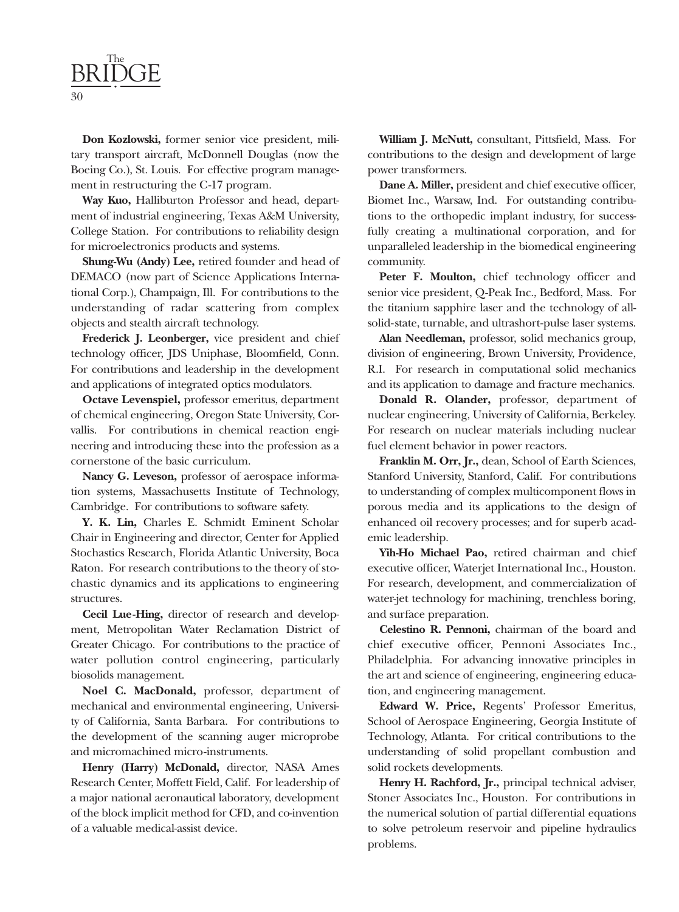

**Don Kozlowski,** former senior vice president, military transport aircraft, McDonnell Douglas (now the Boeing Co.), St. Louis. For effective program management in restructuring the C-17 program.

**Way Kuo,** Halliburton Professor and head, department of industrial engineering, Texas A&M University, College Station. For contributions to reliability design for microelectronics products and systems.

**Shung-Wu (Andy) Lee,** retired founder and head of DEMACO (now part of Science Applications International Corp.), Champaign, Ill. For contributions to the understanding of radar scattering from complex objects and stealth aircraft technology.

**Frederick J. Leonberger,** vice president and chief technology officer, JDS Uniphase, Bloomfield, Conn. For contributions and leadership in the development and applications of integrated optics modulators.

**Octave Levenspiel,** professor emeritus, department of chemical engineering, Oregon State University, Corvallis. For contributions in chemical reaction engineering and introducing these into the profession as a cornerstone of the basic curriculum.

**Nancy G. Leveson,** professor of aerospace information systems, Massachusetts Institute of Technology, Cambridge. For contributions to software safety.

**Y. K. Lin,** Charles E. Schmidt Eminent Scholar Chair in Engineering and director, Center for Applied Stochastics Research, Florida Atlantic University, Boca Raton. For research contributions to the theory of stochastic dynamics and its applications to engineering structures.

**Cecil Lue-Hing,** director of research and development, Metropolitan Water Reclamation District of Greater Chicago. For contributions to the practice of water pollution control engineering, particularly biosolids management.

**Noel C. MacDonald,** professor, department of mechanical and environmental engineering, University of California, Santa Barbara. For contributions to the development of the scanning auger microprobe and micromachined micro-instruments.

**Henry (Harry) McDonald,** director, NASA Ames Research Center, Moffett Field, Calif. For leadership of a major national aeronautical laboratory, development of the block implicit method for CFD, and co-invention of a valuable medical-assist device.

**William J. McNutt,** consultant, Pittsfield, Mass. For contributions to the design and development of large power transformers.

**Dane A. Miller,** president and chief executive officer, Biomet Inc., Warsaw, Ind. For outstanding contributions to the orthopedic implant industry, for successfully creating a multinational corporation, and for unparalleled leadership in the biomedical engineering community.

Peter F. Moulton, chief technology officer and senior vice president, Q-Peak Inc., Bedford, Mass. For the titanium sapphire laser and the technology of allsolid-state, turnable, and ultrashort-pulse laser systems.

**Alan Needleman,** professor, solid mechanics group, division of engineering, Brown University, Providence, R.I. For research in computational solid mechanics and its application to damage and fracture mechanics.

**Donald R. Olander,** professor, department of nuclear engineering, University of California, Berkeley. For research on nuclear materials including nuclear fuel element behavior in power reactors.

**Franklin M. Orr, Jr.,** dean, School of Earth Sciences, Stanford University, Stanford, Calif. For contributions to understanding of complex multicomponent flows in porous media and its applications to the design of enhanced oil recovery processes; and for superb academic leadership.

**Yih-Ho Michael Pao,** retired chairman and chief executive officer, Waterjet International Inc., Houston. For research, development, and commercialization of water-jet technology for machining, trenchless boring, and surface preparation.

**Celestino R. Pennoni,** chairman of the board and chief executive officer, Pennoni Associates Inc., Philadelphia. For advancing innovative principles in the art and science of engineering, engineering education, and engineering management.

**Edward W. Price,** Regents' Professor Emeritus, School of Aerospace Engineering, Georgia Institute of Technology, Atlanta. For critical contributions to the understanding of solid propellant combustion and solid rockets developments.

**Henry H. Rachford, Jr.,** principal technical adviser, Stoner Associates Inc., Houston. For contributions in the numerical solution of partial differential equations to solve petroleum reservoir and pipeline hydraulics problems.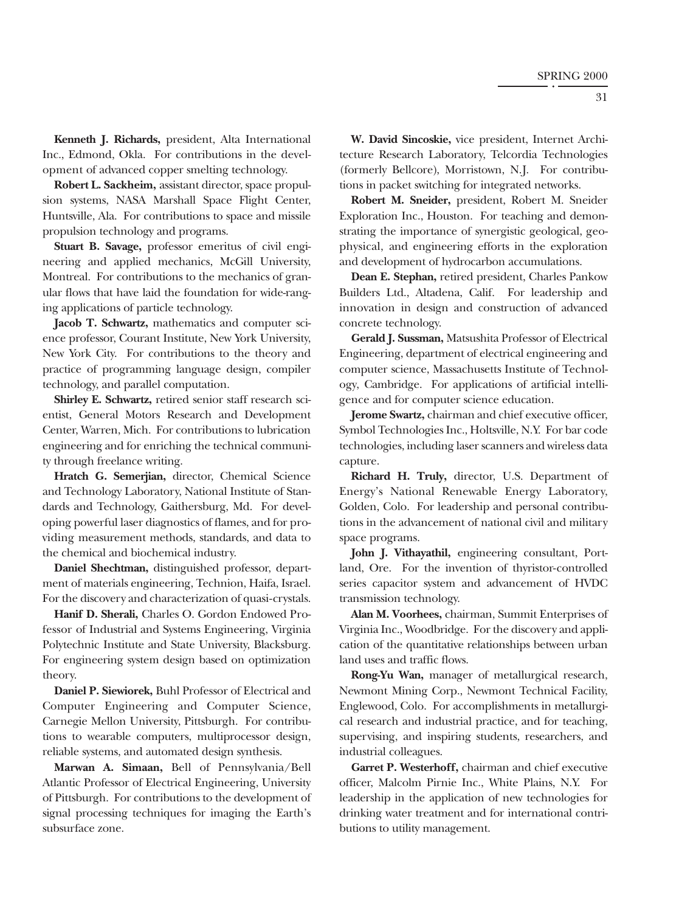**Kenneth J. Richards,** president, Alta International Inc., Edmond, Okla. For contributions in the development of advanced copper smelting technology.

**Robert L. Sackheim,** assistant director, space propulsion systems, NASA Marshall Space Flight Center, Huntsville, Ala. For contributions to space and missile propulsion technology and programs.

**Stuart B. Savage,** professor emeritus of civil engineering and applied mechanics, McGill University, Montreal. For contributions to the mechanics of granular flows that have laid the foundation for wide-ranging applications of particle technology.

**Jacob T. Schwartz,** mathematics and computer science professor, Courant Institute, New York University, New York City. For contributions to the theory and practice of programming language design, compiler technology, and parallel computation.

**Shirley E. Schwartz,** retired senior staff research scientist, General Motors Research and Development Center, Warren, Mich. For contributions to lubrication engineering and for enriching the technical community through freelance writing.

**Hratch G. Semerjian,** director, Chemical Science and Technology Laboratory, National Institute of Standards and Technology, Gaithersburg, Md. For developing powerful laser diagnostics of flames, and for providing measurement methods, standards, and data to the chemical and biochemical industry.

**Daniel Shechtman,** distinguished professor, department of materials engineering, Technion, Haifa, Israel. For the discovery and characterization of quasi-crystals.

**Hanif D. Sherali,** Charles O. Gordon Endowed Professor of Industrial and Systems Engineering, Virginia Polytechnic Institute and State University, Blacksburg. For engineering system design based on optimization theory.

**Daniel P. Siewiorek,** Buhl Professor of Electrical and Computer Engineering and Computer Science, Carnegie Mellon University, Pittsburgh. For contributions to wearable computers, multiprocessor design, reliable systems, and automated design synthesis.

**Marwan A. Simaan,** Bell of Pennsylvania/Bell Atlantic Professor of Electrical Engineering, University of Pittsburgh. For contributions to the development of signal processing techniques for imaging the Earth's subsurface zone.

**W. David Sincoskie,** vice president, Internet Architecture Research Laboratory, Telcordia Technologies (formerly Bellcore), Morristown, N.J. For contributions in packet switching for integrated networks.

**Robert M. Sneider,** president, Robert M. Sneider Exploration Inc., Houston. For teaching and demonstrating the importance of synergistic geological, geophysical, and engineering efforts in the exploration and development of hydrocarbon accumulations.

**Dean E. Stephan,** retired president, Charles Pankow Builders Ltd., Altadena, Calif. For leadership and innovation in design and construction of advanced concrete technology.

**Gerald J. Sussman,** Matsushita Professor of Electrical Engineering, department of electrical engineering and computer science, Massachusetts Institute of Technology, Cambridge. For applications of artificial intelligence and for computer science education.

**Jerome Swartz,** chairman and chief executive officer, Symbol Technologies Inc., Holtsville, N.Y. For bar code technologies, including laser scanners and wireless data capture.

**Richard H. Truly,** director, U.S. Department of Energy's National Renewable Energy Laboratory, Golden, Colo. For leadership and personal contributions in the advancement of national civil and military space programs.

**John J. Vithayathil,** engineering consultant, Portland, Ore. For the invention of thyristor-controlled series capacitor system and advancement of HVDC transmission technology.

**Alan M. Voorhees,** chairman, Summit Enterprises of Virginia Inc., Woodbridge. For the discovery and application of the quantitative relationships between urban land uses and traffic flows.

**Rong-Yu Wan,** manager of metallurgical research, Newmont Mining Corp., Newmont Technical Facility, Englewood, Colo. For accomplishments in metallurgical research and industrial practice, and for teaching, supervising, and inspiring students, researchers, and industrial colleagues.

**Garret P. Westerhoff,** chairman and chief executive officer, Malcolm Pirnie Inc., White Plains, N.Y. For leadership in the application of new technologies for drinking water treatment and for international contributions to utility management.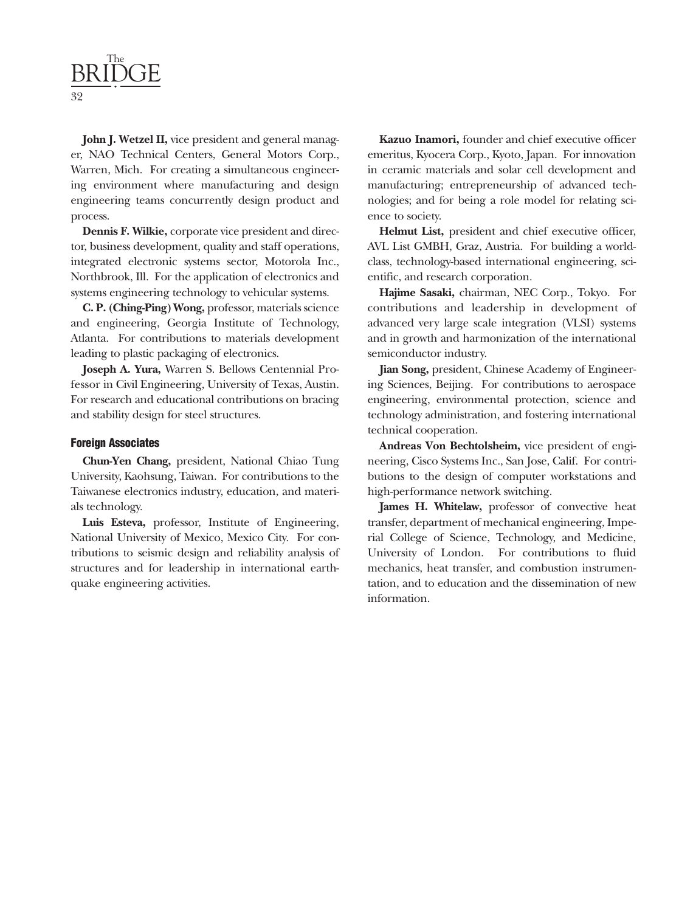

**John J. Wetzel II,** vice president and general manager, NAO Technical Centers, General Motors Corp., Warren, Mich. For creating a simultaneous engineering environment where manufacturing and design engineering teams concurrently design product and process.

**Dennis F. Wilkie,** corporate vice president and director, business development, quality and staff operations, integrated electronic systems sector, Motorola Inc., Northbrook, Ill. For the application of electronics and systems engineering technology to vehicular systems.

**C. P. (Ching-Ping) Wong,** professor, materials science and engineering, Georgia Institute of Technology, Atlanta. For contributions to materials development leading to plastic packaging of electronics.

**Joseph A. Yura,** Warren S. Bellows Centennial Professor in Civil Engineering, University of Texas, Austin. For research and educational contributions on bracing and stability design for steel structures.

#### **Foreign Associates**

**Chun-Yen Chang,** president, National Chiao Tung University, Kaohsung, Taiwan. For contributions to the Taiwanese electronics industry, education, and materials technology.

**Luis Esteva,** professor, Institute of Engineering, National University of Mexico, Mexico City. For contributions to seismic design and reliability analysis of structures and for leadership in international earthquake engineering activities.

**Kazuo Inamori,** founder and chief executive officer emeritus, Kyocera Corp., Kyoto, Japan. For innovation in ceramic materials and solar cell development and manufacturing; entrepreneurship of advanced technologies; and for being a role model for relating science to society.

**Helmut List,** president and chief executive officer, AVL List GMBH, Graz, Austria. For building a worldclass, technology-based international engineering, scientific, and research corporation.

**Hajime Sasaki,** chairman, NEC Corp., Tokyo. For contributions and leadership in development of advanced very large scale integration (VLSI) systems and in growth and harmonization of the international semiconductor industry.

**Jian Song,** president, Chinese Academy of Engineering Sciences, Beijing. For contributions to aerospace engineering, environmental protection, science and technology administration, and fostering international technical cooperation.

**Andreas Von Bechtolsheim,** vice president of engineering, Cisco Systems Inc., San Jose, Calif. For contributions to the design of computer workstations and high-performance network switching.

**James H. Whitelaw,** professor of convective heat transfer, department of mechanical engineering, Imperial College of Science, Technology, and Medicine, University of London. For contributions to fluid mechanics, heat transfer, and combustion instrumentation, and to education and the dissemination of new information.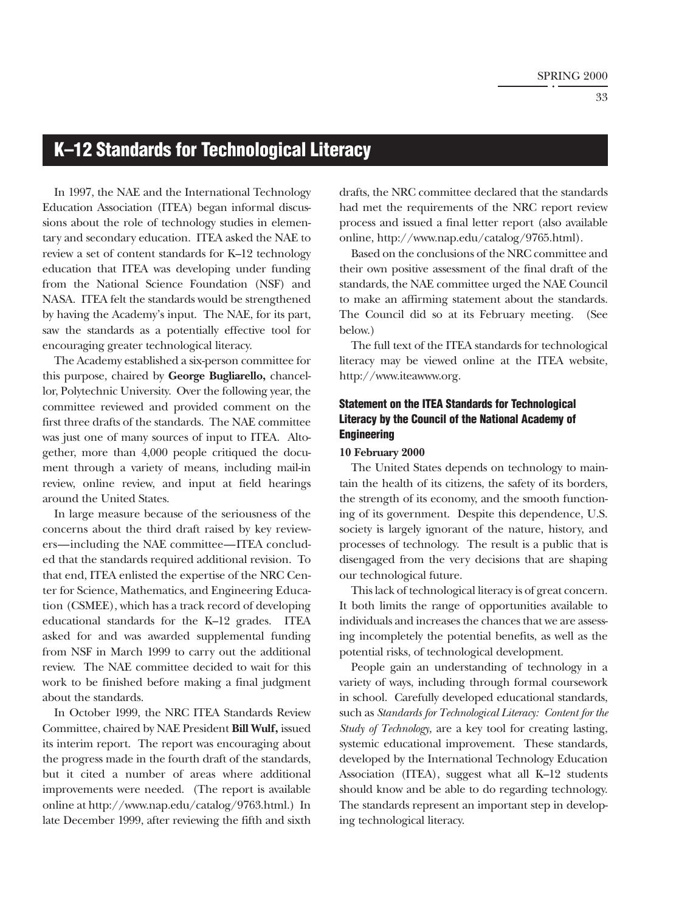### <span id="page-33-0"></span>**K–12 Standards for Technological Literacy**

In 1997, the NAE and the International Technology Education Association (ITEA) began informal discussions about the role of technology studies in elementary and secondary education. ITEA asked the NAE to review a set of content standards for K–12 technology education that ITEA was developing under funding from the National Science Foundation (NSF) and NASA. ITEA felt the standards would be strengthened by having the Academy's input. The NAE, for its part, saw the standards as a potentially effective tool for encouraging greater technological literacy.

The Academy established a six-person committee for this purpose, chaired by **George Bugliarello,** chancellor, Polytechnic University. Over the following year, the committee reviewed and provided comment on the first three drafts of the standards. The NAE committee was just one of many sources of input to ITEA. Altogether, more than 4,000 people critiqued the document through a variety of means, including mail-in review, online review, and input at field hearings around the United States.

In large measure because of the seriousness of the concerns about the third draft raised by key reviewers—including the NAE committee—ITEA concluded that the standards required additional revision. To that end, ITEA enlisted the expertise of the NRC Center for Science, Mathematics, and Engineering Education (CSMEE), which has a track record of developing educational standards for the K–12 grades. ITEA asked for and was awarded supplemental funding from NSF in March 1999 to carry out the additional review. The NAE committee decided to wait for this work to be finished before making a final judgment about the standards.

In October 1999, the NRC ITEA Standards Review Committee, chaired by NAE President **Bill Wulf,** issued its interim report. The report was encouraging about the progress made in the fourth draft of the standards, but it cited a number of areas where additional improvements were needed. (The report is available online at http://www.nap.edu/catalog/9763.html.) In late December 1999, after reviewing the fifth and sixth drafts, the NRC committee declared that the standards had met the requirements of the NRC report review process and issued a final letter report (also available online, http://www.nap.edu/catalog/9765.html).

Based on the conclusions of the NRC committee and their own positive assessment of the final draft of the standards, the NAE committee urged the NAE Council to make an affirming statement about the standards. The Council did so at its February meeting. (See below.)

The full text of the ITEA standards for technological literacy may be viewed online at the ITEA website, http://www.iteawww.org.

### **Statement on the ITEA Standards for Technological Literacy by the Council of the National Academy of Engineering**

#### **10 February 2000**

The United States depends on technology to maintain the health of its citizens, the safety of its borders, the strength of its economy, and the smooth functioning of its government. Despite this dependence, U.S. society is largely ignorant of the nature, history, and processes of technology. The result is a public that is disengaged from the very decisions that are shaping our technological future.

This lack of technological literacy is of great concern. It both limits the range of opportunities available to individuals and increases the chances that we are assessing incompletely the potential benefits, as well as the potential risks, of technological development.

People gain an understanding of technology in a variety of ways, including through formal coursework in school. Carefully developed educational standards, such as *Standards for Technological Literacy: Content for the Study of Technology,* are a key tool for creating lasting, systemic educational improvement. These standards, developed by the International Technology Education Association (ITEA), suggest what all K–12 students should know and be able to do regarding technology. The standards represent an important step in developing technological literacy.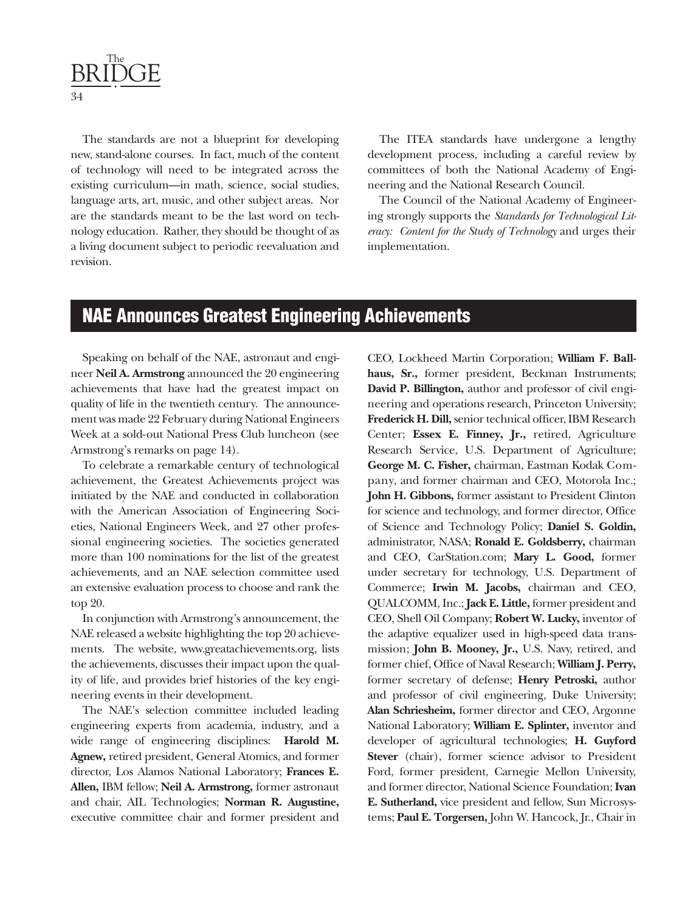<span id="page-34-0"></span>

The standards are not a blueprint for developing new, stand-alone courses. In fact, much of the content of technology will need to be integrated across the existing curriculum—in math, science, social studies, language arts, art, music, and other subject areas. Nor are the standards meant to be the last word on technology education. Rather, they should be thought of as a living document subject to periodic reevaluation and revision.

The ITEA standards have undergone a lengthy development process, including a careful review by committees of both the National Academy of Engineering and the National Research Council.

The Council of the National Academy of Engineering strongly supports the *Standards for Technological Literacy: Content for the Study of Technology* and urges their implementation.

### **NAE Announces Greatest Engineering Achievements**

Speaking on behalf of the NAE, astronaut and engineer **Neil A. Armstrong** announced the 20 engineering achievements that have had the greatest impact on quality of life in the twentieth century. The announcement was made 22 February during National Engineers Week at a sold-out National Press Club luncheon (see Armstrong's remarks on page 14).

To celebrate a remarkable century of technological achievement, the Greatest Achievements project was initiated by the NAE and conducted in collaboration with the American Association of Engineering Societies, National Engineers Week, and 27 other professional engineering societies. The societies generated more than 100 nominations for the list of the greatest achievements, and an NAE selection committee used an extensive evaluation process to choose and rank the top 20.

In conjunction with Armstrong's announcement, the NAE released a website highlighting the top 20 achievements. The website, www.greatachievements.org, lists the achievements, discusses their impact upon the quality of life, and provides brief histories of the key engineering events in their development.

The NAE's selection committee included leading engineering experts from academia, industry, and a wide range of engineering disciplines: **Harold M. Agnew,** retired president, General Atomics, and former director, Los Alamos National Laboratory; **Frances E. Allen,** IBM fellow; **Neil A. Armstrong,** former astronaut and chair, AIL Technologies; **Norman R. Augustine,** executive committee chair and former president and CEO, Lockheed Martin Corporation; **William F. Ballhaus, Sr.,** former president, Beckman Instruments; **David P. Billington,** author and professor of civil engineering and operations research, Princeton University; **Frederick H. Dill,** senior technical officer, IBM Research Center; **Essex E. Finney, Jr.,** retired, Agriculture Research Service, U.S. Department of Agriculture; **George M. C. Fisher,** chairman, Eastman Kodak Company, and former chairman and CEO, Motorola Inc.; **John H. Gibbons,** former assistant to President Clinton for science and technology, and former director, Office of Science and Technology Policy; **Daniel S. Goldin,** administrator, NASA; **Ronald E. Goldsberry,** chairman and CEO, CarStation.com; **Mary L. Good,** former under secretary for technology, U.S. Department of Commerce; **Irwin M. Jacobs,** chairman and CEO, QUALCOMM, Inc.; **Jack E. Little,** former president and CEO, Shell Oil Company; **Robert W. Lucky,** inventor of the adaptive equalizer used in high-speed data transmission; **John B. Mooney, Jr.,** U.S. Navy, retired, and former chief, Office of Naval Research; **William J. Perry,** former secretary of defense; **Henry Petroski,** author and professor of civil engineering, Duke University; **Alan Schriesheim,** former director and CEO, Argonne National Laboratory; **William E. Splinter,** inventor and developer of agricultural technologies; **H. Guyford Stever** (chair), former science advisor to President Ford, former president, Carnegie Mellon University, and former director, National Science Foundation; **Ivan E. Sutherland,** vice president and fellow, Sun Microsystems; **Paul E. Torgersen,** John W. Hancock, Jr., Chair in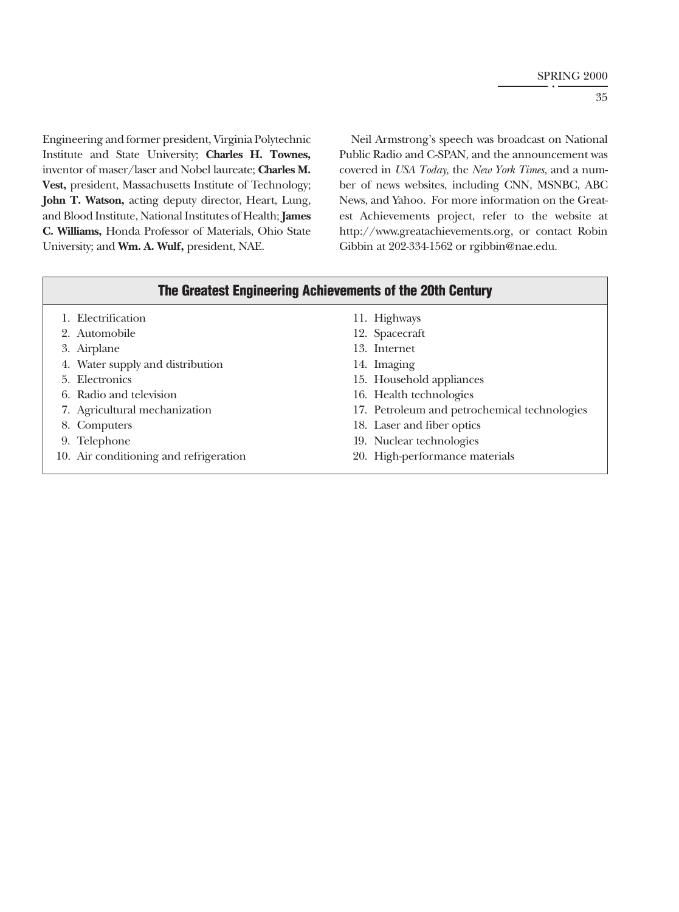Engineering and former president, Virginia Polytechnic Institute and State University; **Charles H. Townes,** inventor of maser/laser and Nobel laureate; **Charles M. Vest,** president, Massachusetts Institute of Technology; **John T. Watson,** acting deputy director, Heart, Lung, and Blood Institute, National Institutes of Health; **James C. Williams,** Honda Professor of Materials, Ohio State University; and **Wm. A. Wulf,** president, NAE.

Neil Armstrong's speech was broadcast on National Public Radio and C-SPAN, and the announcement was covered in *USA Today,* the *New York Times,* and a number of news websites, including CNN, MSNBC, ABC News, and Yahoo. For more information on the Greatest Achievements project, refer to the website at http://www.greatachievements.org, or contact Robin Gibbin at 202-334-1562 or rgibbin@nae.edu.

|  | The Greatest Engineering Achievements of the 20th Century |  |
|--|-----------------------------------------------------------|--|
|  |                                                           |  |

| 1. Electrification                     | 11. Highways                                 |
|----------------------------------------|----------------------------------------------|
| 2. Automobile                          | 12. Spacecraft                               |
| 3. Airplane                            | 13. Internet                                 |
| 4. Water supply and distribution       | 14. Imaging                                  |
| 5. Electronics                         | 15. Household appliances                     |
| 6. Radio and television                | 16. Health technologies                      |
| 7. Agricultural mechanization          | 17. Petroleum and petrochemical technologies |
| 8. Computers                           | 18. Laser and fiber optics                   |
| 9. Telephone                           | 19. Nuclear technologies                     |
| 10. Air conditioning and refrigeration | 20. High-performance materials               |
|                                        |                                              |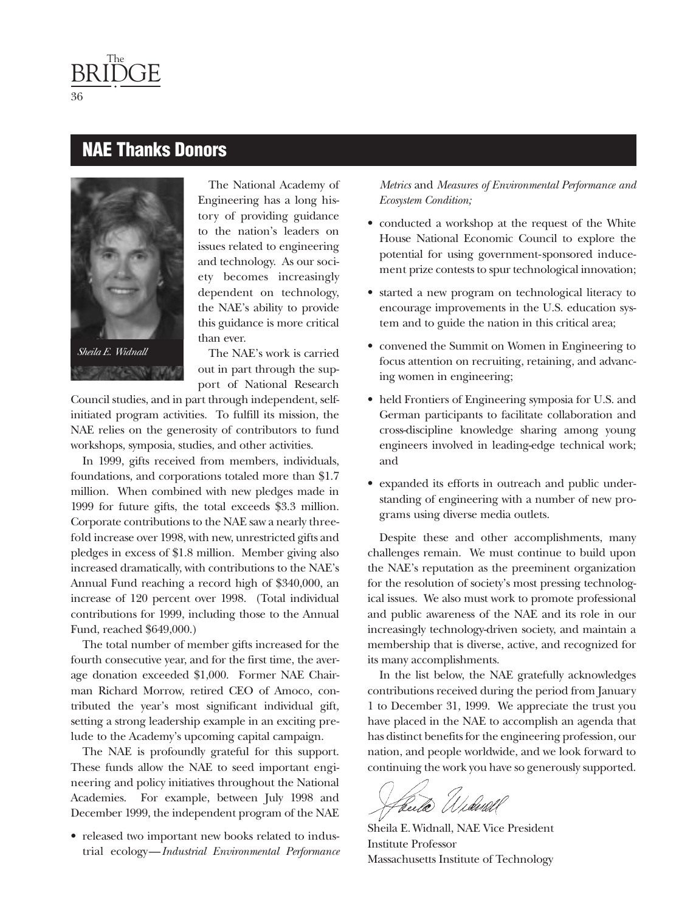### **NAE Thanks Donors**



*Sheila E. Widnall*

The National Academy of Engineering has a long history of providing guidance to the nation's leaders on issues related to engineering and technology. As our society becomes increasingly dependent on technology, the NAE's ability to provide this guidance is more critical than ever.

The NAE's work is carried out in part through the support of National Research

Council studies, and in part through independent, selfinitiated program activities. To fulfill its mission, the NAE relies on the generosity of contributors to fund workshops, symposia, studies, and other activities.

In 1999, gifts received from members, individuals, foundations, and corporations totaled more than \$1.7 million. When combined with new pledges made in 1999 for future gifts, the total exceeds \$3.3 million. Corporate contributions to the NAE saw a nearly threefold increase over 1998, with new, unrestricted gifts and pledges in excess of \$1.8 million. Member giving also increased dramatically, with contributions to the NAE's Annual Fund reaching a record high of \$340,000, an increase of 120 percent over 1998. (Total individual contributions for 1999, including those to the Annual Fund, reached \$649,000.)

The total number of member gifts increased for the fourth consecutive year, and for the first time, the average donation exceeded \$1,000. Former NAE Chairman Richard Morrow, retired CEO of Amoco, contributed the year's most significant individual gift, setting a strong leadership example in an exciting prelude to the Academy's upcoming capital campaign.

The NAE is profoundly grateful for this support. These funds allow the NAE to seed important engineering and policy initiatives throughout the National Academies. For example, between July 1998 and December 1999, the independent program of the NAE

• released two important new books related to industrial ecology—*Industrial Environmental Performance* *Metrics* and *Measures of Environmental Performance and Ecosystem Condition;*

- conducted a workshop at the request of the White House National Economic Council to explore the potential for using government-sponsored inducement prize contests to spur technological innovation;
- started a new program on technological literacy to encourage improvements in the U.S. education system and to guide the nation in this critical area;
- convened the Summit on Women in Engineering to focus attention on recruiting, retaining, and advancing women in engineering;
- held Frontiers of Engineering symposia for U.S. and German participants to facilitate collaboration and cross-discipline knowledge sharing among young engineers involved in leading-edge technical work; and
- expanded its efforts in outreach and public understanding of engineering with a number of new programs using diverse media outlets.

Despite these and other accomplishments, many challenges remain. We must continue to build upon the NAE's reputation as the preeminent organization for the resolution of society's most pressing technological issues. We also must work to promote professional and public awareness of the NAE and its role in our increasingly technology-driven society, and maintain a membership that is diverse, active, and recognized for its many accomplishments.

In the list below, the NAE gratefully acknowledges contributions received during the period from January 1 to December 31, 1999. We appreciate the trust you have placed in the NAE to accomplish an agenda that has distinct benefits for the engineering profession, our nation, and people worldwide, and we look forward to continuing the work you have so generously supported.

<u>beelo</u>

Sheila E.Widnall, NAE Vice President Institute Professor Massachusetts Institute of Technology

36

<span id="page-36-0"></span>The BRIDGE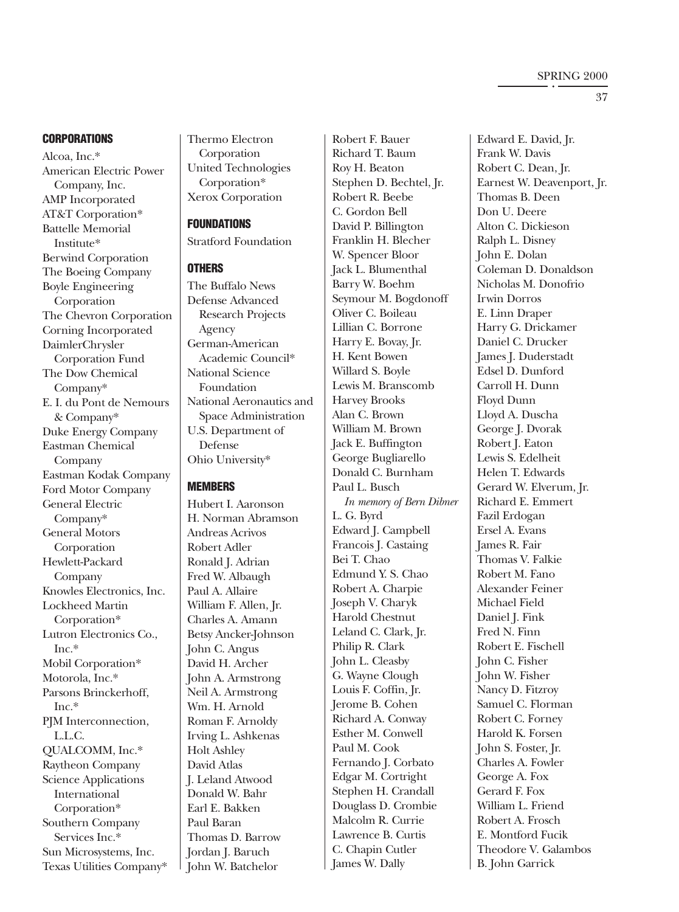#### **CORPORATIONS**

Alcoa, Inc.\* American Electric Power Company, Inc. AMP Incorporated AT&T Corporation\* Battelle Memorial Institute\* Berwind Corporation The Boeing Company Boyle Engineering Corporation The Chevron Corporation Corning Incorporated DaimlerChrysler Corporation Fund The Dow Chemical Company\* E. I. du Pont de Nemours & Company\* Duke Energy Company Eastman Chemical Company Eastman Kodak Company Ford Motor Company General Electric Company\* General Motors Corporation Hewlett-Packard Company Knowles Electronics, Inc. Lockheed Martin Corporation\* Lutron Electronics Co., Inc.\* Mobil Corporation\* Motorola, Inc.\* Parsons Brinckerhoff, Inc.\* PJM Interconnection, L.L.C. QUALCOMM, Inc.\* Raytheon Company Science Applications International Corporation\* Southern Company Services Inc.\* Sun Microsystems, Inc. Texas Utilities Company\*

Thermo Electron Corporation United Technologies Corporation\* Xerox Corporation

#### **FOUNDATIONS**

Stratford Foundation

#### **OTHERS**

The Buffalo News Defense Advanced Research Projects Agency German-American Academic Council\* National Science Foundation National Aeronautics and Space Administration U.S. Department of Defense Ohio University\*

#### **MEMBERS**

Hubert I. Aaronson H. Norman Abramson Andreas Acrivos Robert Adler Ronald J. Adrian Fred W. Albaugh Paul A. Allaire William F. Allen, Jr. Charles A. Amann Betsy Ancker-Johnson John C. Angus David H. Archer John A. Armstrong Neil A. Armstrong Wm. H. Arnold Roman F. Arnoldy Irving L. Ashkenas Holt Ashley David Atlas J. Leland Atwood Donald W. Bahr Earl E. Bakken Paul Baran Thomas D. Barrow Jordan J. Baruch John W. Batchelor

Robert F. Bauer Richard T. Baum Roy H. Beaton Stephen D. Bechtel, Jr. Robert R. Beebe C. Gordon Bell David P. Billington Franklin H. Blecher W. Spencer Bloor Jack L. Blumenthal Barry W. Boehm Seymour M. Bogdonoff Oliver C. Boileau Lillian C. Borrone Harry E. Bovay, Jr. H. Kent Bowen Willard S. Boyle Lewis M. Branscomb Harvey Brooks Alan C. Brown William M. Brown Jack E. Buffington George Bugliarello Donald C. Burnham Paul L. Busch *In memory of Bern Dibner* L. G. Byrd Edward J. Campbell Francois J. Castaing Bei T. Chao Edmund Y. S. Chao Robert A. Charpie Joseph V. Charyk Harold Chestnut Leland C. Clark, Jr. Philip R. Clark John L. Cleasby G. Wayne Clough Louis F. Coffin, Jr. Jerome B. Cohen Richard A. Conway Esther M. Conwell Paul M. Cook Fernando J. Corbato Edgar M. Cortright Stephen H. Crandall Douglass D. Crombie Malcolm R. Currie Lawrence B. Curtis C. Chapin Cutler James W. Dally

Edward E. David, Jr. Frank W. Davis Robert C. Dean, Jr. Earnest W. Deavenport, Jr. Thomas B. Deen Don U. Deere Alton C. Dickieson Ralph L. Disney John E. Dolan Coleman D. Donaldson Nicholas M. Donofrio Irwin Dorros E. Linn Draper Harry G. Drickamer Daniel C. Drucker James J. Duderstadt Edsel D. Dunford Carroll H. Dunn Floyd Dunn Lloyd A. Duscha George J. Dvorak Robert J. Eaton Lewis S. Edelheit Helen T. Edwards Gerard W. Elverum, Jr. Richard E. Emmert Fazil Erdogan Ersel A. Evans James R. Fair Thomas V. Falkie Robert M. Fano Alexander Feiner Michael Field Daniel J. Fink Fred N. Finn Robert E. Fischell John C. Fisher John W. Fisher Nancy D. Fitzroy Samuel C. Florman Robert C. Forney Harold K. Forsen John S. Foster, Jr. Charles A. Fowler George A. Fox Gerard F. Fox William L. Friend Robert A. Frosch E. Montford Fucik Theodore V. Galambos B. John Garrick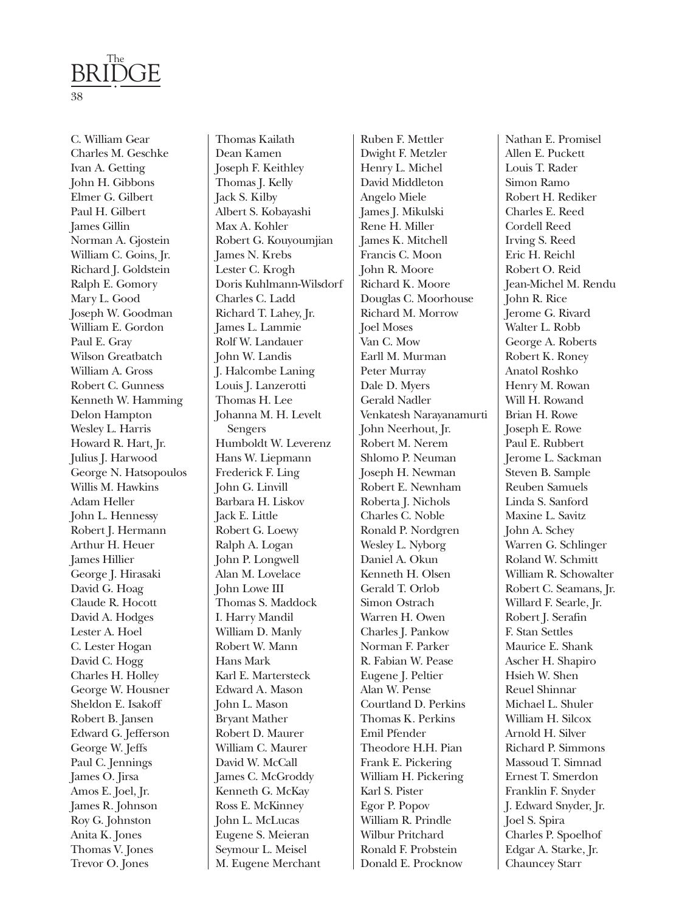

C. William Gear Charles M. Geschke Ivan A. Getting John H. Gibbons Elmer G. Gilbert Paul H. Gilbert James Gillin Norman A. Gjostein William C. Goins, Jr. Richard J. Goldstein Ralph E. Gomory Mary L. Good Joseph W. Goodman William E. Gordon Paul E. Gray Wilson Greatbatch William A. Gross Robert C. Gunness Kenneth W. Hamming Delon Hampton Wesley L. Harris Howard R. Hart, Jr. Julius J. Harwood George N. Hatsopoulos Willis M. Hawkins Adam Heller John L. Hennessy Robert J. Hermann Arthur H. Heuer James Hillier George J. Hirasaki David G. Hoag Claude R. Hocott David A. Hodges Lester A. Hoel C. Lester Hogan David C. Hogg Charles H. Holley George W. Housner Sheldon E. Isakoff Robert B. Jansen Edward G. Jefferson George W. Jeffs Paul C. Jennings James O. Jirsa Amos E. Joel, Jr. James R. Johnson Roy G. Johnston Anita K. Jones Thomas V. Jones Trevor O. Jones

Thomas Kailath Dean Kamen Joseph F. Keithley Thomas J. Kelly Jack S. Kilby Albert S. Kobayashi Max A. Kohler Robert G. Kouyoumjian James N. Krebs Lester C. Krogh Doris Kuhlmann-Wilsdorf Charles C. Ladd Richard T. Lahey, Jr. James L. Lammie Rolf W. Landauer John W. Landis J. Halcombe Laning Louis J. Lanzerotti Thomas H. Lee Johanna M. H. Levelt Sengers Humboldt W. Leverenz Hans W. Liepmann Frederick F. Ling John G. Linvill Barbara H. Liskov Jack E. Little Robert G. Loewy Ralph A. Logan John P. Longwell Alan M. Lovelace John Lowe III Thomas S. Maddock I. Harry Mandil William D. Manly Robert W. Mann Hans Mark Karl E. Martersteck Edward A. Mason John L. Mason Bryant Mather Robert D. Maurer William C. Maurer David W. McCall James C. McGroddy Kenneth G. McKay Ross E. McKinney John L. McLucas Eugene S. Meieran Seymour L. Meisel M. Eugene Merchant

Ruben F. Mettler Dwight F. Metzler Henry L. Michel David Middleton Angelo Miele James J. Mikulski Rene H. Miller James K. Mitchell Francis C. Moon John R. Moore Richard K. Moore Douglas C. Moorhouse Richard M. Morrow Joel Moses Van C. Mow Earll M. Murman Peter Murray Dale D. Myers Gerald Nadler Venkatesh Narayanamurti John Neerhout, Jr. Robert M. Nerem Shlomo P. Neuman Joseph H. Newman Robert E. Newnham Roberta J. Nichols Charles C. Noble Ronald P. Nordgren Wesley L. Nyborg Daniel A. Okun Kenneth H. Olsen Gerald T. Orlob Simon Ostrach Warren H. Owen Charles J. Pankow Norman F. Parker R. Fabian W. Pease Eugene J. Peltier Alan W. Pense Courtland D. Perkins Thomas K. Perkins Emil Pfender Theodore H.H. Pian Frank E. Pickering William H. Pickering Karl S. Pister Egor P. Popov William R. Prindle Wilbur Pritchard Ronald F. Probstein Donald E. Procknow

Nathan E. Promisel Allen E. Puckett Louis T. Rader Simon Ramo Robert H. Rediker Charles E. Reed Cordell Reed Irving S. Reed Eric H. Reichl Robert O. Reid Jean-Michel M. Rendu John R. Rice Jerome G. Rivard Walter L. Robb George A. Roberts Robert K. Roney Anatol Roshko Henry M. Rowan Will H. Rowand Brian H. Rowe Joseph E. Rowe Paul E. Rubbert Jerome L. Sackman Steven B. Sample Reuben Samuels Linda S. Sanford Maxine L. Savitz John A. Schey Warren G. Schlinger Roland W. Schmitt William R. Schowalter Robert C. Seamans, Jr. Willard F. Searle, Jr. Robert J. Serafin F. Stan Settles Maurice E. Shank Ascher H. Shapiro Hsieh W. Shen Reuel Shinnar Michael L. Shuler William H. Silcox Arnold H. Silver Richard P. Simmons Massoud T. Simnad Ernest T. Smerdon Franklin F. Snyder J. Edward Snyder, Jr. Joel S. Spira Charles P. Spoelhof Edgar A. Starke, Jr. Chauncey Starr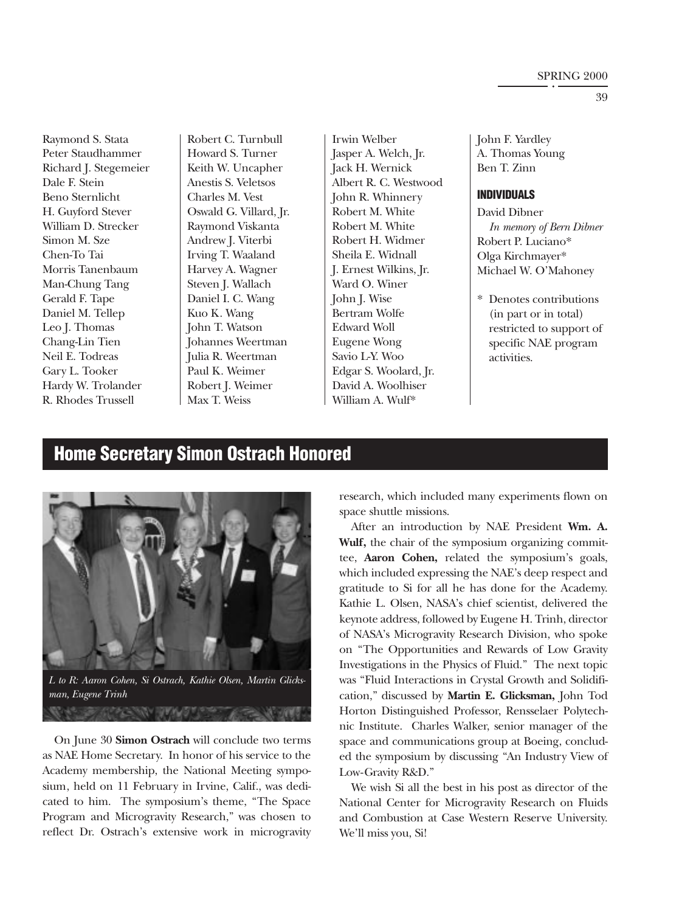#### SPRING 2000

<span id="page-39-0"></span>Raymond S. Stata Peter Staudhammer Richard J. Stegemeier Dale F. Stein Beno Sternlicht H. Guyford Stever William D. Strecker Simon M. Sze Chen-To Tai Morris Tanenbaum Man-Chung Tang Gerald F. Tape Daniel M. Tellep Leo J. Thomas Chang-Lin Tien Neil E. Todreas Gary L. Tooker Hardy W. Trolander R. Rhodes Trussell

Robert C. Turnbull Howard S. Turner Keith W. Uncapher Anestis S. Veletsos Charles M. Vest Oswald G. Villard, Jr. Raymond Viskanta Andrew J. Viterbi Irving T. Waaland Harvey A. Wagner Steven J. Wallach Daniel I. C. Wang Kuo K. Wang John T. Watson Johannes Weertman Julia R. Weertman Paul K. Weimer Robert J. Weimer Max T. Weiss

Irwin Welber Jasper A. Welch, Jr. Jack H. Wernick Albert R. C. Westwood John R. Whinnery Robert M. White Robert M. White Robert H. Widmer Sheila E. Widnall J. Ernest Wilkins, Jr. Ward O. Winer John J. Wise Bertram Wolfe Edward Woll Eugene Wong Savio L-Y. Woo Edgar S. Woolard, Jr. David A. Woolhiser

William A. Wulf\*

John F. Yardley A. Thomas Young Ben T. Zinn

#### **INDIVIDUALS**

David Dibner *In memory of Bern Dibner* Robert P. Luciano\* Olga Kirchmayer\* Michael W. O'Mahoney

\* Denotes contributions (in part or in total) restricted to support of specific NAE program activities.

### **Home Secretary Simon Ostrach Honored**



*L to R: Aaron Cohen, Si Ostrach, Kathie Olsen, Martin Glicksman, Eugene Trinh*

en me

*CONTRACTORY COMMENTS* 

On June 30 **Simon Ostrach** will conclude two terms as NAE Home Secretary. In honor of his service to the Academy membership, the National Meeting symposium, held on 11 February in Irvine, Calif., was dedicated to him. The symposium's theme, "The Space Program and Microgravity Research," was chosen to reflect Dr. Ostrach's extensive work in microgravity research, which included many experiments flown on space shuttle missions.

After an introduction by NAE President **Wm. A. Wulf,** the chair of the symposium organizing committee, **Aaron Cohen,** related the symposium's goals, which included expressing the NAE's deep respect and gratitude to Si for all he has done for the Academy. Kathie L. Olsen, NASA's chief scientist, delivered the keynote address, followed by Eugene H. Trinh, director of NASA's Microgravity Research Division, who spoke on "The Opportunities and Rewards of Low Gravity Investigations in the Physics of Fluid." The next topic was "Fluid Interactions in Crystal Growth and Solidification," discussed by **Martin E. Glicksman,** John Tod Horton Distinguished Professor, Rensselaer Polytechnic Institute. Charles Walker, senior manager of the space and communications group at Boeing, concluded the symposium by discussing "An Industry View of Low-Gravity R&D."

We wish Si all the best in his post as director of the National Center for Microgravity Research on Fluids and Combustion at Case Western Reserve University. We'll miss you, Si!

39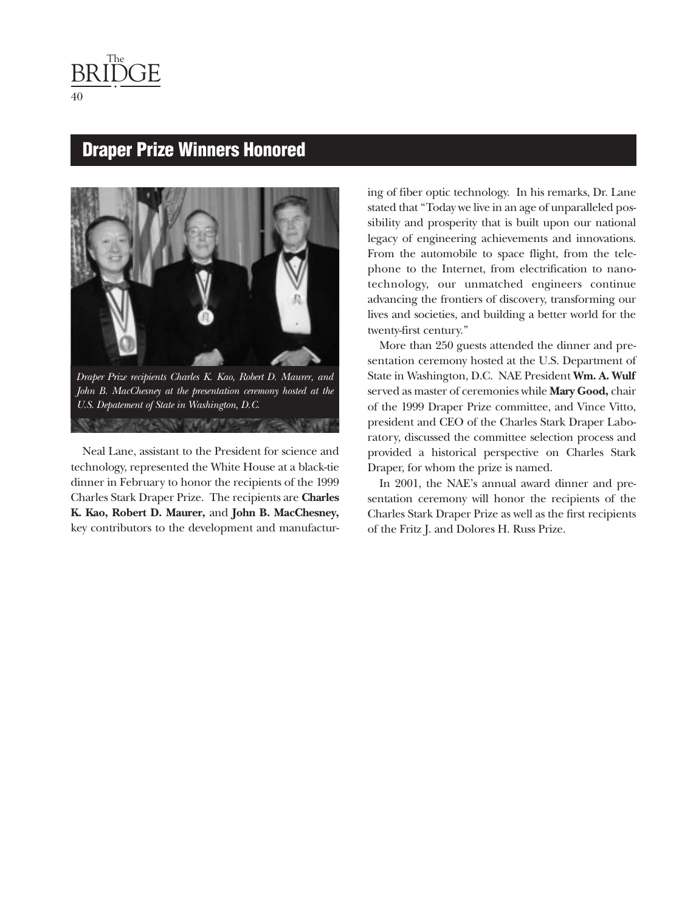<span id="page-40-0"></span>The BRIDGE

### **Draper Prize Winners Honored**



*Draper Prize recipients Charles K. Kao, Robert D. Maurer, and John B. MacChesney at the presentation ceremony hosted at the U.S. Depatement of State in Washington, D.C.***ASSIMA IN MARTINE** 

Neal Lane, assistant to the President for science and technology, represented the White House at a black-tie dinner in February to honor the recipients of the 1999 Charles Stark Draper Prize. The recipients are **Charles K. Kao, Robert D. Maurer,** and **John B. MacChesney,** key contributors to the development and manufacturing of fiber optic technology. In his remarks, Dr. Lane stated that "Today we live in an age of unparalleled possibility and prosperity that is built upon our national legacy of engineering achievements and innovations. From the automobile to space flight, from the telephone to the Internet, from electrification to nanotechnology, our unmatched engineers continue advancing the frontiers of discovery, transforming our lives and societies, and building a better world for the twenty-first century."

More than 250 guests attended the dinner and presentation ceremony hosted at the U.S. Department of State in Washington, D.C. NAE President **Wm. A. Wulf** served as master of ceremonies while **Mary Good,** chair of the 1999 Draper Prize committee, and Vince Vitto, president and CEO of the Charles Stark Draper Laboratory, discussed the committee selection process and provided a historical perspective on Charles Stark Draper, for whom the prize is named.

In 2001, the NAE's annual award dinner and presentation ceremony will honor the recipients of the Charles Stark Draper Prize as well as the first recipients of the Fritz J. and Dolores H. Russ Prize.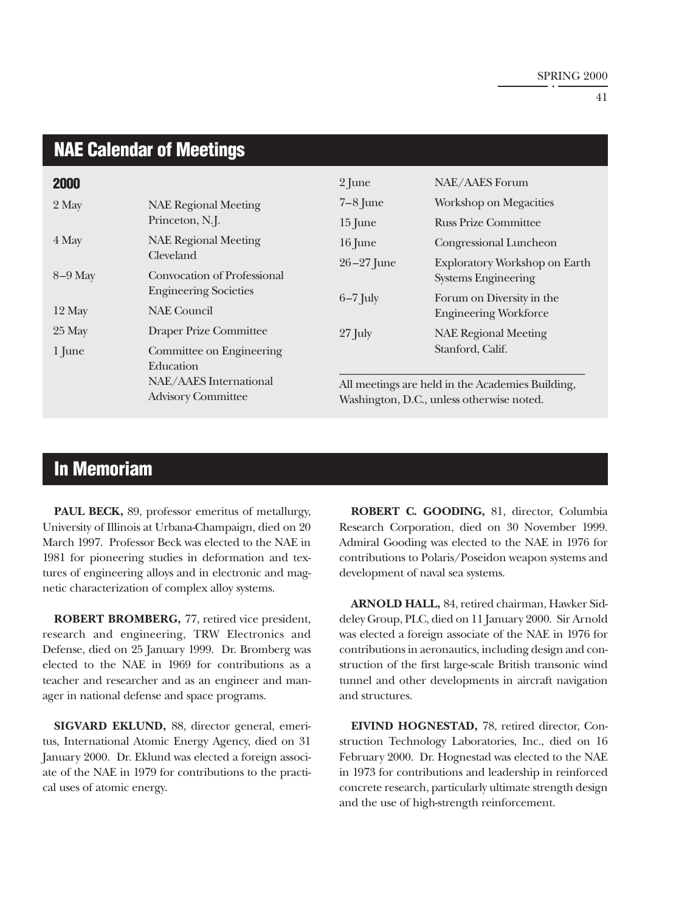### <span id="page-41-0"></span>**NAE Calendar of Meetings**

| 2000      |                                                     | 2 June                                                                                        | NAE/AAES Forum                                              |  |
|-----------|-----------------------------------------------------|-----------------------------------------------------------------------------------------------|-------------------------------------------------------------|--|
| 2 May     | <b>NAE Regional Meeting</b>                         | $7-8$ June                                                                                    | Workshop on Megacities                                      |  |
|           | Princeton, N.J.                                     | $15$ June                                                                                     | <b>Russ Prize Committee</b>                                 |  |
| 4 May     | <b>NAE Regional Meeting</b>                         | 16 June                                                                                       | Congressional Luncheon                                      |  |
| $8-9$ May | Cleveland<br>Convocation of Professional            | $26 - 27$ June                                                                                | Exploratory Workshop on Earth<br><b>Systems Engineering</b> |  |
| 12 May    | <b>Engineering Societies</b><br><b>NAE</b> Council  | $6-7$ July                                                                                    | Forum on Diversity in the<br><b>Engineering Workforce</b>   |  |
| 25 May    | <b>Draper Prize Committee</b>                       | $27$ July                                                                                     | <b>NAE Regional Meeting</b>                                 |  |
| 1 June    | Committee on Engineering<br>Education               |                                                                                               | Stanford, Calif.                                            |  |
|           | NAE/AAES International<br><b>Advisory Committee</b> | All meetings are held in the Academies Building,<br>Washington, D.C., unless otherwise noted. |                                                             |  |

### **In Memoriam**

**PAUL BECK,** 89, professor emeritus of metallurgy, University of Illinois at Urbana-Champaign, died on 20 March 1997. Professor Beck was elected to the NAE in 1981 for pioneering studies in deformation and textures of engineering alloys and in electronic and magnetic characterization of complex alloy systems.

**ROBERT BROMBERG,** 77, retired vice president, research and engineering, TRW Electronics and Defense, died on 25 January 1999. Dr. Bromberg was elected to the NAE in 1969 for contributions as a teacher and researcher and as an engineer and manager in national defense and space programs.

**SIGVARD EKLUND,** 88, director general, emeritus, International Atomic Energy Agency, died on 31 January 2000. Dr. Eklund was elected a foreign associate of the NAE in 1979 for contributions to the practical uses of atomic energy.

**ROBERT C. GOODING,** 81, director, Columbia Research Corporation, died on 30 November 1999. Admiral Gooding was elected to the NAE in 1976 for contributions to Polaris/Poseidon weapon systems and development of naval sea systems.

**ARNOLD HALL,** 84, retired chairman, Hawker Siddeley Group, PLC, died on 11 January 2000. Sir Arnold was elected a foreign associate of the NAE in 1976 for contributions in aeronautics, including design and construction of the first large-scale British transonic wind tunnel and other developments in aircraft navigation and structures.

**EIVIND HOGNESTAD,** 78, retired director, Construction Technology Laboratories, Inc., died on 16 February 2000. Dr. Hognestad was elected to the NAE in 1973 for contributions and leadership in reinforced concrete research, particularly ultimate strength design and the use of high-strength reinforcement.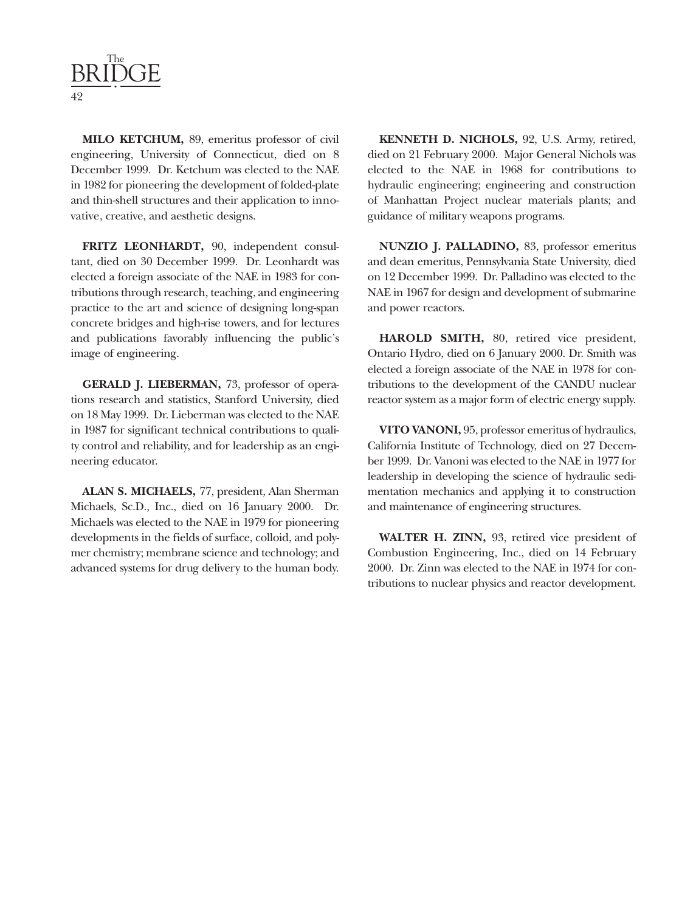

**MILO KETCHUM,** 89, emeritus professor of civil engineering, University of Connecticut, died on 8 December 1999. Dr. Ketchum was elected to the NAE in 1982 for pioneering the development of folded-plate and thin-shell structures and their application to innovative, creative, and aesthetic designs.

**FRITZ LEONHARDT,** 90, independent consultant, died on 30 December 1999. Dr. Leonhardt was elected a foreign associate of the NAE in 1983 for contributions through research, teaching, and engineering practice to the art and science of designing long-span concrete bridges and high-rise towers, and for lectures and publications favorably influencing the public's image of engineering.

**GERALD J. LIEBERMAN,** 73, professor of operations research and statistics, Stanford University, died on 18 May 1999. Dr. Lieberman was elected to the NAE in 1987 for significant technical contributions to quality control and reliability, and for leadership as an engineering educator.

**ALAN S. MICHAELS,** 77, president, Alan Sherman Michaels, Sc.D., Inc., died on 16 January 2000. Dr. Michaels was elected to the NAE in 1979 for pioneering developments in the fields of surface, colloid, and polymer chemistry; membrane science and technology; and advanced systems for drug delivery to the human body.

**KENNETH D. NICHOLS,** 92, U.S. Army, retired, died on 21 February 2000. Major General Nichols was elected to the NAE in 1968 for contributions to hydraulic engineering; engineering and construction of Manhattan Project nuclear materials plants; and guidance of military weapons programs.

**NUNZIO J. PALLADINO,** 83, professor emeritus and dean emeritus, Pennsylvania State University, died on 12 December 1999. Dr. Palladino was elected to the NAE in 1967 for design and development of submarine and power reactors.

**HAROLD SMITH,** 80, retired vice president, Ontario Hydro, died on 6 January 2000. Dr. Smith was elected a foreign associate of the NAE in 1978 for contributions to the development of the CANDU nuclear reactor system as a major form of electric energy supply.

**VITO VANONI,** 95, professor emeritus of hydraulics, California Institute of Technology, died on 27 December 1999. Dr. Vanoni was elected to the NAE in 1977 for leadership in developing the science of hydraulic sedimentation mechanics and applying it to construction and maintenance of engineering structures.

**WALTER H. ZINN,** 93, retired vice president of Combustion Engineering, Inc., died on 14 February 2000. Dr. Zinn was elected to the NAE in 1974 for contributions to nuclear physics and reactor development.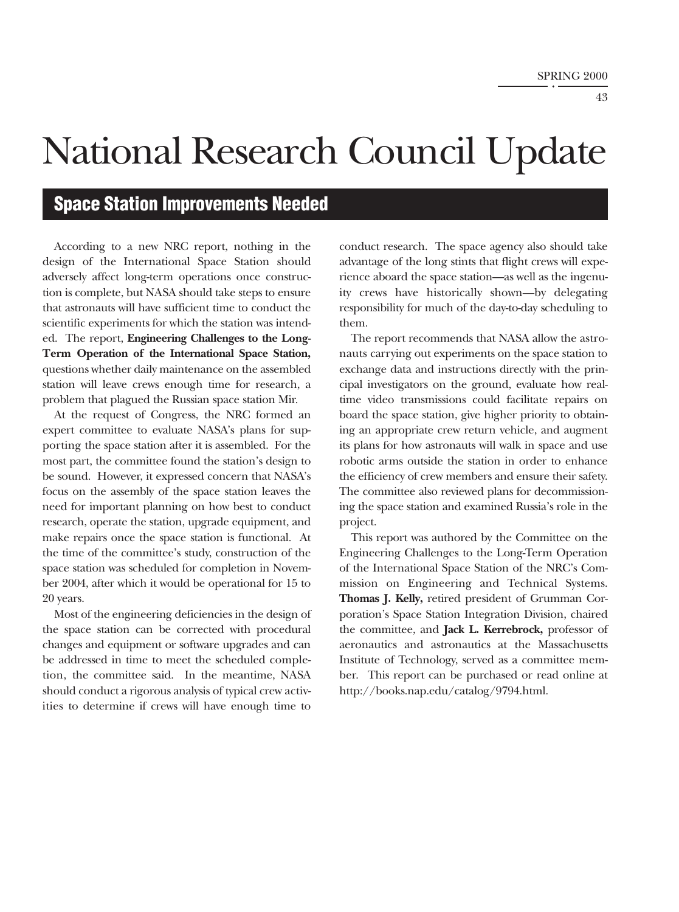## <span id="page-43-0"></span>National Research Council Update

### **Space Station Improvements Needed**

According to a new NRC report, nothing in the design of the International Space Station should adversely affect long-term operations once construction is complete, but NASA should take steps to ensure that astronauts will have sufficient time to conduct the scientific experiments for which the station was intended. The report, **Engineering Challenges to the Long-Term Operation of the International Space Station,** questions whether daily maintenance on the assembled station will leave crews enough time for research, a problem that plagued the Russian space station Mir.

At the request of Congress, the NRC formed an expert committee to evaluate NASA's plans for supporting the space station after it is assembled. For the most part, the committee found the station's design to be sound. However, it expressed concern that NASA's focus on the assembly of the space station leaves the need for important planning on how best to conduct research, operate the station, upgrade equipment, and make repairs once the space station is functional. At the time of the committee's study, construction of the space station was scheduled for completion in November 2004, after which it would be operational for 15 to 20 years.

Most of the engineering deficiencies in the design of the space station can be corrected with procedural changes and equipment or software upgrades and can be addressed in time to meet the scheduled completion, the committee said. In the meantime, NASA should conduct a rigorous analysis of typical crew activities to determine if crews will have enough time to

conduct research. The space agency also should take advantage of the long stints that flight crews will experience aboard the space station—as well as the ingenuity crews have historically shown—by delegating responsibility for much of the day-to-day scheduling to them.

The report recommends that NASA allow the astronauts carrying out experiments on the space station to exchange data and instructions directly with the principal investigators on the ground, evaluate how realtime video transmissions could facilitate repairs on board the space station, give higher priority to obtaining an appropriate crew return vehicle, and augment its plans for how astronauts will walk in space and use robotic arms outside the station in order to enhance the efficiency of crew members and ensure their safety. The committee also reviewed plans for decommissioning the space station and examined Russia's role in the project.

This report was authored by the Committee on the Engineering Challenges to the Long-Term Operation of the International Space Station of the NRC's Commission on Engineering and Technical Systems. **Thomas J. Kelly,** retired president of Grumman Corporation's Space Station Integration Division, chaired the committee, and **Jack L. Kerrebrock,** professor of aeronautics and astronautics at the Massachusetts Institute of Technology, served as a committee member. This report can be purchased or read online at http://books.nap.edu/catalog/9794.html.